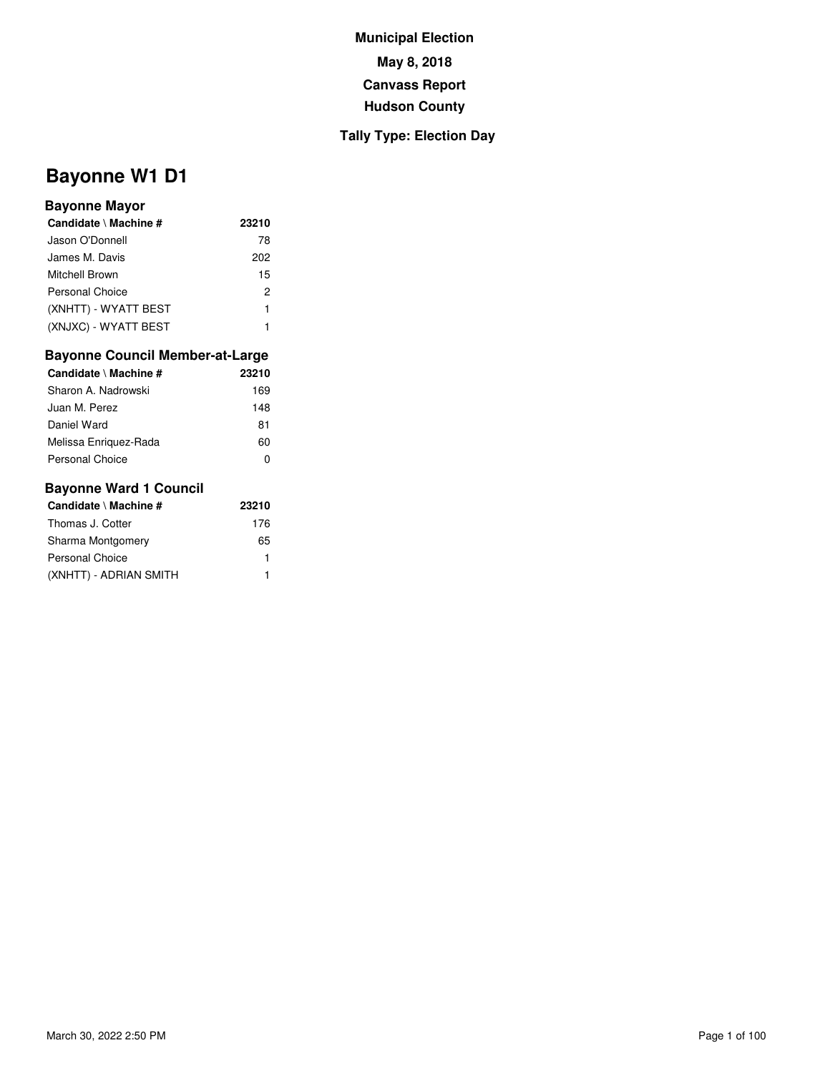## **Tally Type: Election Day**

# **Bayonne W1 D1**

#### **Bayonne Mayor**

| Candidate \ Machine # | 23210 |
|-----------------------|-------|
| Jason O'Donnell       | 78    |
| James M. Davis        | 202   |
| Mitchell Brown        | 15    |
| Personal Choice       | 2     |
| (XNHTT) - WYATT BEST  | 1     |
| (XNJXC) - WYATT BEST  |       |

## **Bayonne Council Member-at-Large**

| Candidate \ Machine # | 23210 |
|-----------------------|-------|
| Sharon A. Nadrowski   | 169   |
| Juan M. Perez         | 148   |
| Daniel Ward           | 81    |
| Melissa Enriguez-Rada | 60    |
| Personal Choice       |       |

| Candidate \ Machine #  | 23210 |
|------------------------|-------|
| Thomas J. Cotter       | 176   |
| Sharma Montgomery      | 65    |
| Personal Choice        | 1     |
| (XNHTT) - ADRIAN SMITH | 1     |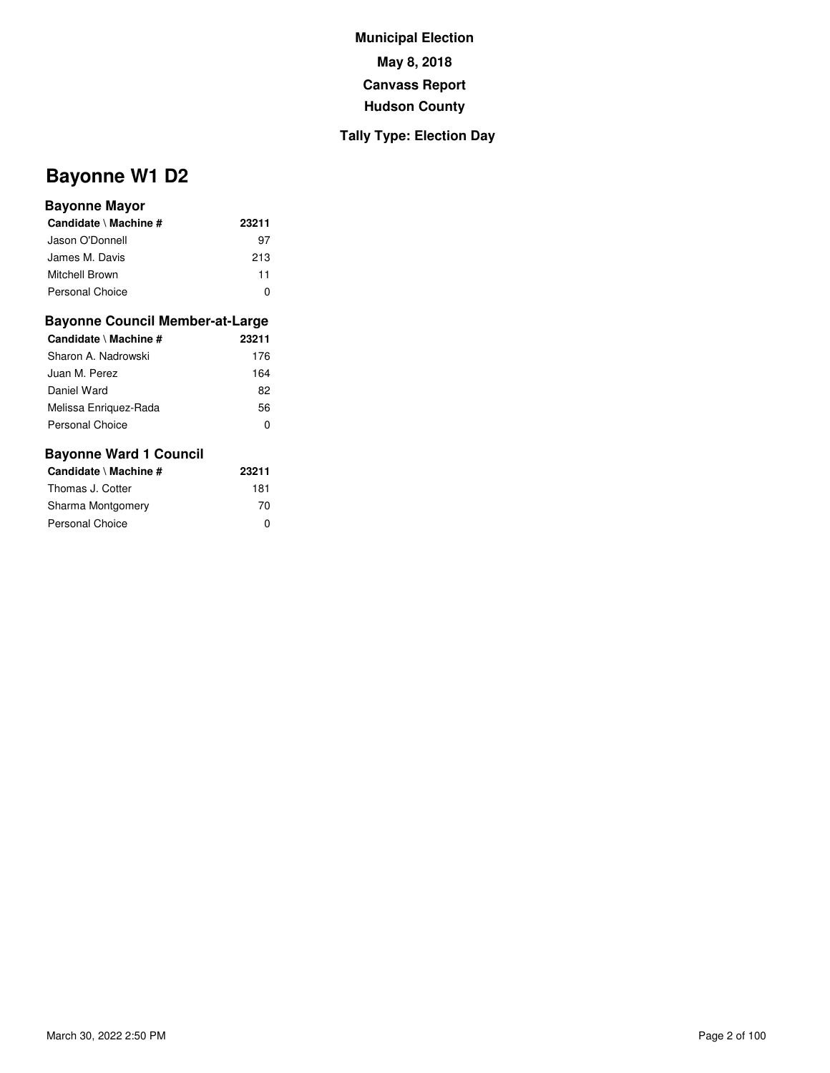## **Tally Type: Election Day**

# **Bayonne W1 D2**

#### **Bayonne Mayor**

| Candidate \ Machine # | 23211 |
|-----------------------|-------|
| Jason O'Donnell       | 97    |
| James M. Davis        | 213   |
| Mitchell Brown        | 11    |
| Personal Choice       |       |

#### **Bayonne Council Member-at-Large**

| 23211 |
|-------|
| 176   |
| 164   |
| 82    |
| 56    |
| O     |
|       |

| Candidate \ Machine # | 23211 |
|-----------------------|-------|
| Thomas J. Cotter      | 181   |
| Sharma Montgomery     | 70    |
| Personal Choice       | ŋ     |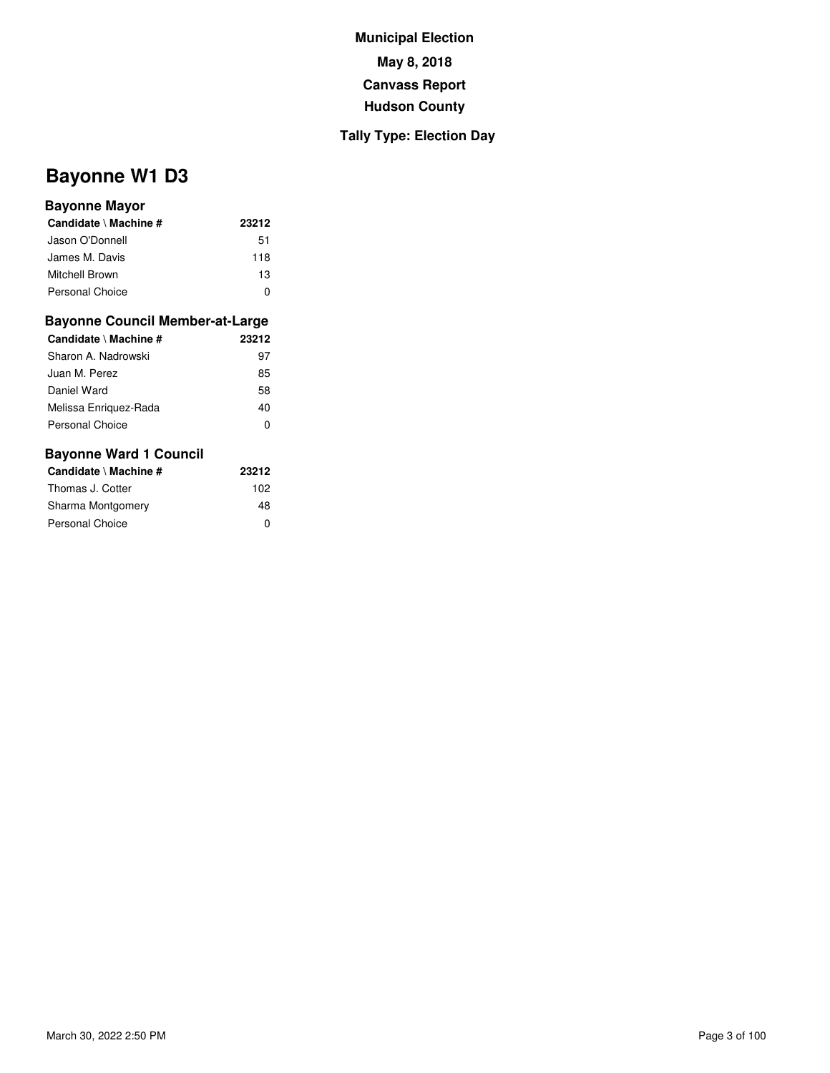## **Tally Type: Election Day**

# **Bayonne W1 D3**

#### **Bayonne Mayor**

| Candidate \ Machine #  | 23212 |
|------------------------|-------|
| Jason O'Donnell        | 51    |
| James M. Davis         | 118   |
| Mitchell Brown         | 13    |
| <b>Personal Choice</b> | n     |

#### **Bayonne Council Member-at-Large**

| Candidate \ Machine # | 23212 |
|-----------------------|-------|
| Sharon A. Nadrowski   | 97    |
| Juan M. Perez         | 85    |
| Daniel Ward           | 58    |
| Melissa Enriquez-Rada | 40    |
| Personal Choice       | O     |
|                       |       |

| Candidate \ Machine # | 23212 |
|-----------------------|-------|
| Thomas J. Cotter      | 102   |
| Sharma Montgomery     | 48    |
| Personal Choice       | ŋ     |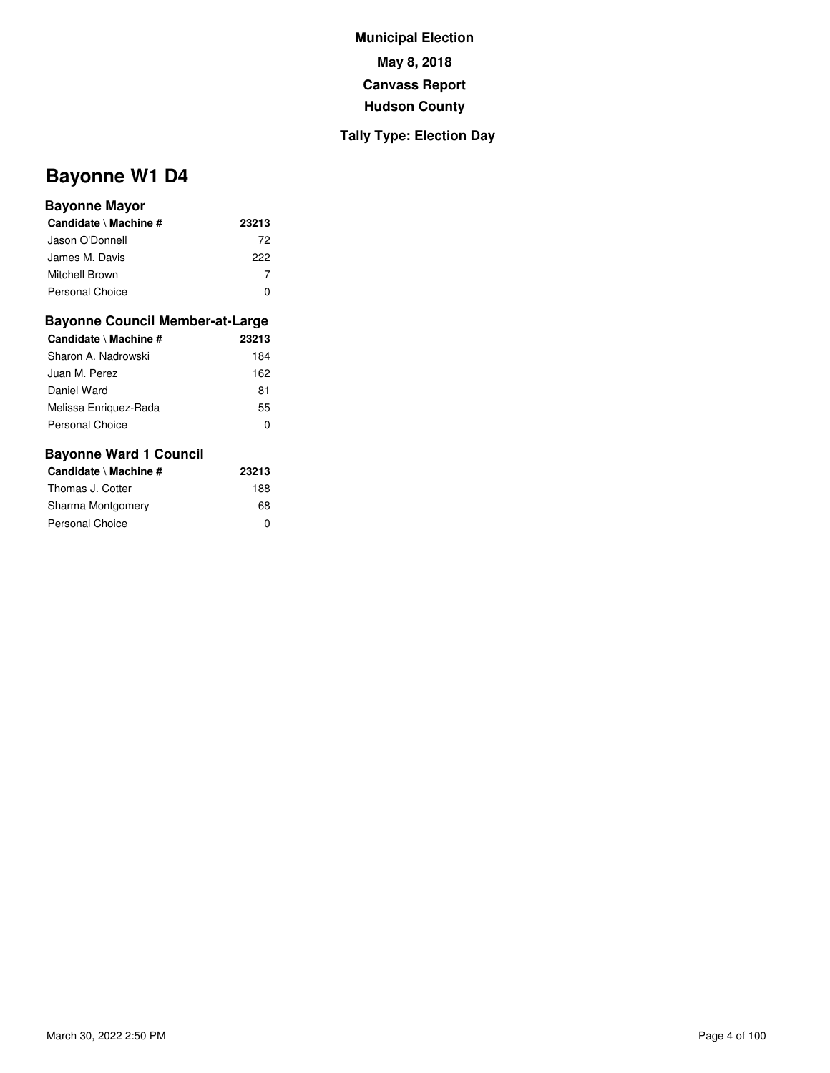## **Tally Type: Election Day**

# **Bayonne W1 D4**

#### **Bayonne Mayor**

| Candidate \ Machine #  | 23213 |
|------------------------|-------|
| Jason O'Donnell        | 72    |
| James M. Davis         | 222   |
| Mitchell Brown         |       |
| <b>Personal Choice</b> |       |

#### **Bayonne Council Member-at-Large**

| Candidate \ Machine #  | 23213 |
|------------------------|-------|
| Sharon A. Nadrowski    | 184   |
| Juan M. Perez          | 162   |
| Daniel Ward            | 81    |
| Melissa Enriguez-Rada  | 55    |
| <b>Personal Choice</b> | O     |
|                        |       |

| Candidate \ Machine # | 23213 |
|-----------------------|-------|
| Thomas J. Cotter      | 188   |
| Sharma Montgomery     | 68    |
| Personal Choice       | ŋ     |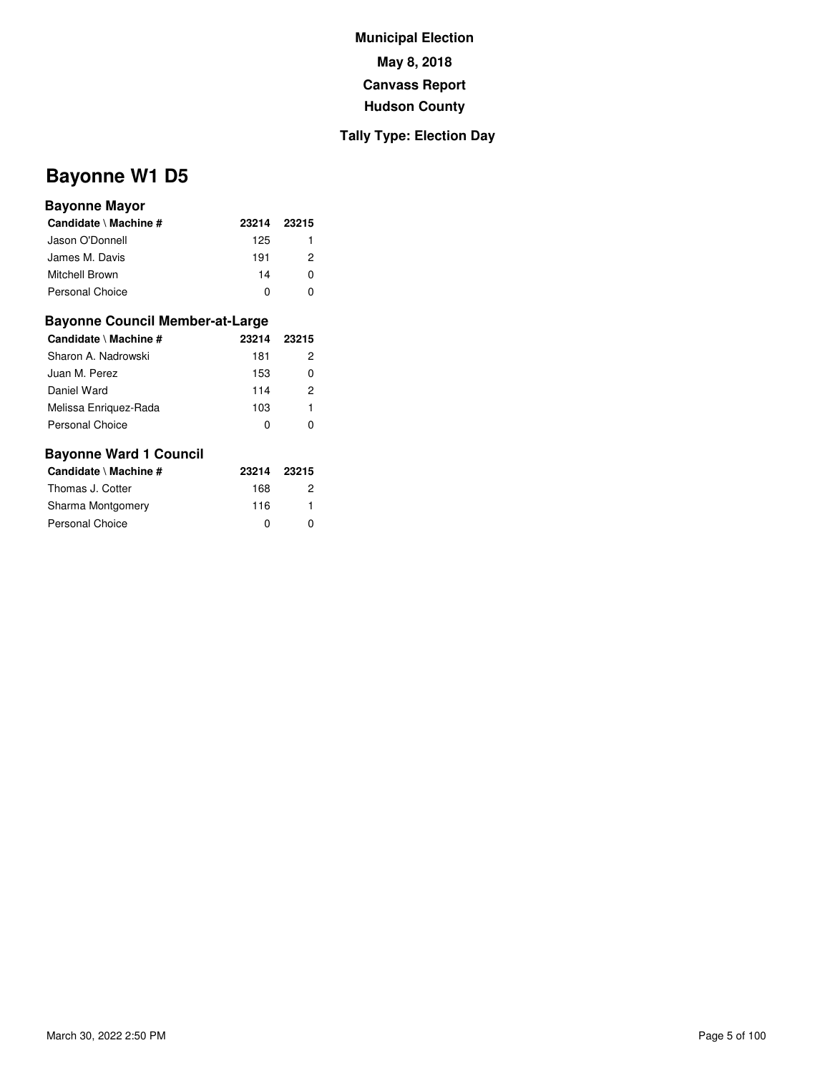### **Tally Type: Election Day**

# **Bayonne W1 D5**

#### **Bayonne Mayor**

| Candidate \ Machine #  | 23214 | 23215 |
|------------------------|-------|-------|
| Jason O'Donnell        | 125   |       |
| James M. Davis         | 191   | 2     |
| Mitchell Brown         | 14    | n     |
| <b>Personal Choice</b> |       |       |

#### **Bayonne Council Member-at-Large**

| Candidate \ Machine # | 23214 | 23215 |
|-----------------------|-------|-------|
| Sharon A. Nadrowski   | 181   | 2     |
| Juan M. Perez         | 153   | 0     |
| Daniel Ward           | 114   | 2     |
| Melissa Enriquez-Rada | 103   | 1     |
| Personal Choice       | 0     |       |

| Candidate \ Machine #  | 23214 | - 23215 |
|------------------------|-------|---------|
| Thomas J. Cotter       | 168   | 2       |
| Sharma Montgomery      | 116   |         |
| <b>Personal Choice</b> | ŋ     | O       |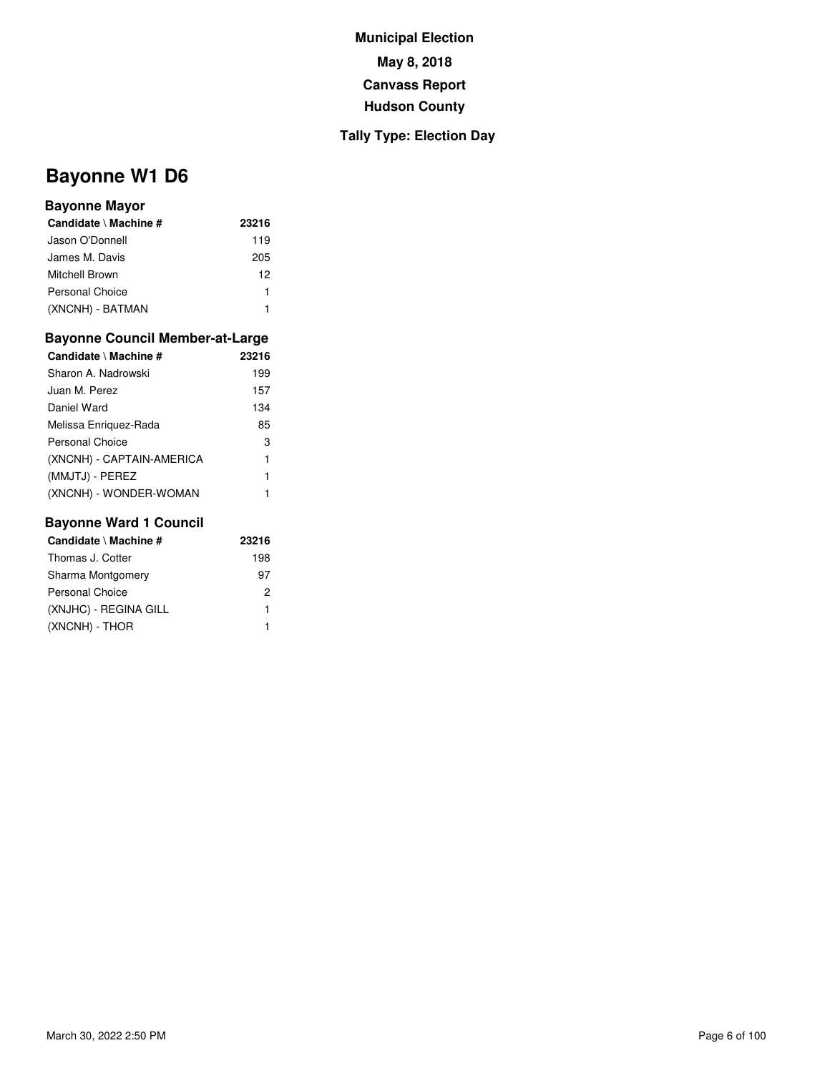## **Tally Type: Election Day**

# **Bayonne W1 D6**

#### **Bayonne Mayor**

| Candidate \ Machine # | 23216 |
|-----------------------|-------|
| Jason O'Donnell       | 119   |
| James M. Davis        | 205   |
| Mitchell Brown        | 12    |
| Personal Choice       |       |
| (XNCNH) - BATMAN      |       |

#### **Bayonne Council Member-at-Large**

| Candidate \ Machine #     | 23216 |
|---------------------------|-------|
| Sharon A. Nadrowski       | 199   |
| Juan M. Perez             | 157   |
| Daniel Ward               | 134   |
| Melissa Enriguez-Rada     | 85    |
| Personal Choice           | 3     |
| (XNCNH) - CAPTAIN-AMERICA | 1     |
| (MMJTJ) - PEREZ           | 1     |
| (XNCNH) - WONDER-WOMAN    |       |

| Candidate \ Machine #  | 23216 |
|------------------------|-------|
| Thomas J. Cotter       | 198   |
| Sharma Montgomery      | 97    |
| <b>Personal Choice</b> | 2     |
| (XNJHC) - REGINA GILL  | 1     |
| (XNCNH) - THOR         |       |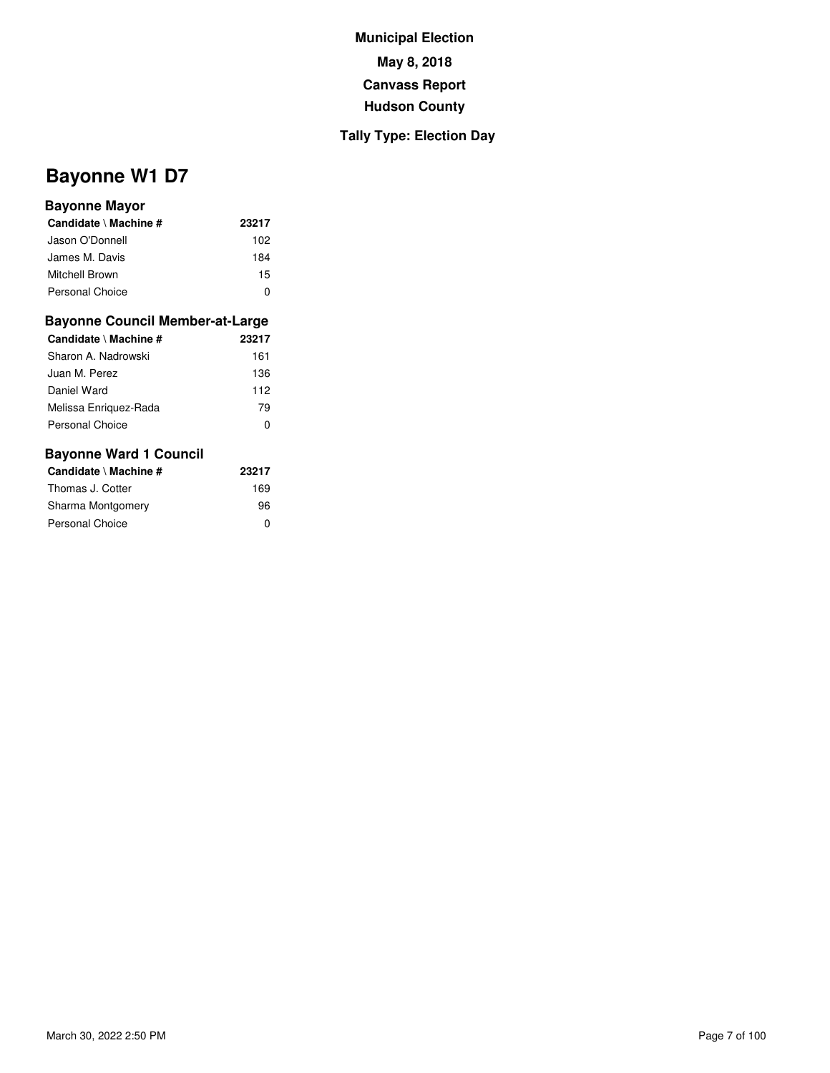## **Tally Type: Election Day**

# **Bayonne W1 D7**

#### **Bayonne Mayor**

| Candidate \ Machine #  | 23217 |
|------------------------|-------|
| Jason O'Donnell        | 102   |
| James M. Davis         | 184   |
| Mitchell Brown         | 15    |
| <b>Personal Choice</b> | n     |

#### **Bayonne Council Member-at-Large**

| Candidate \ Machine #  | 23217 |
|------------------------|-------|
| Sharon A. Nadrowski    | 161   |
| Juan M. Perez          | 136   |
| Daniel Ward            | 112   |
| Melissa Enriquez-Rada  | 79    |
| <b>Personal Choice</b> | 0     |
|                        |       |

| Candidate \ Machine # | 23217 |
|-----------------------|-------|
| Thomas J. Cotter      | 169   |
| Sharma Montgomery     | 96    |
| Personal Choice       | ŋ     |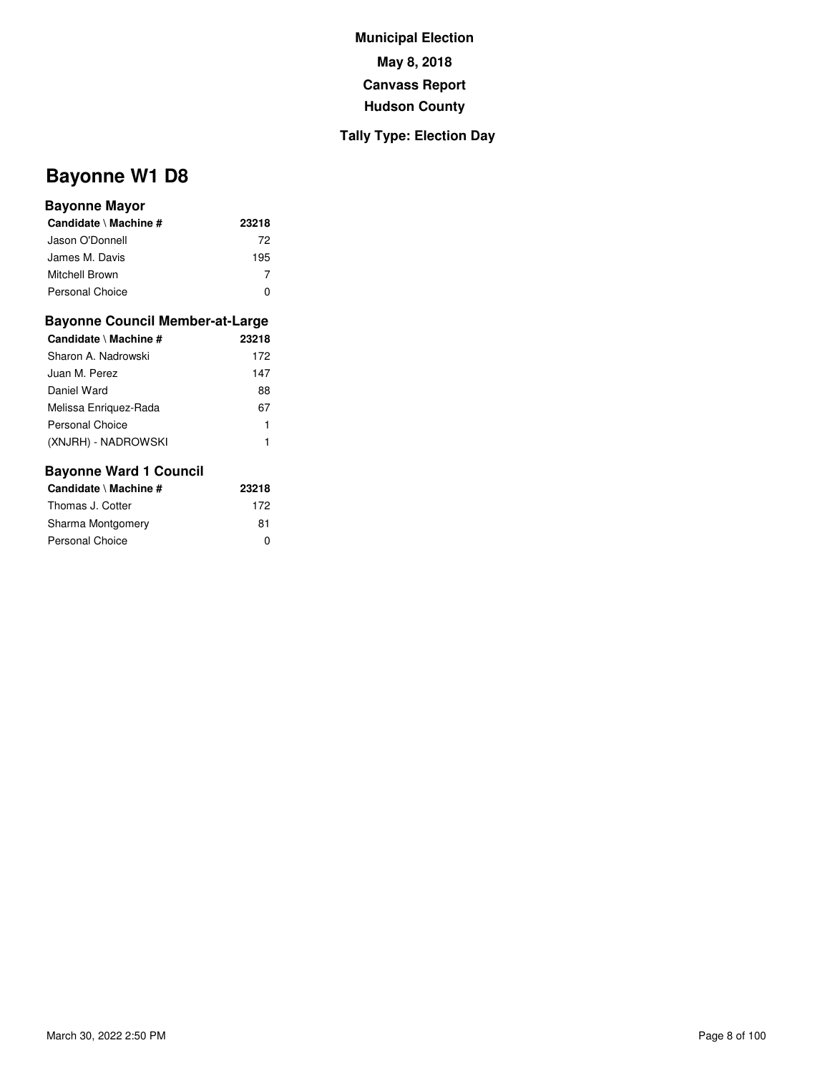## **Tally Type: Election Day**

# **Bayonne W1 D8**

#### **Bayonne Mayor**

| Candidate \ Machine #  | 23218 |
|------------------------|-------|
| Jason O'Donnell        | 72    |
| James M. Davis         | 195   |
| Mitchell Brown         |       |
| <b>Personal Choice</b> |       |

#### **Bayonne Council Member-at-Large**

| Candidate \ Machine # | 23218 |
|-----------------------|-------|
| Sharon A. Nadrowski   | 172   |
| Juan M. Perez         | 147   |
| Daniel Ward           | 88    |
| Melissa Enriguez-Rada | 67    |
| Personal Choice       | 1     |
| (XNJRH) - NADROWSKI   | 1     |

| Candidate \ Machine # | 23218 |
|-----------------------|-------|
| Thomas J. Cotter      | 172   |
| Sharma Montgomery     | 81    |
| Personal Choice       | ŋ     |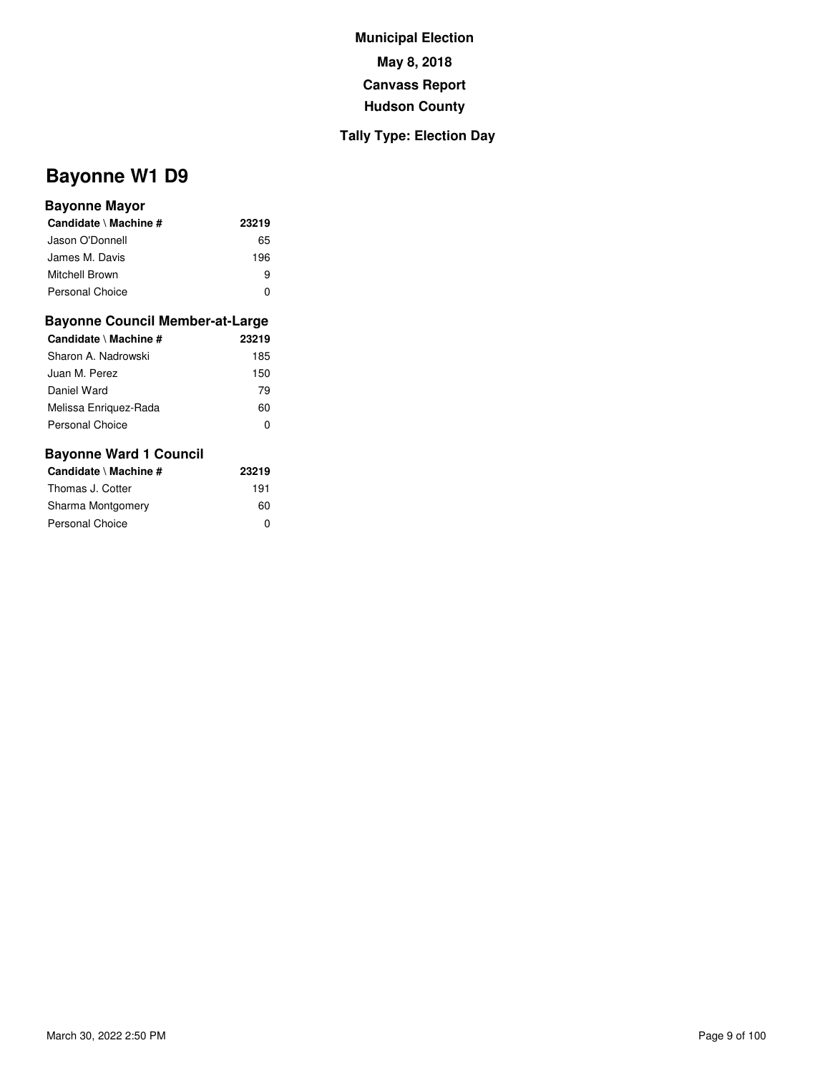## **Tally Type: Election Day**

# **Bayonne W1 D9**

#### **Bayonne Mayor**

| Candidate \ Machine # | 23219 |
|-----------------------|-------|
| Jason O'Donnell       | 65    |
| James M. Davis        | 196   |
| Mitchell Brown        | я     |
| Personal Choice       | O     |

#### **Bayonne Council Member-at-Large**

| Candidate \ Machine # | 23219 |
|-----------------------|-------|
| Sharon A. Nadrowski   | 185   |
| Juan M. Perez         | 150   |
| Daniel Ward           | 79    |
| Melissa Enriguez-Rada | 60    |
| Personal Choice       | O     |
|                       |       |

| Candidate \ Machine # | 23219 |
|-----------------------|-------|
| Thomas J. Cotter      | 191   |
| Sharma Montgomery     | 60    |
| Personal Choice       | ŋ     |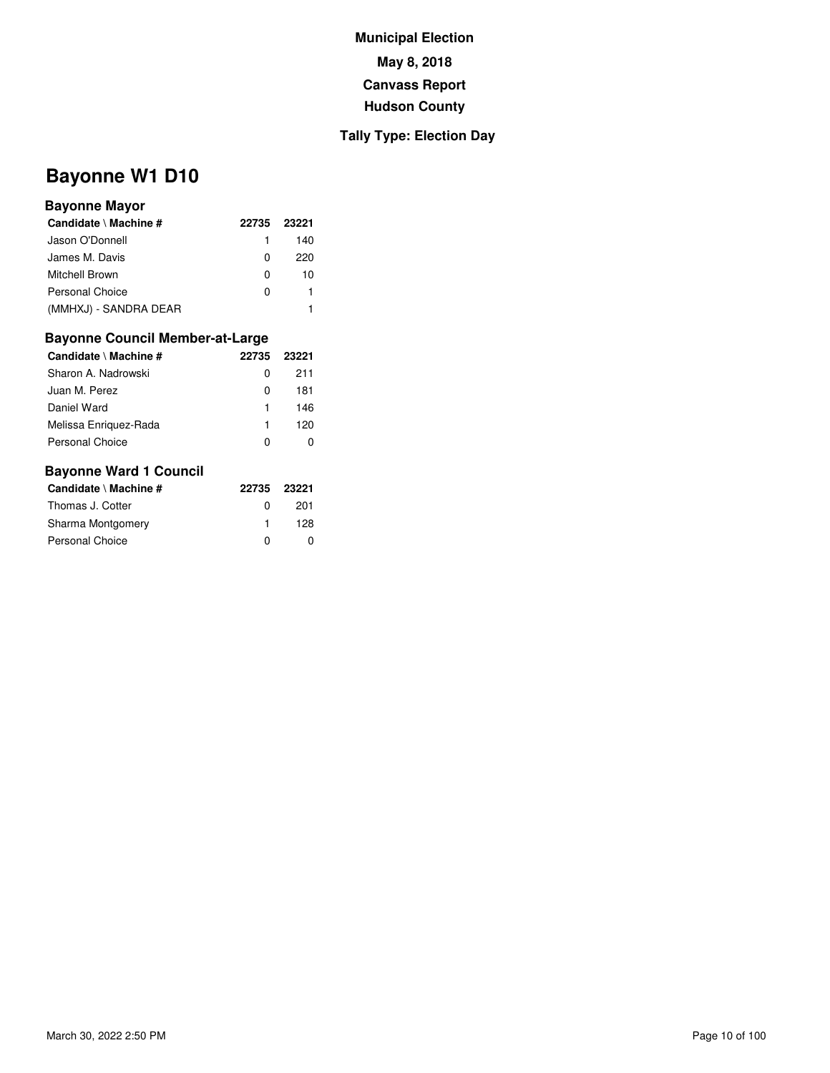### **Tally Type: Election Day**

# **Bayonne W1 D10**

### **Bayonne Mayor**

| Candidate \ Machine # | 22735 | 23221 |
|-----------------------|-------|-------|
| Jason O'Donnell       | 1.    | 140   |
| James M. Davis        | 0     | 220   |
| Mitchell Brown        | 0     | 10    |
| Personal Choice       | O     |       |
| (MMHXJ) - SANDRA DEAR |       |       |

### **Bayonne Council Member-at-Large**

| Candidate \ Machine # | 22735 | 23221 |
|-----------------------|-------|-------|
| Sharon A. Nadrowski   | 0     | 211   |
| Juan M. Perez         | 0     | 181   |
| Daniel Ward           | 1     | 146   |
| Melissa Enriquez-Rada | 1     | 120   |
| Personal Choice       | ŋ     |       |
|                       |       |       |

| Candidate \ Machine #  | 22735 23221  |     |
|------------------------|--------------|-----|
| Thomas J. Cotter       | <sup>0</sup> | 201 |
| Sharma Montgomery      |              | 128 |
| <b>Personal Choice</b> | O            |     |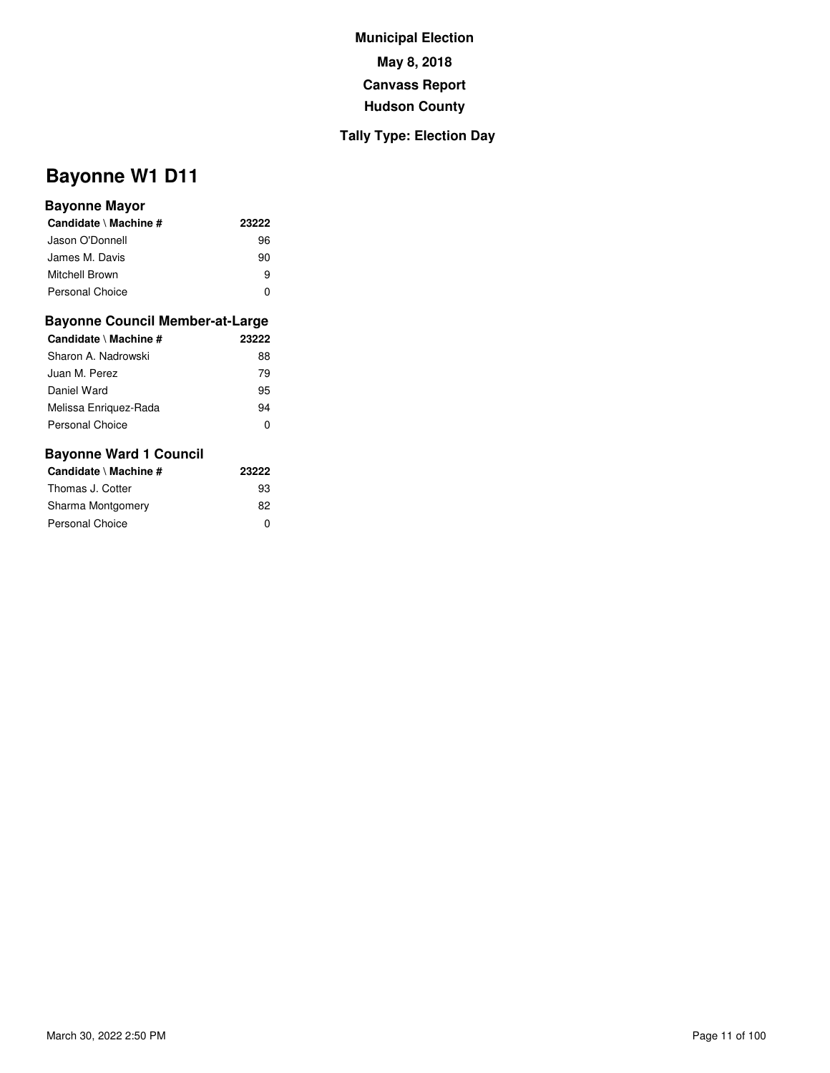## **Tally Type: Election Day**

# **Bayonne W1 D11**

#### **Bayonne Mayor**

| Candidate \ Machine # | 23222 |
|-----------------------|-------|
| Jason O'Donnell       | 96    |
| James M. Davis        | 90    |
| Mitchell Brown        | я     |
| Personal Choice       | ŋ     |

#### **Bayonne Council Member-at-Large**

| Candidate \ Machine # | 23222 |
|-----------------------|-------|
|                       |       |
| Sharon A. Nadrowski   | 88    |
| Juan M. Perez         | 79    |
| Daniel Ward           | 95    |
| Melissa Enriguez-Rada | 94    |
| Personal Choice       | O     |
|                       |       |

| Candidate \ Machine # | 23222 |
|-----------------------|-------|
| Thomas J. Cotter      | 93    |
| Sharma Montgomery     | 82    |
| Personal Choice       | 0     |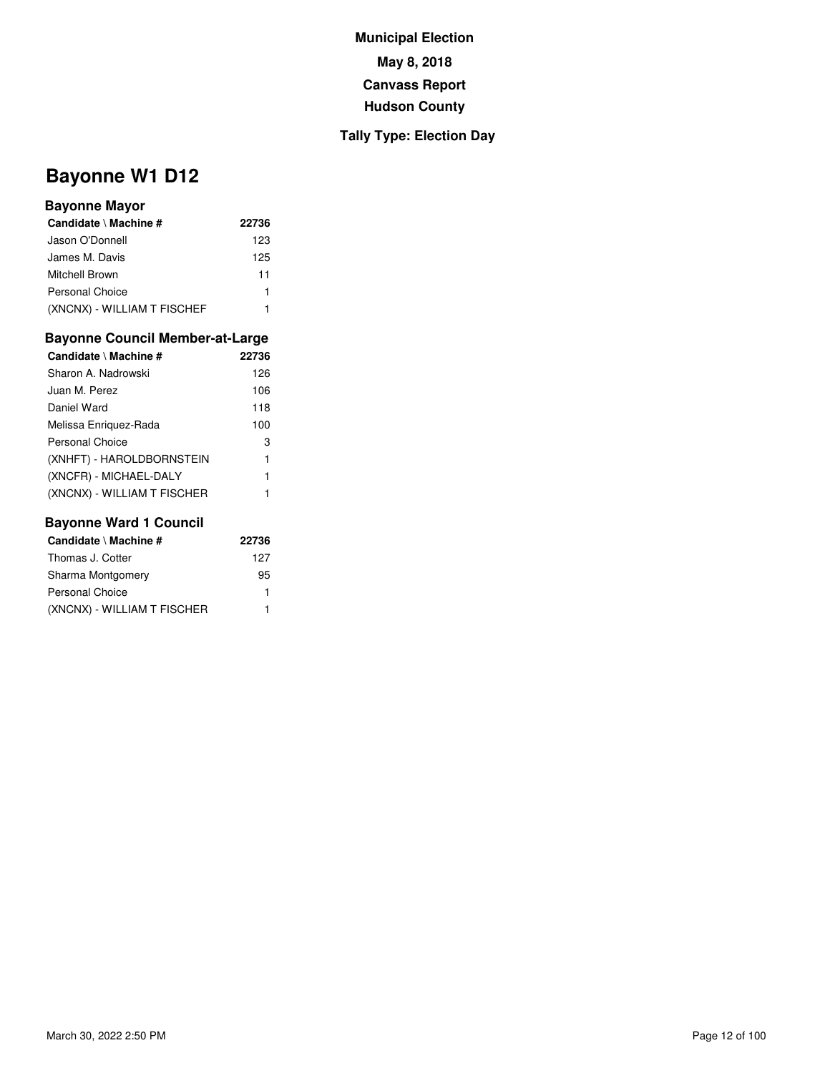## **Tally Type: Election Day**

# **Bayonne W1 D12**

#### **Bayonne Mayor**

| Candidate \ Machine #       | 22736 |
|-----------------------------|-------|
| Jason O'Donnell             | 123   |
| James M. Davis              | 125   |
| Mitchell Brown              | 11    |
| Personal Choice             | 1     |
| (XNCNX) - WILLIAM T FISCHEF |       |

#### **Bayonne Council Member-at-Large**

| Candidate \ Machine #       | 22736 |
|-----------------------------|-------|
| Sharon A. Nadrowski         | 126   |
| Juan M. Perez               | 106   |
| Daniel Ward                 | 118   |
| Melissa Enriguez-Rada       | 100   |
| <b>Personal Choice</b>      | 3     |
| (XNHFT) - HAROLDBORNSTEIN   | 1     |
| (XNCFR) - MICHAEL-DALY      | 1     |
| (XNCNX) - WILLIAM T FISCHER |       |

| Candidate \ Machine #       | 22736 |
|-----------------------------|-------|
| Thomas J. Cotter            | 127   |
| Sharma Montgomery           | 95    |
| <b>Personal Choice</b>      | 1     |
| (XNCNX) - WILLIAM T FISCHER | 1     |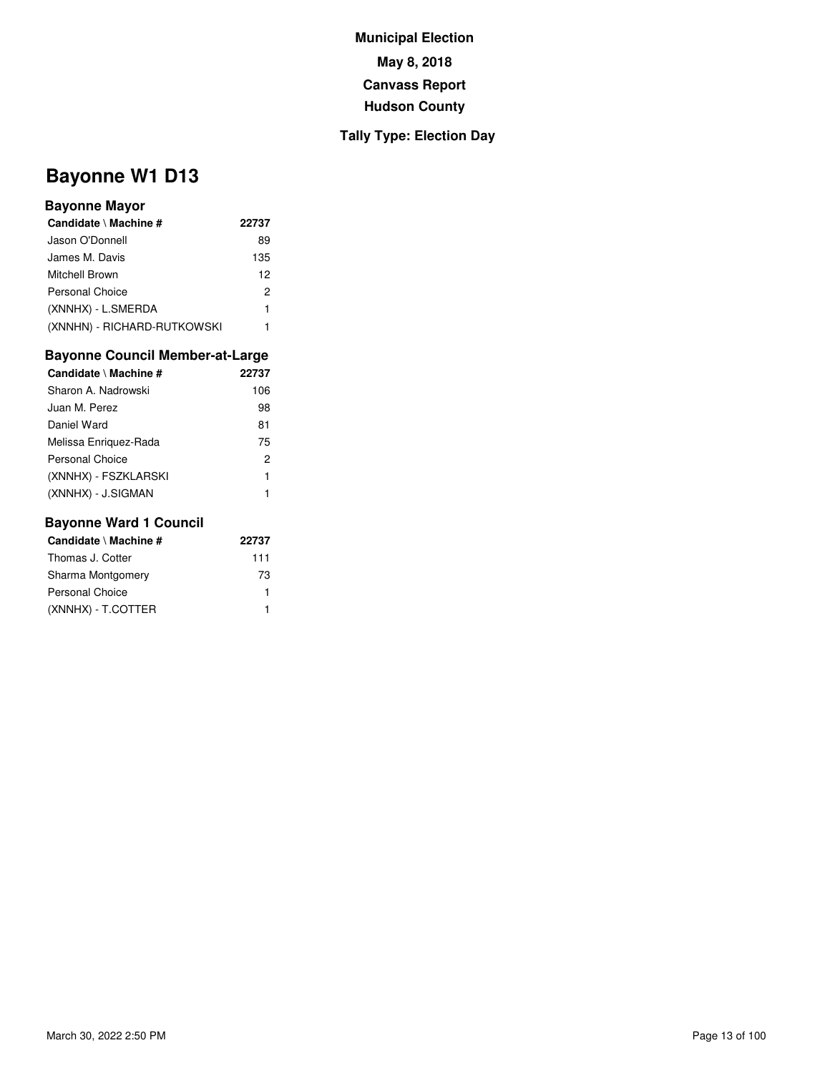## **Tally Type: Election Day**

# **Bayonne W1 D13**

#### **Bayonne Mayor**

| Candidate \ Machine #       | 22737 |
|-----------------------------|-------|
| Jason O'Donnell             | 89    |
| James M. Davis              | 135   |
| Mitchell Brown              | 12    |
| Personal Choice             | 2     |
| (XNNHX) - L.SMERDA          | 1     |
| (XNNHN) - RICHARD-RUTKOWSKI |       |

## **Bayonne Council Member-at-Large**

| Candidate \ Machine # | 22737 |
|-----------------------|-------|
| Sharon A. Nadrowski   | 106   |
| Juan M. Perez         | 98    |
| Daniel Ward           | 81    |
| Melissa Enriguez-Rada | 75    |
| Personal Choice       | 2     |
| (XNNHX) - FSZKLARSKI  | 1     |
| (XNNHX) - J.SIGMAN    |       |

| Candidate \ Machine #  | 22737 |
|------------------------|-------|
| Thomas J. Cotter       | 111   |
| Sharma Montgomery      | 73    |
| <b>Personal Choice</b> |       |
| (XNNHX) - T.COTTER     |       |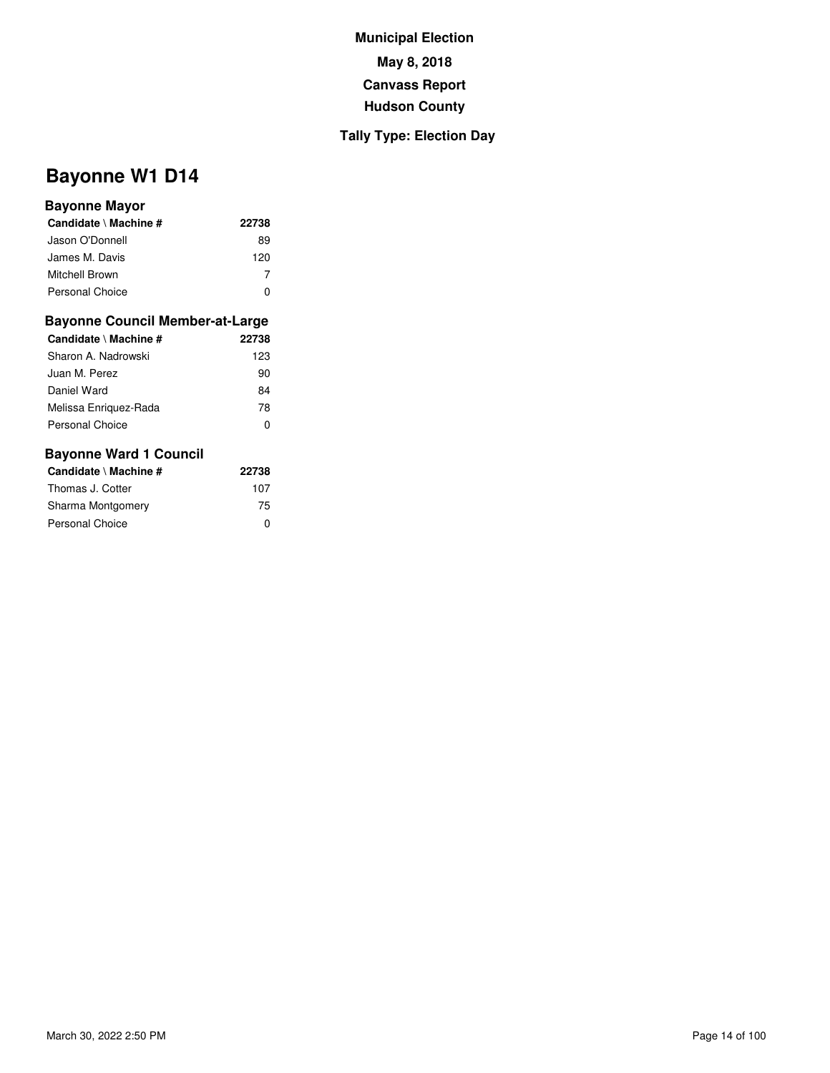## **Tally Type: Election Day**

# **Bayonne W1 D14**

#### **Bayonne Mayor**

| Candidate \ Machine # | 22738 |
|-----------------------|-------|
| Jason O'Donnell       | 89    |
| James M. Davis        | 120   |
| Mitchell Brown        |       |
| Personal Choice       |       |

#### **Bayonne Council Member-at-Large**

| Candidate \ Machine #  | 22738 |
|------------------------|-------|
| Sharon A. Nadrowski    | 123   |
| Juan M. Perez          | 90    |
| Daniel Ward            | 84    |
| Melissa Enriguez-Rada  | 78    |
| <b>Personal Choice</b> | 0     |
|                        |       |

| Candidate \ Machine # | 22738 |
|-----------------------|-------|
| Thomas J. Cotter      | 107   |
| Sharma Montgomery     | 75    |
| Personal Choice       | 0     |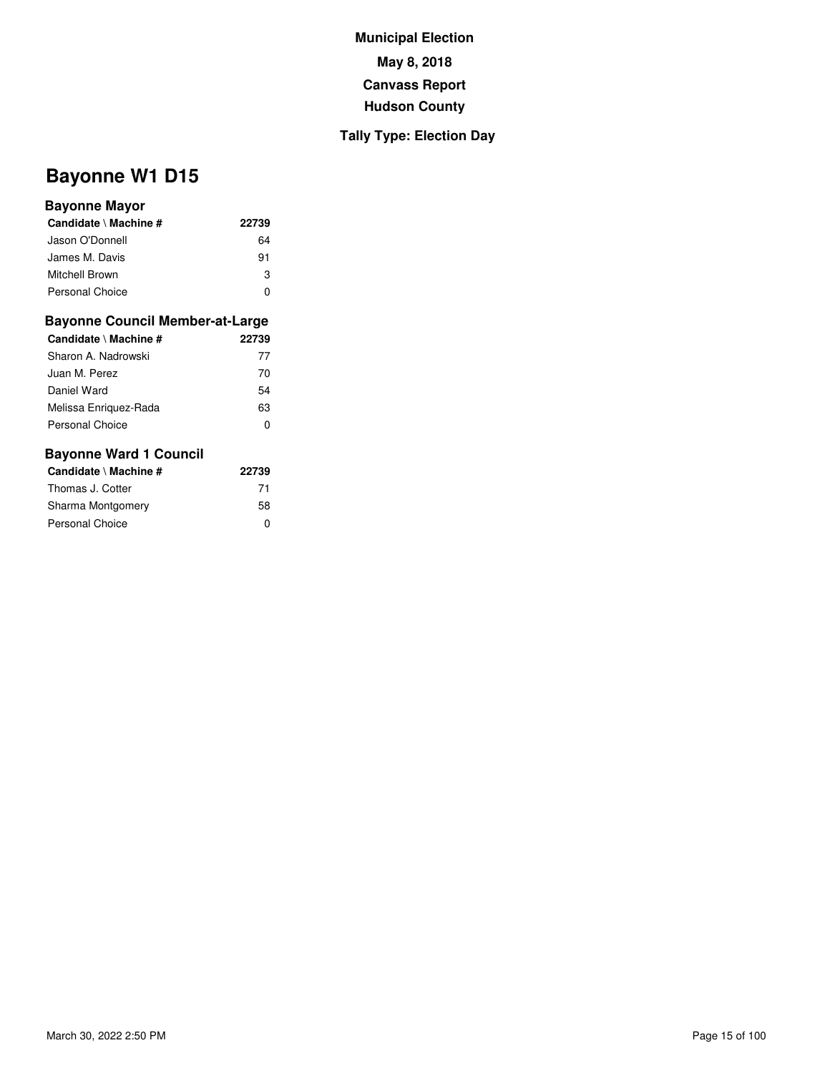## **Tally Type: Election Day**

# **Bayonne W1 D15**

#### **Bayonne Mayor**

| Candidate \ Machine #  | 22739 |
|------------------------|-------|
| Jason O'Donnell        | 64    |
| James M. Davis         | 91    |
| Mitchell Brown         | З     |
| <b>Personal Choice</b> | n     |

#### **Bayonne Council Member-at-Large**

| Candidate \ Machine # | 22739 |
|-----------------------|-------|
| Sharon A. Nadrowski   | 77    |
| Juan M. Perez         | 70    |
| Daniel Ward           | 54    |
| Melissa Enriquez-Rada | 63    |
| Personal Choice       | O     |

| Candidate \ Machine # | 22739 |
|-----------------------|-------|
| Thomas J. Cotter      | 71    |
| Sharma Montgomery     | 58    |
| Personal Choice       | ŋ     |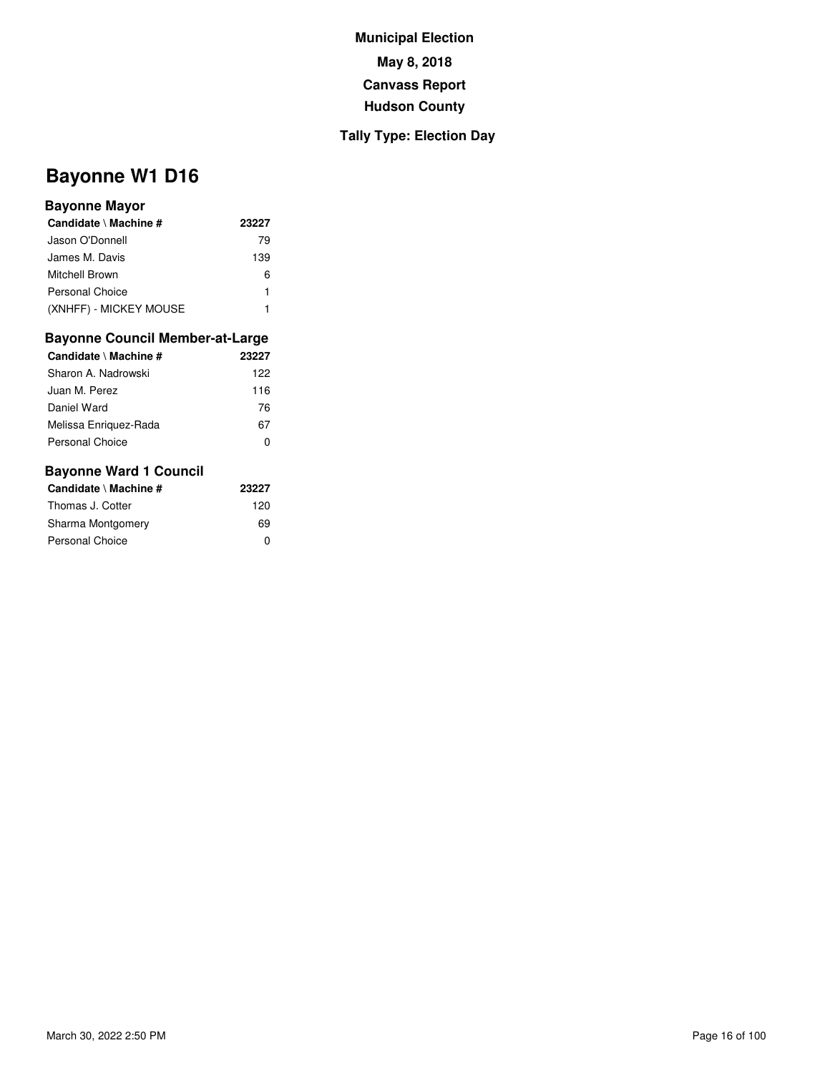## **Tally Type: Election Day**

# **Bayonne W1 D16**

#### **Bayonne Mayor**

| Candidate \ Machine #  | 23227 |
|------------------------|-------|
| Jason O'Donnell        | 79    |
| James M. Davis         | 139   |
| Mitchell Brown         | 6     |
| Personal Choice        | 1     |
| (XNHFF) - MICKEY MOUSE |       |

#### **Bayonne Council Member-at-Large**

| Candidate \ Machine # | 23227 |
|-----------------------|-------|
| Sharon A. Nadrowski   | 122   |
| Juan M. Perez         | 116   |
| Daniel Ward           | 76    |
| Melissa Enriguez-Rada | 67    |
| Personal Choice       |       |

| Candidate \ Machine # | 23227 |
|-----------------------|-------|
| Thomas J. Cotter      | 120   |
| Sharma Montgomery     | 69    |
| Personal Choice       | ŋ     |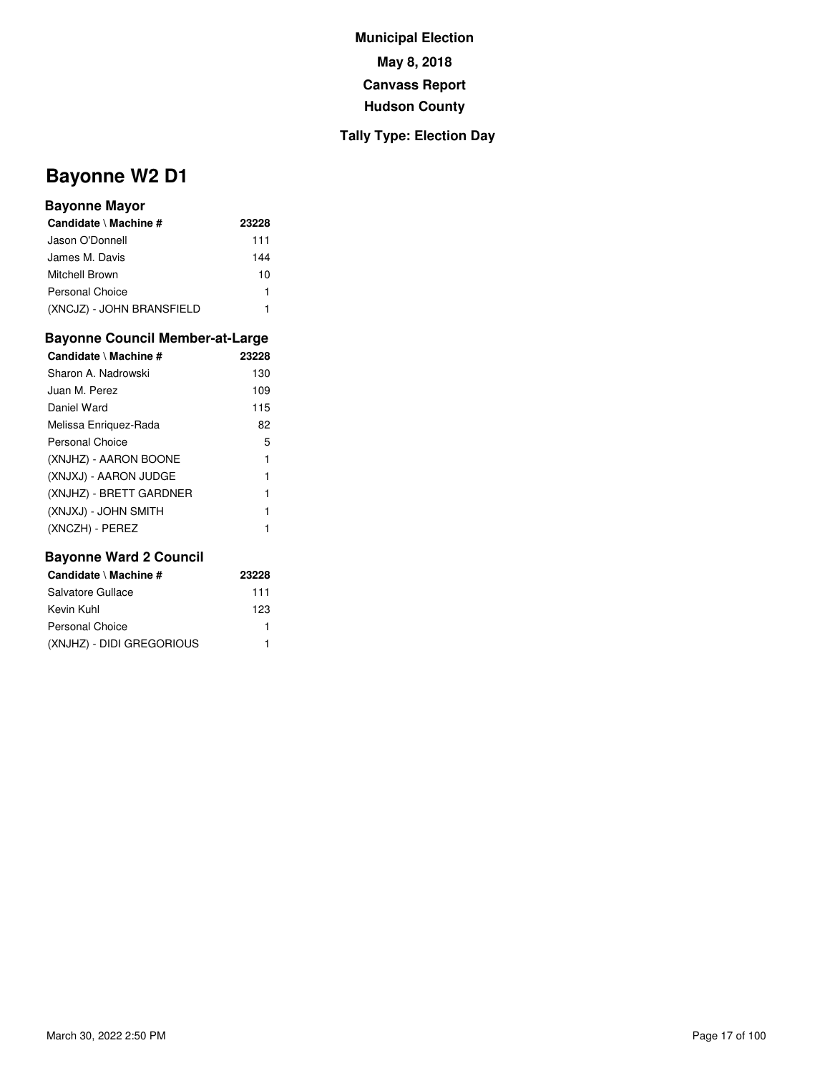## **Tally Type: Election Day**

# **Bayonne W2 D1**

## **Bayonne Mayor**

| Candidate \ Machine #     | 23228 |
|---------------------------|-------|
| Jason O'Donnell           | 111   |
| James M. Davis            | 144   |
| Mitchell Brown            | 10    |
| Personal Choice           | 1     |
| (XNCJZ) - JOHN BRANSFIELD |       |

## **Bayonne Council Member-at-Large**

| Candidate \ Machine #   | 23228 |
|-------------------------|-------|
| Sharon A. Nadrowski     | 130   |
| Juan M. Perez           | 109   |
| Daniel Ward             | 115   |
| Melissa Enriguez-Rada   | 82    |
| Personal Choice         | 5     |
| (XNJHZ) - AARON BOONE   | 1     |
| (XNJXJ) - AARON JUDGE   | 1     |
| (XNJHZ) - BRETT GARDNER | 1     |
| (XNJXJ) - JOHN SMITH    | 1     |
| (XNCZH) - PEREZ         |       |

| Candidate \ Machine #     | 23228 |
|---------------------------|-------|
| Salvatore Gullace         | 111   |
| Kevin Kuhl                | 123   |
| Personal Choice           |       |
| (XNJHZ) - DIDI GREGORIOUS |       |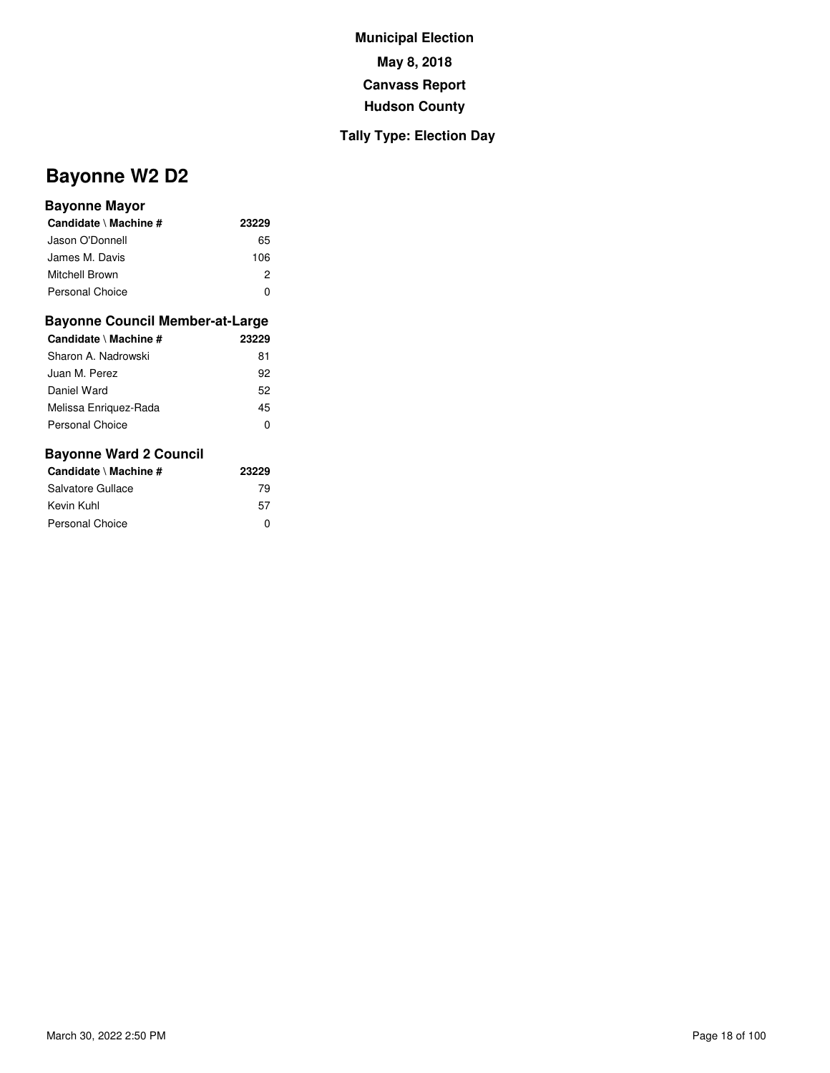## **Tally Type: Election Day**

# **Bayonne W2 D2**

#### **Bayonne Mayor**

| Candidate \ Machine #  | 23229 |
|------------------------|-------|
| Jason O'Donnell        | 65    |
| James M. Davis         | 106   |
| Mitchell Brown         | 2     |
| <b>Personal Choice</b> |       |

#### **Bayonne Council Member-at-Large**

| Candidate \ Machine #  | 23229 |
|------------------------|-------|
| Sharon A. Nadrowski    | 81    |
| Juan M. Perez          | 92    |
| Daniel Ward            | 52    |
| Melissa Enriguez-Rada  | 45    |
| <b>Personal Choice</b> | O     |
|                        |       |

| Candidate \ Machine # | 23229 |
|-----------------------|-------|
| Salvatore Gullace     | 79    |
| Kevin Kuhl            | 57    |
| Personal Choice       | ŋ     |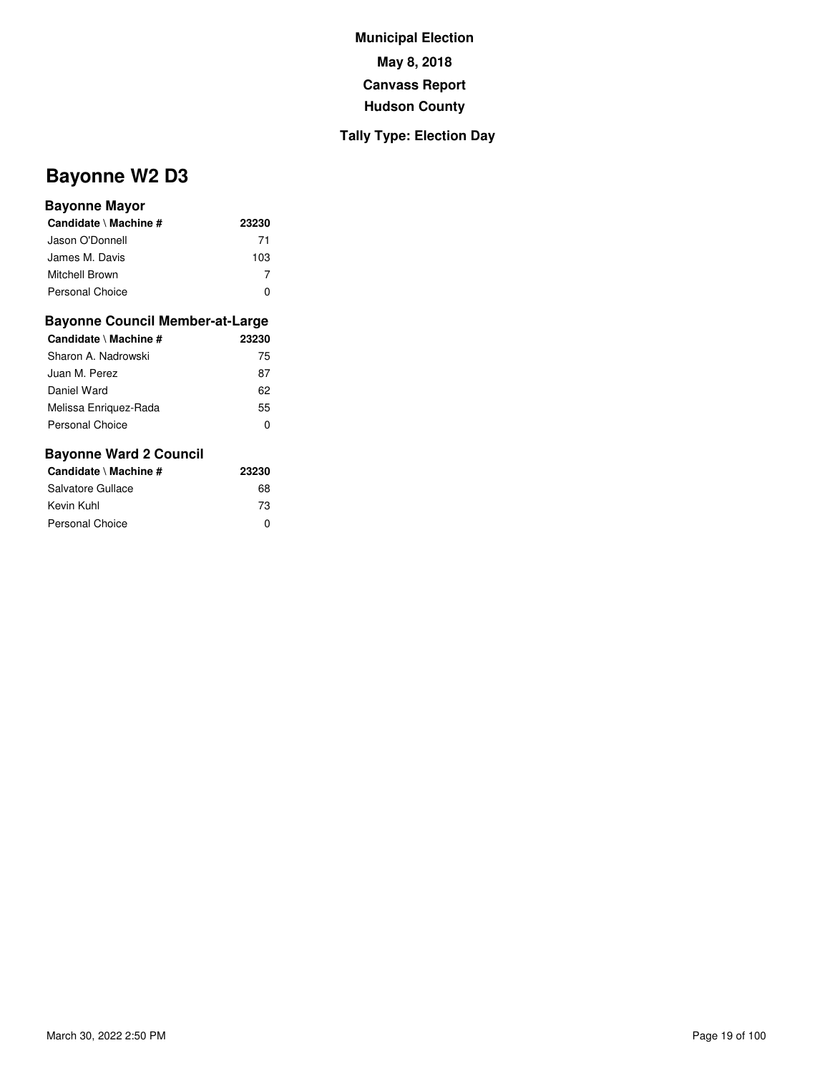## **Tally Type: Election Day**

# **Bayonne W2 D3**

#### **Bayonne Mayor**

| Candidate \ Machine #  | 23230 |
|------------------------|-------|
| Jason O'Donnell        | 71    |
| James M. Davis         | 103   |
| Mitchell Brown         |       |
| <b>Personal Choice</b> |       |

#### **Bayonne Council Member-at-Large**

| Candidate \ Machine #  | 23230 |
|------------------------|-------|
| Sharon A. Nadrowski    | 75    |
| Juan M. Perez          | 87    |
| Daniel Ward            | 62    |
| Melissa Enriguez-Rada  | 55    |
| <b>Personal Choice</b> | 0     |
|                        |       |

| Candidate \ Machine # | 23230 |
|-----------------------|-------|
| Salvatore Gullace     | 68    |
| Kevin Kuhl            | 73    |
| Personal Choice       | ŋ     |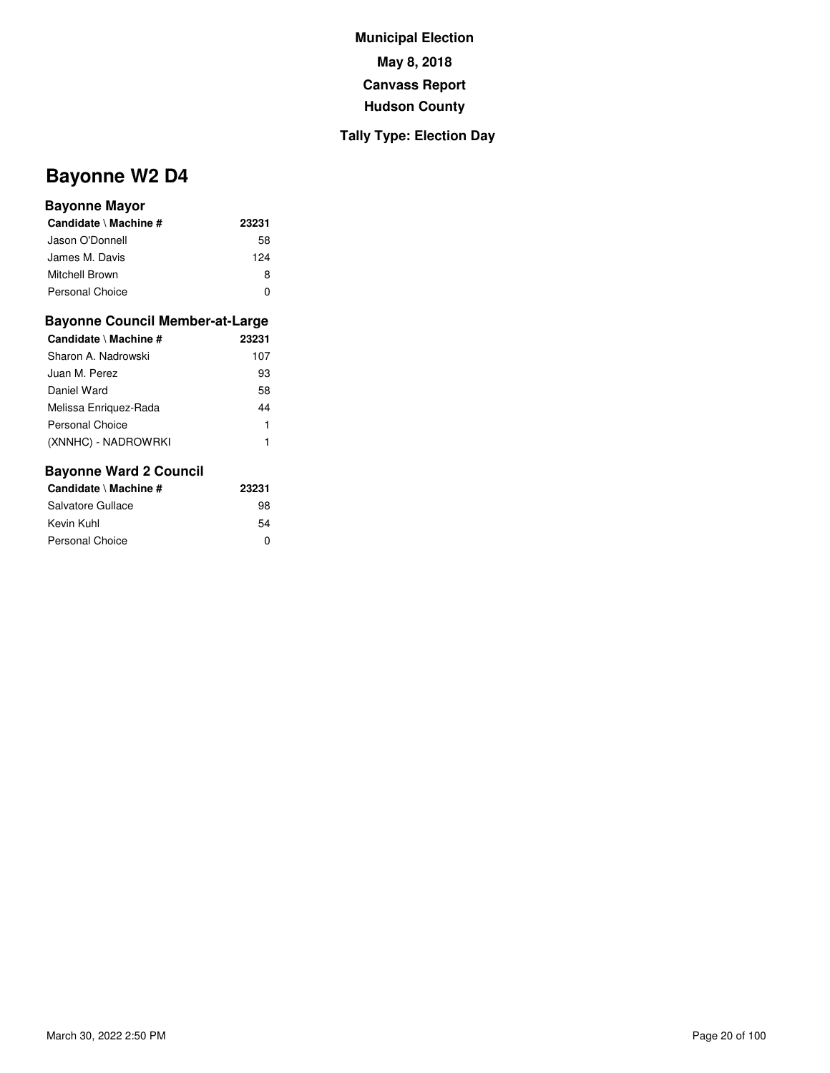## **Tally Type: Election Day**

# **Bayonne W2 D4**

#### **Bayonne Mayor**

| Candidate \ Machine #  | 23231 |
|------------------------|-------|
| Jason O'Donnell        | 58    |
| James M. Davis         | 124   |
| Mitchell Brown         | 8     |
| <b>Personal Choice</b> | n     |

#### **Bayonne Council Member-at-Large**

| Candidate \ Machine # | 23231 |
|-----------------------|-------|
| Sharon A. Nadrowski   | 107   |
| Juan M. Perez         | 93    |
| Daniel Ward           | 58    |
| Melissa Enriguez-Rada | 44    |
| Personal Choice       | 1     |
| (XNNHC) - NADROWRKI   | 1     |

| Candidate \ Machine # | 23231 |
|-----------------------|-------|
| Salvatore Gullace     | 98    |
| Kevin Kuhl            | 54    |
| Personal Choice       | ŋ     |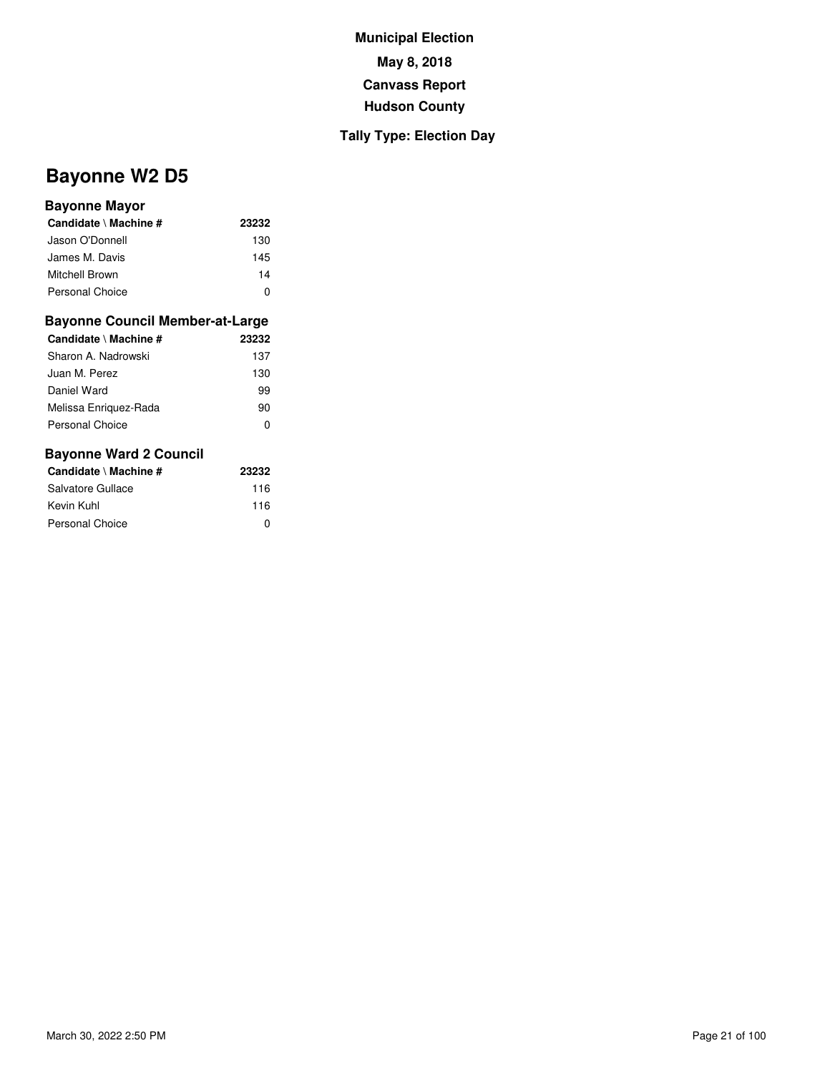## **Tally Type: Election Day**

# **Bayonne W2 D5**

#### **Bayonne Mayor**

| Candidate \ Machine #  | 23232 |
|------------------------|-------|
| Jason O'Donnell        | 130   |
| James M. Davis         | 145   |
| Mitchell Brown         | 14    |
| <b>Personal Choice</b> | O     |

#### **Bayonne Council Member-at-Large**

| Candidate \ Machine # | 23232 |
|-----------------------|-------|
| Sharon A. Nadrowski   | 137   |
| Juan M. Perez         | 130   |
| Daniel Ward           | 99    |
| Melissa Enriquez-Rada | 90    |
| Personal Choice       | O     |

| Candidate \ Machine # | 23232 |
|-----------------------|-------|
| Salvatore Gullace     | 116   |
| Kevin Kuhl            | 116   |
| Personal Choice       | ŋ     |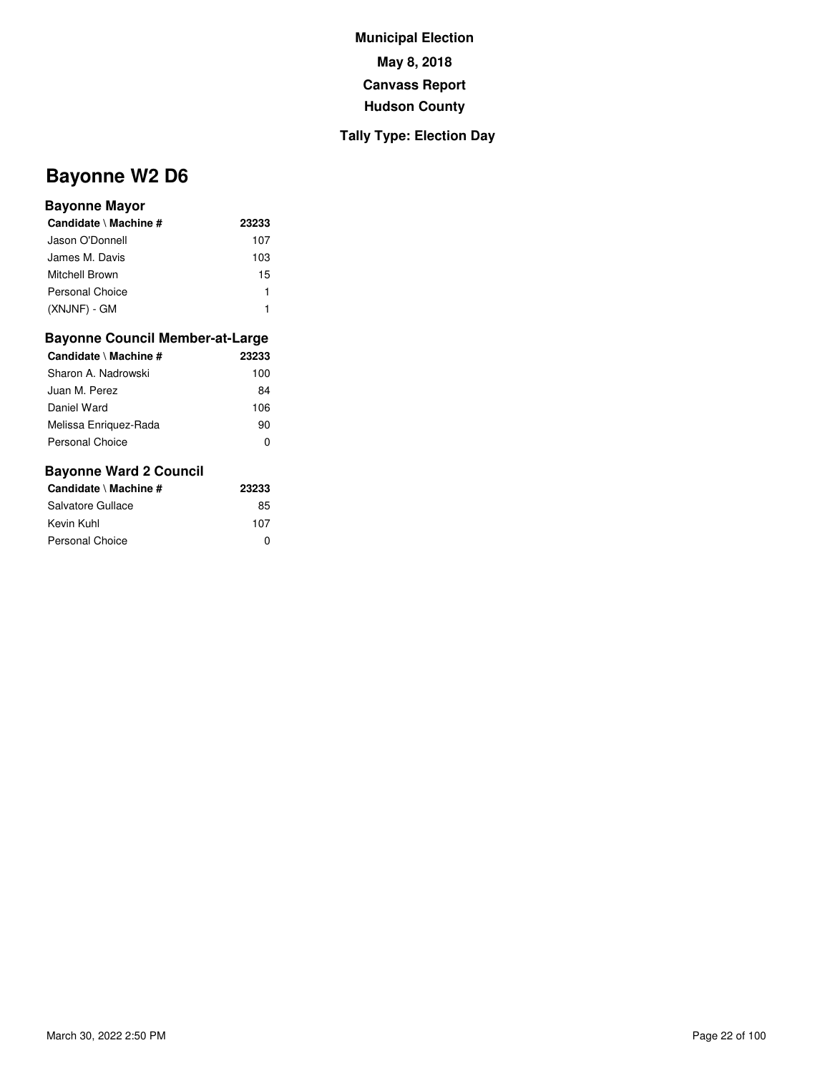### **Tally Type: Election Day**

# **Bayonne W2 D6**

#### **Bayonne Mayor**

| Candidate \ Machine # | 23233 |
|-----------------------|-------|
| Jason O'Donnell       | 107   |
| James M. Davis        | 103   |
| Mitchell Brown        | 15    |
| Personal Choice       | 1     |
| (XNJNF) - GM          |       |

#### **Bayonne Council Member-at-Large**

| Candidate \ Machine # | 23233 |
|-----------------------|-------|
| Sharon A. Nadrowski   | 100   |
| Juan M. Perez         | 84    |
| Daniel Ward           | 106   |
| Melissa Enriguez-Rada | 90    |
| Personal Choice       |       |

| Candidate \ Machine # | 23233 |
|-----------------------|-------|
| Salvatore Gullace     | 85    |
| Kevin Kuhl            | 107   |
| Personal Choice       | ŋ     |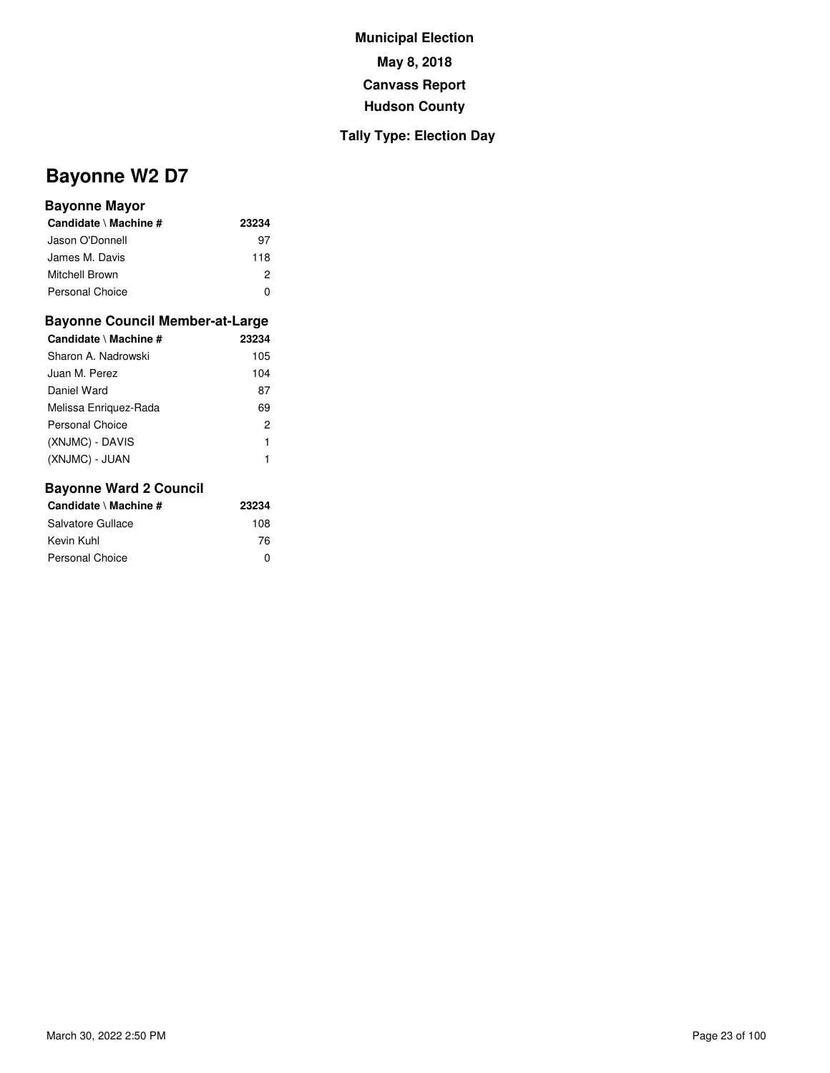## **Tally Type: Election Day**

# **Bayonne W2 D7**

#### **Bayonne Mayor**

| Candidate \ Machine #  | 23234 |
|------------------------|-------|
| Jason O'Donnell        | 97    |
| James M. Davis         | 118   |
| Mitchell Brown         | 2     |
| <b>Personal Choice</b> |       |

#### **Bayonne Council Member-at-Large**

| Candidate \ Machine # | 23234 |
|-----------------------|-------|
| Sharon A. Nadrowski   | 105   |
| Juan M. Perez         | 104   |
| Daniel Ward           | 87    |
| Melissa Enriguez-Rada | 69    |
| Personal Choice       | 2     |
| (XNJMC) - DAVIS       | 1     |
| (XNJMC) - JUAN        | 1     |
|                       |       |

| Candidate \ Machine #  | 23234 |
|------------------------|-------|
| Salvatore Gullace      | 108   |
| Kevin Kuhl             | 76    |
| <b>Personal Choice</b> | n     |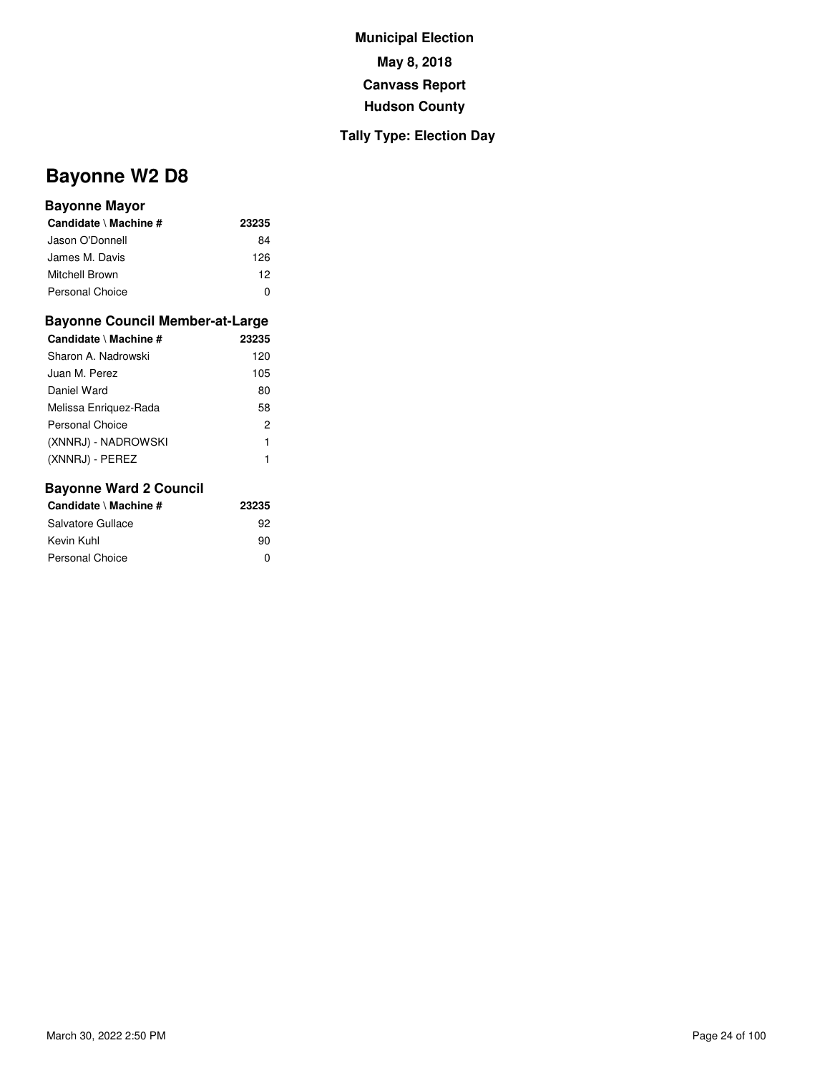## **Tally Type: Election Day**

# **Bayonne W2 D8**

#### **Bayonne Mayor**

| Candidate \ Machine #  | 23235 |
|------------------------|-------|
| Jason O'Donnell        | 84    |
| James M. Davis         | 126   |
| Mitchell Brown         | 12    |
| <b>Personal Choice</b> | O     |

#### **Bayonne Council Member-at-Large**

| Candidate \ Machine # | 23235 |
|-----------------------|-------|
| Sharon A. Nadrowski   | 120   |
| Juan M. Perez         | 105   |
| Daniel Ward           | 80    |
| Melissa Enriguez-Rada | 58    |
| Personal Choice       | 2     |
| (XNNRJ) - NADROWSKI   | 1     |
| (XNNRJ) - PEREZ       | 1     |
|                       |       |

| Candidate \ Machine # | 23235 |
|-----------------------|-------|
| Salvatore Gullace     | 92    |
| Kevin Kuhl            | 90    |
| Personal Choice       | n     |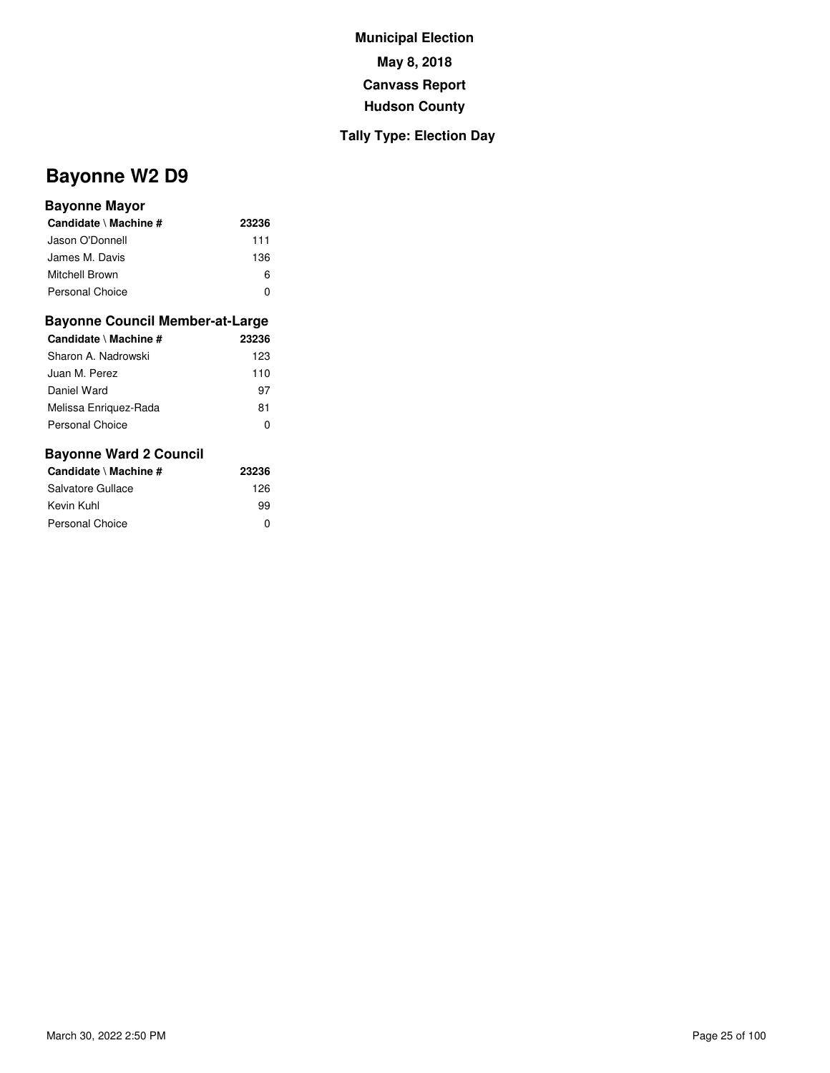## **Tally Type: Election Day**

# **Bayonne W2 D9**

#### **Bayonne Mayor**

| Candidate \ Machine #  | 23236 |
|------------------------|-------|
| Jason O'Donnell        | 111   |
| James M. Davis         | 136   |
| Mitchell Brown         | ห     |
| <b>Personal Choice</b> |       |

#### **Bayonne Council Member-at-Large**

| Candidate \ Machine #  | 23236 |
|------------------------|-------|
| Sharon A. Nadrowski    | 123   |
| Juan M. Perez          | 110   |
| Daniel Ward            | 97    |
| Melissa Enriguez-Rada  | 81    |
| <b>Personal Choice</b> | 0     |

| Candidate \ Machine # | 23236 |  |
|-----------------------|-------|--|
| Salvatore Gullace     | 126   |  |
| Kevin Kuhl            | 99    |  |
| Personal Choice       | ŋ     |  |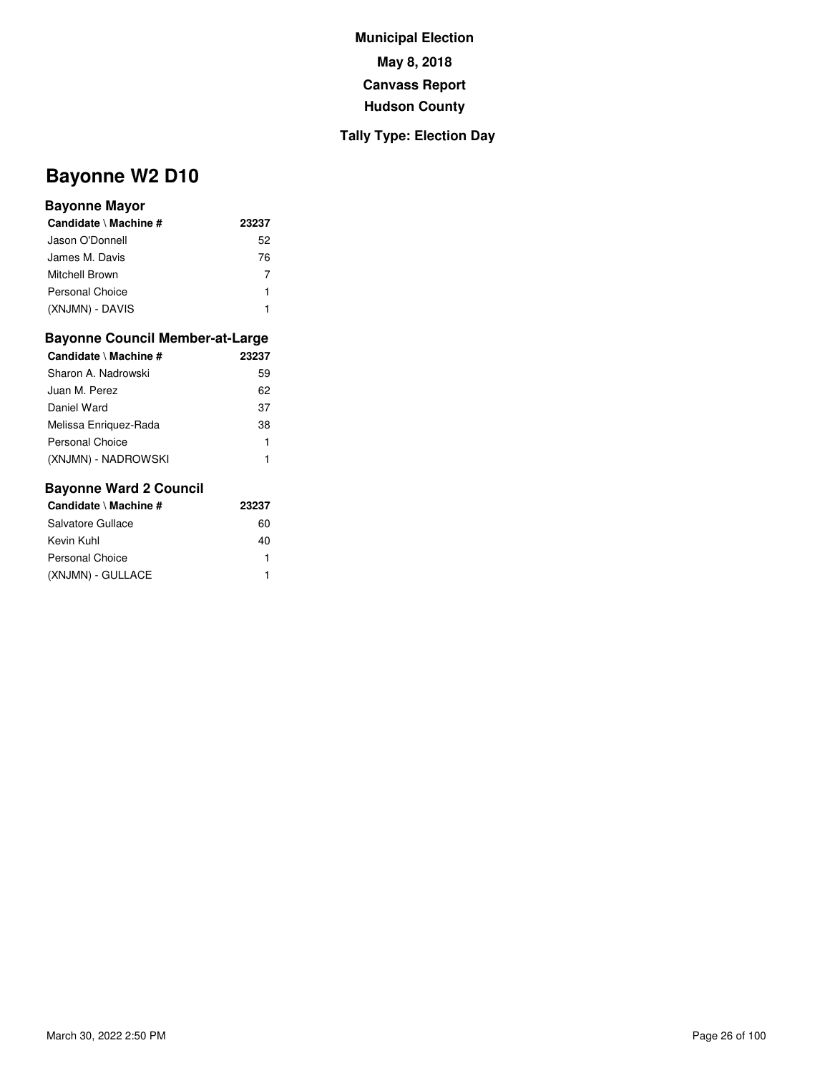## **Tally Type: Election Day**

# **Bayonne W2 D10**

### **Bayonne Mayor**

| Candidate \ Machine # | 23237 |
|-----------------------|-------|
| Jason O'Donnell       | 52    |
| James M. Davis        | 76    |
| Mitchell Brown        | 7     |
| Personal Choice       | 1     |
| (XNJMN) - DAVIS       |       |

#### **Bayonne Council Member-at-Large**

| Candidate \ Machine # | 23237 |
|-----------------------|-------|
| Sharon A. Nadrowski   | 59    |
| Juan M. Perez         | 62    |
| Daniel Ward           | 37    |
| Melissa Enriquez-Rada | 38    |
| Personal Choice       | 1     |
| (XNJMN) - NADROWSKI   |       |

| Candidate \ Machine # | 23237 |
|-----------------------|-------|
| Salvatore Gullace     | 60    |
| Kevin Kuhl            | 40    |
| Personal Choice       |       |
| (XNJMN) - GULLACE     |       |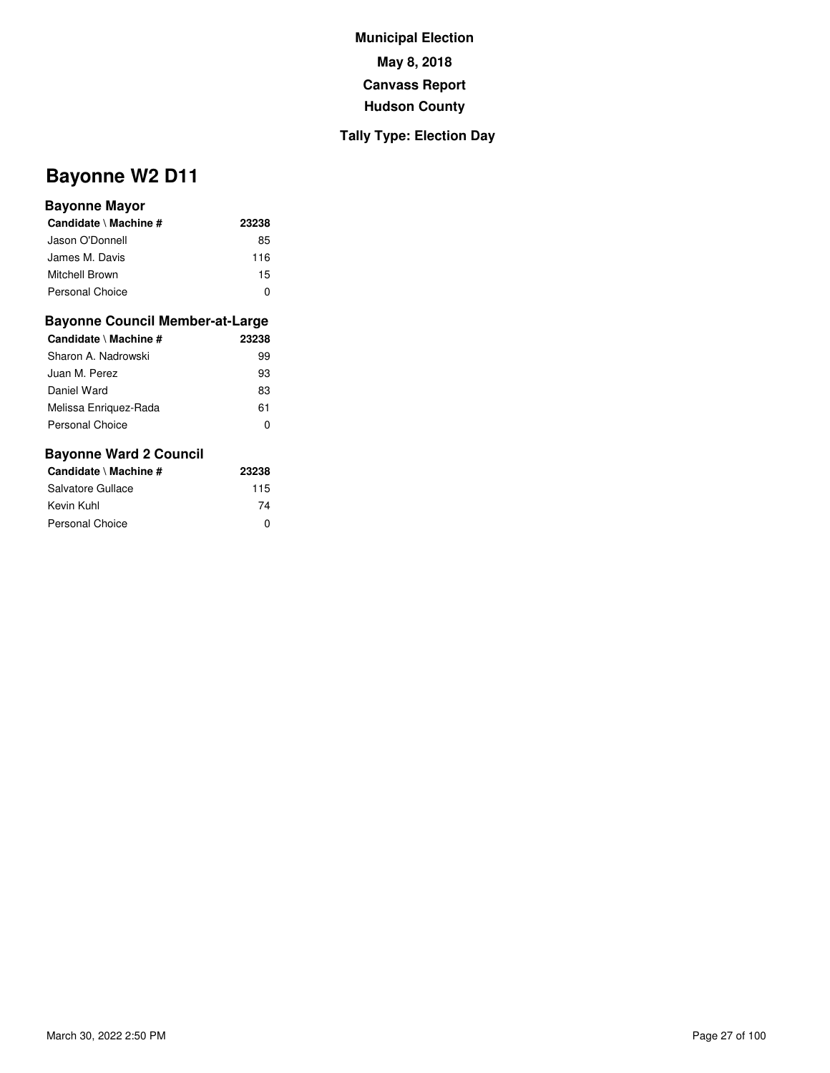## **Tally Type: Election Day**

# **Bayonne W2 D11**

#### **Bayonne Mayor**

| Candidate \ Machine # | 23238 |
|-----------------------|-------|
| Jason O'Donnell       | 85    |
| James M. Davis        | 116   |
| Mitchell Brown        | 15    |
| Personal Choice       | n     |

#### **Bayonne Council Member-at-Large**

| Candidate \ Machine # | 23238 |
|-----------------------|-------|
| Sharon A. Nadrowski   | 99    |
| Juan M. Perez         | 93    |
| Daniel Ward           | 83    |
| Melissa Enriguez-Rada | 61    |
| Personal Choice       | 0     |
|                       |       |

| Candidate \ Machine # | 23238 |  |
|-----------------------|-------|--|
| Salvatore Gullace     | 115   |  |
| Kevin Kuhl            | 74    |  |
| Personal Choice       | ŋ     |  |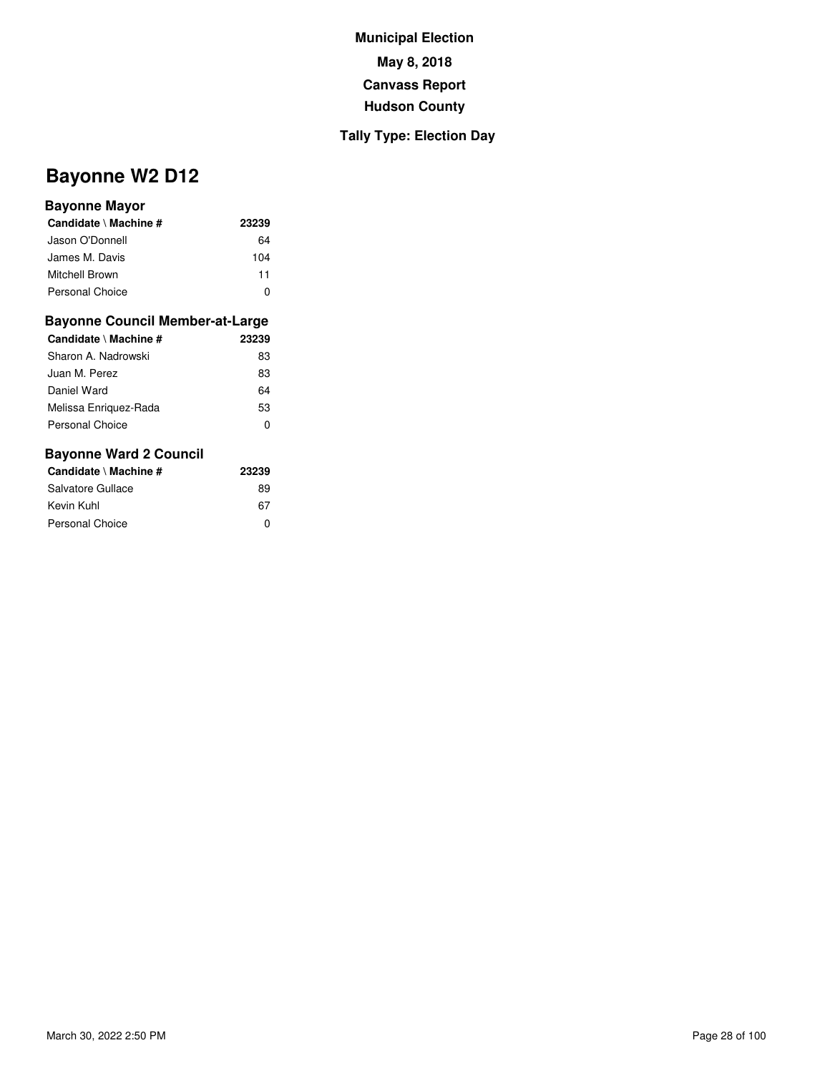## **Tally Type: Election Day**

# **Bayonne W2 D12**

#### **Bayonne Mayor**

| Candidate \ Machine # | 23239 |
|-----------------------|-------|
| Jason O'Donnell       | 64    |
| James M. Davis        | 104   |
| Mitchell Brown        | 11    |
| Personal Choice       |       |

#### **Bayonne Council Member-at-Large**

| Candidate \ Machine # | 23239 |
|-----------------------|-------|
| Sharon A. Nadrowski   | 83    |
| Juan M. Perez         | 83    |
| Daniel Ward           | 64    |
| Melissa Enriguez-Rada | 53    |
| Personal Choice       | O     |

| Candidate \ Machine # | 23239 |
|-----------------------|-------|
| Salvatore Gullace     | 89    |
| Kevin Kuhl            | 67    |
| Personal Choice       | ŋ     |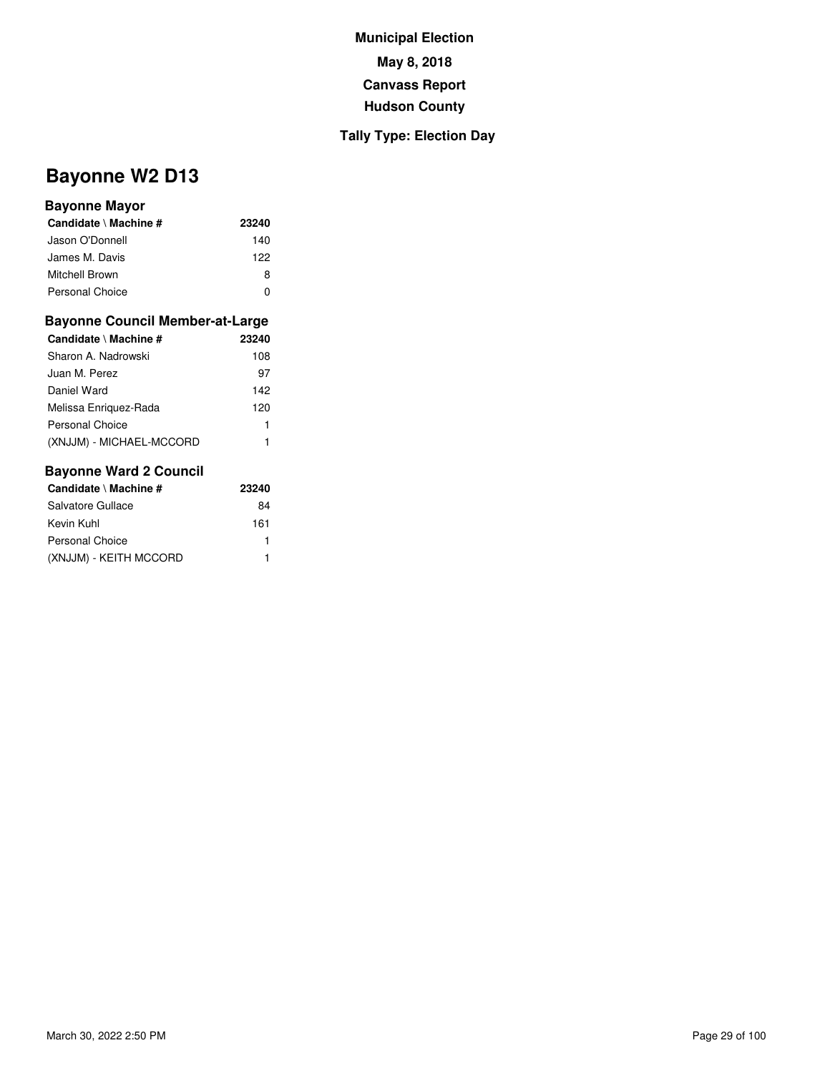## **Tally Type: Election Day**

# **Bayonne W2 D13**

#### **Bayonne Mayor**

| Candidate \ Machine #  | 23240 |
|------------------------|-------|
| Jason O'Donnell        | 140   |
| James M. Davis         | 122   |
| Mitchell Brown         | 8     |
| <b>Personal Choice</b> | n     |

#### **Bayonne Council Member-at-Large**

| Candidate \ Machine #    | 23240 |
|--------------------------|-------|
| Sharon A. Nadrowski      | 108   |
| Juan M. Perez            | 97    |
| Daniel Ward              | 142   |
| Melissa Enriguez-Rada    | 120   |
| Personal Choice          | 1     |
| (XNJJM) - MICHAEL-MCCORD |       |

| Candidate \ Machine #  | 23240 |
|------------------------|-------|
| Salvatore Gullace      | 84    |
| Kevin Kuhl             | 161   |
| Personal Choice        |       |
| (XNJJM) - KEITH MCCORD |       |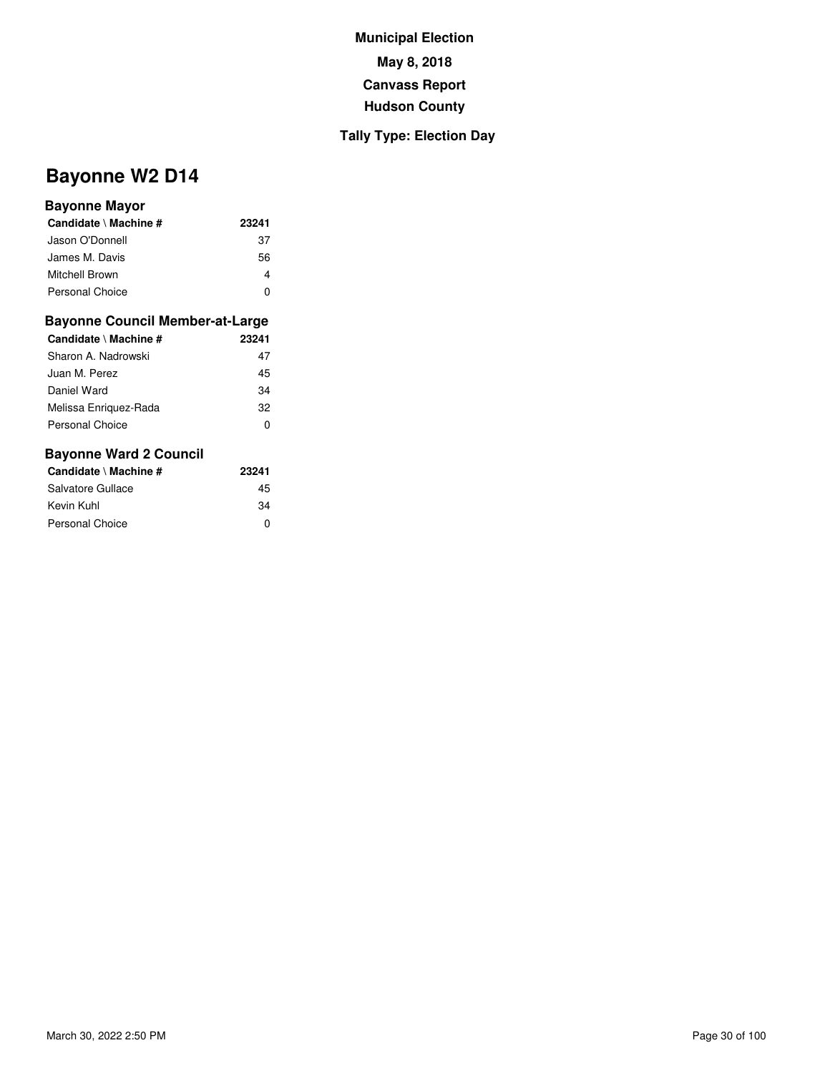## **Tally Type: Election Day**

# **Bayonne W2 D14**

#### **Bayonne Mayor**

| Candidate \ Machine # | 23241 |
|-----------------------|-------|
| Jason O'Donnell       | 37    |
| James M. Davis        | 56    |
| <b>Mitchell Brown</b> | 4     |
| Personal Choice       | ŋ     |

#### **Bayonne Council Member-at-Large**

| Candidate \ Machine #  | 23241 |
|------------------------|-------|
| Sharon A. Nadrowski    | 47    |
| Juan M. Perez          | 45    |
| Daniel Ward            | 34    |
| Melissa Enriguez-Rada  | 32    |
| <b>Personal Choice</b> | 0     |
|                        |       |

| Candidate \ Machine # | 23241 |
|-----------------------|-------|
| Salvatore Gullace     | 45    |
| Kevin Kuhl            | 34    |
| Personal Choice       | ŋ     |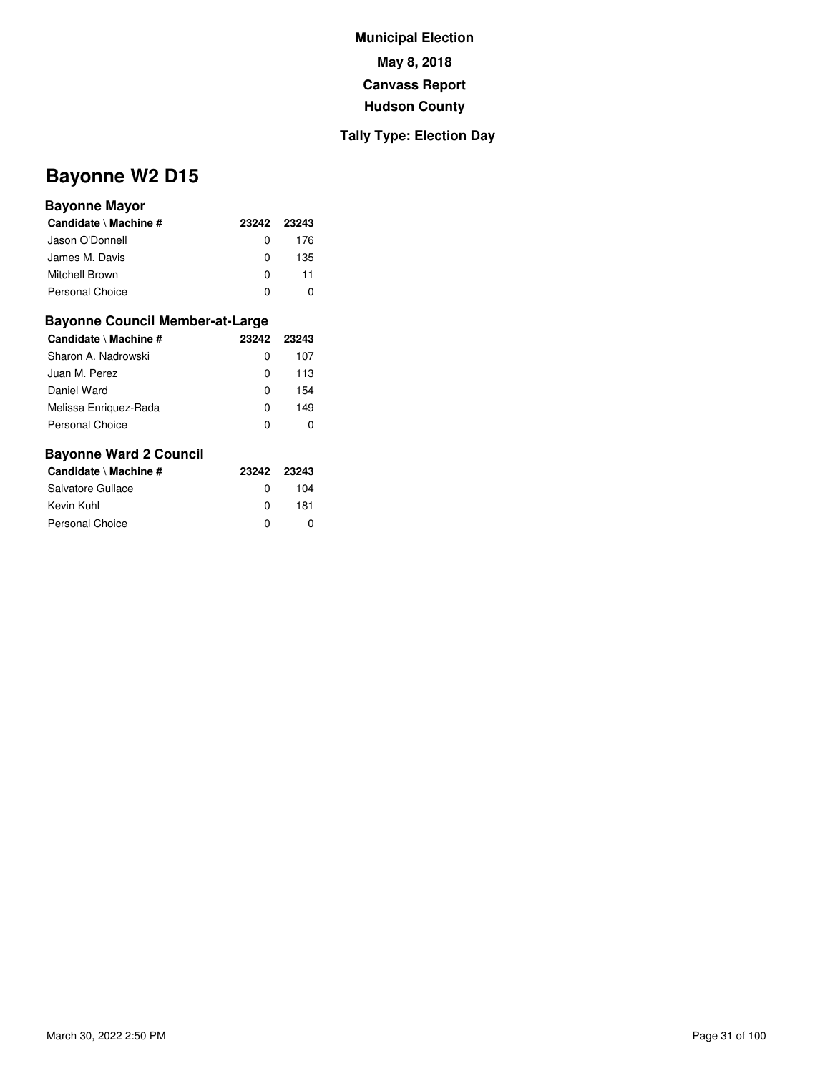### **Tally Type: Election Day**

# **Bayonne W2 D15**

#### **Bayonne Mayor**

| Candidate \ Machine #  |    | 23242 23243 |
|------------------------|----|-------------|
| Jason O'Donnell        | O. | 176         |
| James M. Davis         | O  | 135         |
| Mitchell Brown         | O  | 11          |
| <b>Personal Choice</b> | O  |             |

#### **Bayonne Council Member-at-Large**

| Candidate \ Machine # | 23242 23243 |     |
|-----------------------|-------------|-----|
| Sharon A. Nadrowski   | 0           | 107 |
| Juan M. Perez         | 0           | 113 |
| Daniel Ward           | 0           | 154 |
| Melissa Enriguez-Rada | 0           | 149 |
| Personal Choice       | 0           |     |

| Candidate \ Machine # | 23242 23243  |     |
|-----------------------|--------------|-----|
| Salvatore Gullace     | 0            | 104 |
| Kevin Kuhl            | <sup>0</sup> | 181 |
| Personal Choice       | <sup>0</sup> | O   |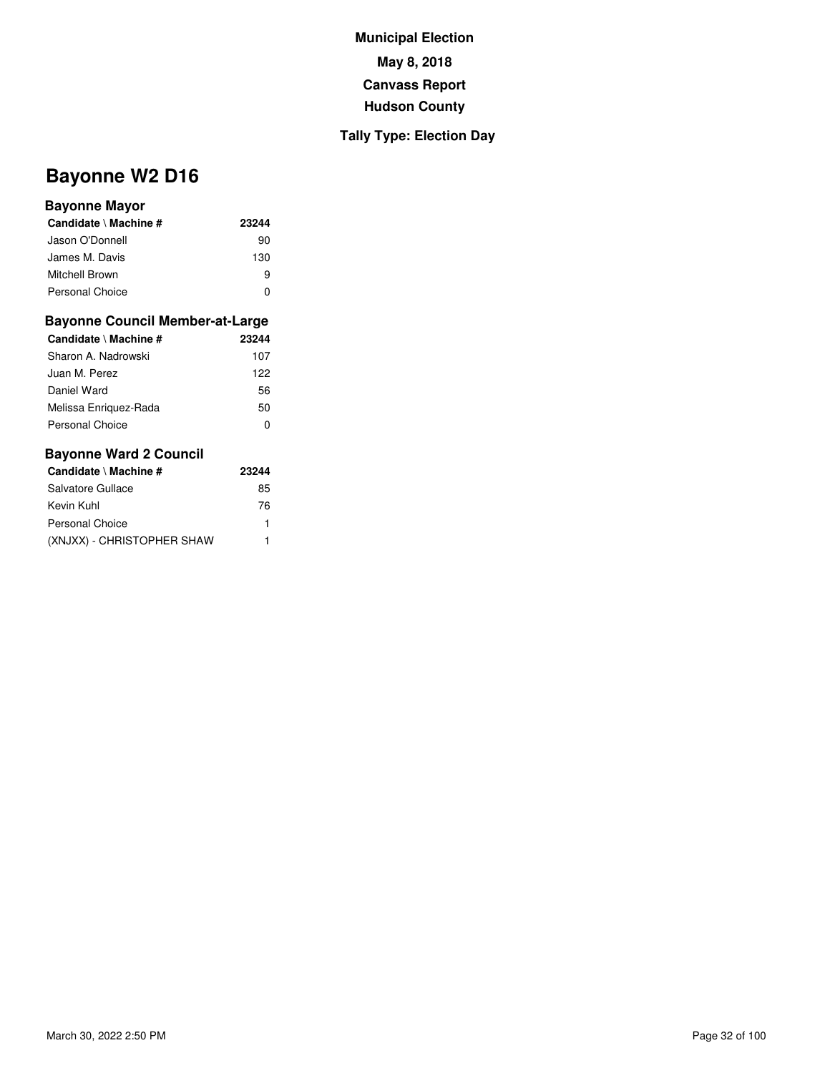## **Tally Type: Election Day**

# **Bayonne W2 D16**

#### **Bayonne Mayor**

| Candidate \ Machine # | 23244 |
|-----------------------|-------|
| Jason O'Donnell       | 90    |
| James M. Davis        | 130   |
| Mitchell Brown        | 9     |
| Personal Choice       | 0     |

#### **Bayonne Council Member-at-Large**

| Candidate \ Machine # | 23244 |
|-----------------------|-------|
| Sharon A. Nadrowski   | 107   |
| Juan M. Perez         | 122   |
| Daniel Ward           | 56    |
| Melissa Enriquez-Rada | 50    |
| Personal Choice       | O     |

| Candidate \ Machine #      | 23244 |
|----------------------------|-------|
| Salvatore Gullace          | 85    |
| Kevin Kuhl                 | 76    |
| Personal Choice            | 1     |
| (XNJXX) - CHRISTOPHER SHAW |       |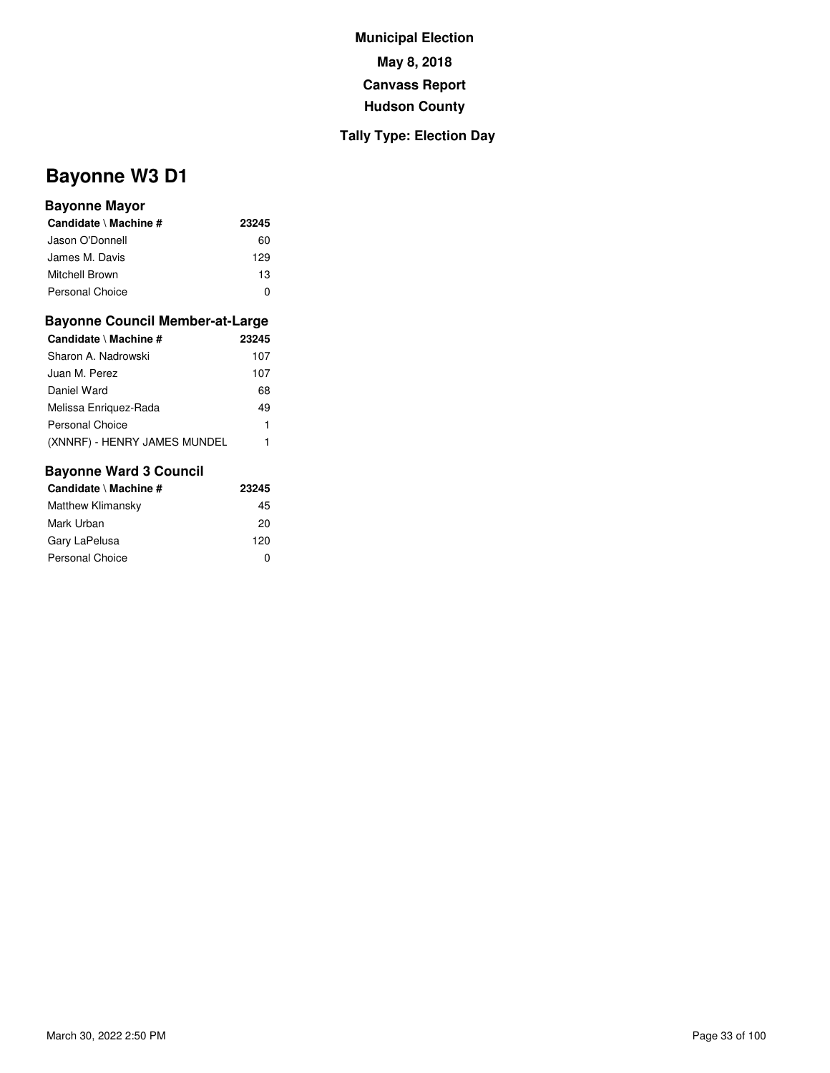## **Tally Type: Election Day**

# **Bayonne W3 D1**

#### **Bayonne Mayor**

| Candidate \ Machine #  | 23245        |
|------------------------|--------------|
| Jason O'Donnell        | 60           |
| James M. Davis         | 129          |
| Mitchell Brown         | 13           |
| <b>Personal Choice</b> | $\mathbf{I}$ |

#### **Bayonne Council Member-at-Large**

| Candidate \ Machine #        | 23245 |
|------------------------------|-------|
| Sharon A. Nadrowski          | 107   |
| Juan M. Perez                | 107   |
| Daniel Ward                  | 68    |
| Melissa Enriguez-Rada        | 49    |
| Personal Choice              |       |
| (XNNRF) - HENRY JAMES MUNDEL |       |

| Candidate \ Machine #  | 23245 |
|------------------------|-------|
| Matthew Klimansky      | 45    |
| Mark Urban             | 20    |
| Gary LaPelusa          | 120   |
| <b>Personal Choice</b> | 0     |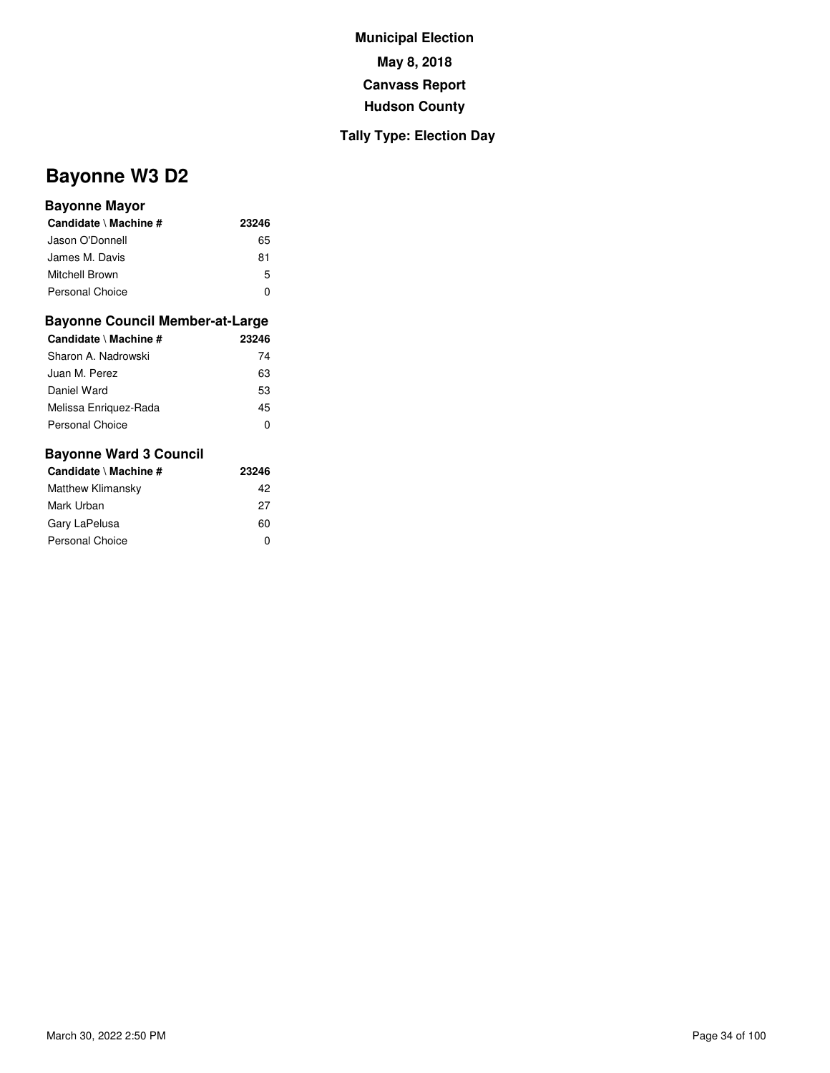## **Tally Type: Election Day**

# **Bayonne W3 D2**

#### **Bayonne Mayor**

| Candidate \ Machine #  | 23246 |
|------------------------|-------|
| Jason O'Donnell        | 65    |
| James M. Davis         | 81    |
| Mitchell Brown         | 5     |
| <b>Personal Choice</b> | ŋ     |

#### **Bayonne Council Member-at-Large**

| Candidate \ Machine # | 23246 |
|-----------------------|-------|
| Sharon A. Nadrowski   | 74    |
| Juan M. Perez         | 63    |
| Daniel Ward           | 53    |
| Melissa Enriguez-Rada | 45    |
| Personal Choice       | O     |

| Candidate \ Machine # | 23246 |  |
|-----------------------|-------|--|
| Matthew Klimansky     | 42    |  |
| Mark Urban            | 27    |  |
| Gary LaPelusa         | 60    |  |
| Personal Choice       | o     |  |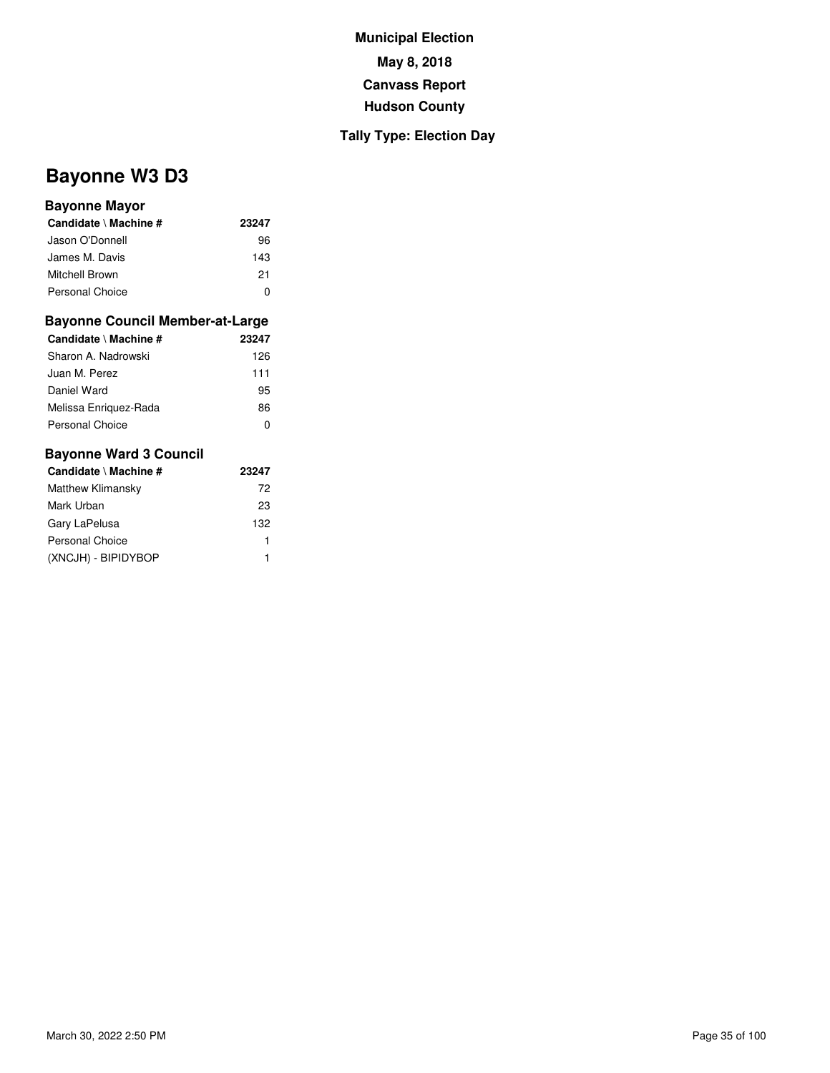## **Tally Type: Election Day**

# **Bayonne W3 D3**

#### **Bayonne Mayor**

| Candidate \ Machine #  | 23247 |
|------------------------|-------|
| Jason O'Donnell        | 96    |
| James M. Davis         | 143   |
| Mitchell Brown         | 21    |
| <b>Personal Choice</b> | O     |

#### **Bayonne Council Member-at-Large**

| Candidate \ Machine #  | 23247 |
|------------------------|-------|
| Sharon A. Nadrowski    | 126   |
| Juan M. Perez          | 111   |
| Daniel Ward            | 95    |
| Melissa Enriguez-Rada  | 86    |
| <b>Personal Choice</b> | 0     |

| Candidate \ Machine # | 23247 |
|-----------------------|-------|
| Matthew Klimansky     | 72    |
| Mark Urban            | 23    |
| Gary LaPelusa         | 132   |
| Personal Choice       | 1     |
| (XNCJH) - BIPIDYBOP   | 1     |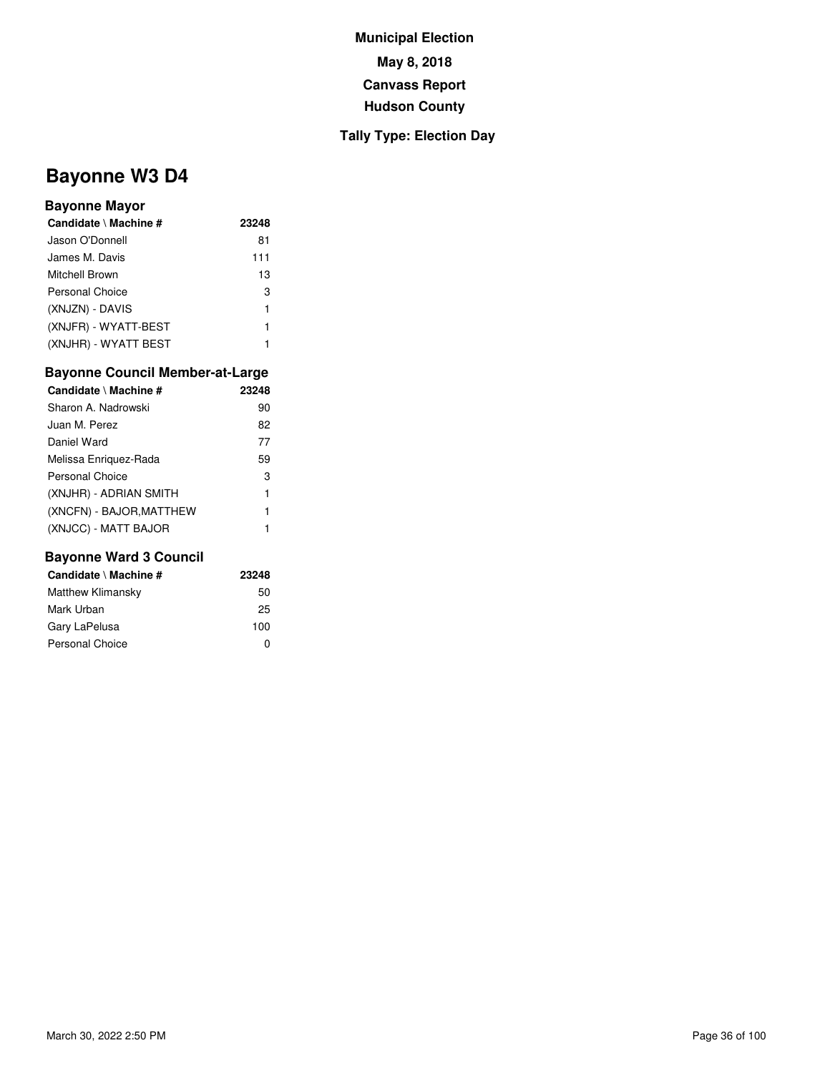## **Tally Type: Election Day**

# **Bayonne W3 D4**

#### **Bayonne Mayor**

| Candidate \ Machine #  | 23248 |
|------------------------|-------|
| Jason O'Donnell        | 81    |
| James M. Davis         | 111   |
| Mitchell Brown         | 13    |
| <b>Personal Choice</b> | 3     |
| (XNJZN) - DAVIS        | 1     |
| (XNJFR) - WYATT-BEST   | 1     |
| (XNJHR) - WYATT BEST   | 1     |

#### **Bayonne Council Member-at-Large**

| Candidate \ Machine #    | 23248 |
|--------------------------|-------|
| Sharon A. Nadrowski      | 90    |
| Juan M. Perez            | 82    |
| Daniel Ward              | 77    |
| Melissa Enriguez-Rada    | 59    |
| Personal Choice          | 3     |
| (XNJHR) - ADRIAN SMITH   | 1     |
| (XNCFN) - BAJOR, MATTHEW | 1     |
| (XNJCC) - MATT BAJOR     |       |

| Candidate \ Machine #  | 23248 |
|------------------------|-------|
| Matthew Klimansky      | 50    |
| Mark Urban             | 25    |
| Gary LaPelusa          | 100   |
| <b>Personal Choice</b> | O     |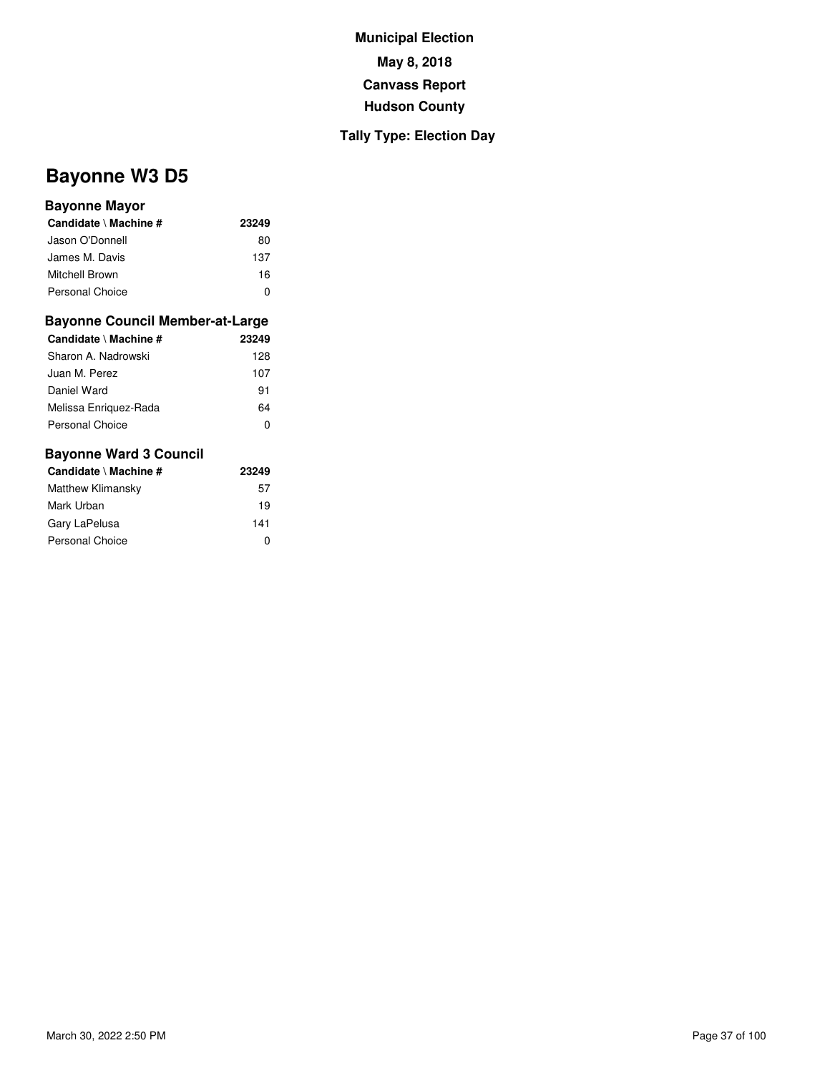### **Tally Type: Election Day**

# **Bayonne W3 D5**

#### **Bayonne Mayor**

| Candidate \ Machine # | 23249 |
|-----------------------|-------|
| Jason O'Donnell       | 80    |
| James M. Davis        | 137   |
| Mitchell Brown        | 16    |
| Personal Choice       | 0     |

#### **Bayonne Council Member-at-Large**

| Candidate \ Machine # | 23249 |
|-----------------------|-------|
| Sharon A. Nadrowski   | 128   |
| Juan M. Perez         | 107   |
| Daniel Ward           | 91    |
| Melissa Enriguez-Rada | 64    |
| Personal Choice       | O     |

| Candidate \ Machine # | 23249 |
|-----------------------|-------|
| Matthew Klimansky     | 57    |
| Mark Urban            | 19    |
| Gary LaPelusa         | 141   |
| Personal Choice       | 0     |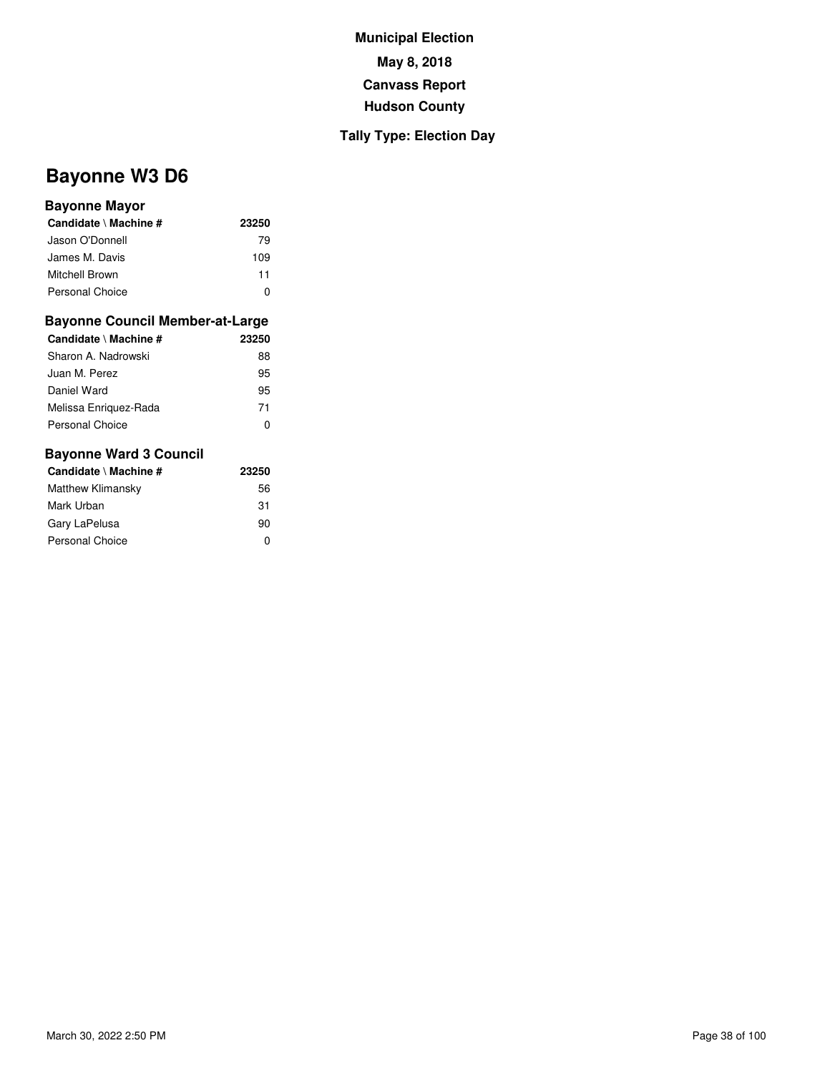### **Tally Type: Election Day**

# **Bayonne W3 D6**

### **Bayonne Mayor**

| Candidate \ Machine #  | 23250 |
|------------------------|-------|
| Jason O'Donnell        | 79    |
| James M. Davis         | 109   |
| Mitchell Brown         | 11    |
| <b>Personal Choice</b> |       |

#### **Bayonne Council Member-at-Large**

| Candidate \ Machine # | 23250 |
|-----------------------|-------|
| Sharon A. Nadrowski   | 88    |
| Juan M. Perez         | 95    |
| Daniel Ward           | 95    |
| Melissa Enriguez-Rada | 71    |
| Personal Choice       | 0     |

| Candidate \ Machine #  | 23250 |
|------------------------|-------|
| Matthew Klimansky      | 56    |
| Mark Urban             | 31    |
| Gary LaPelusa          | 90    |
| <b>Personal Choice</b> | O     |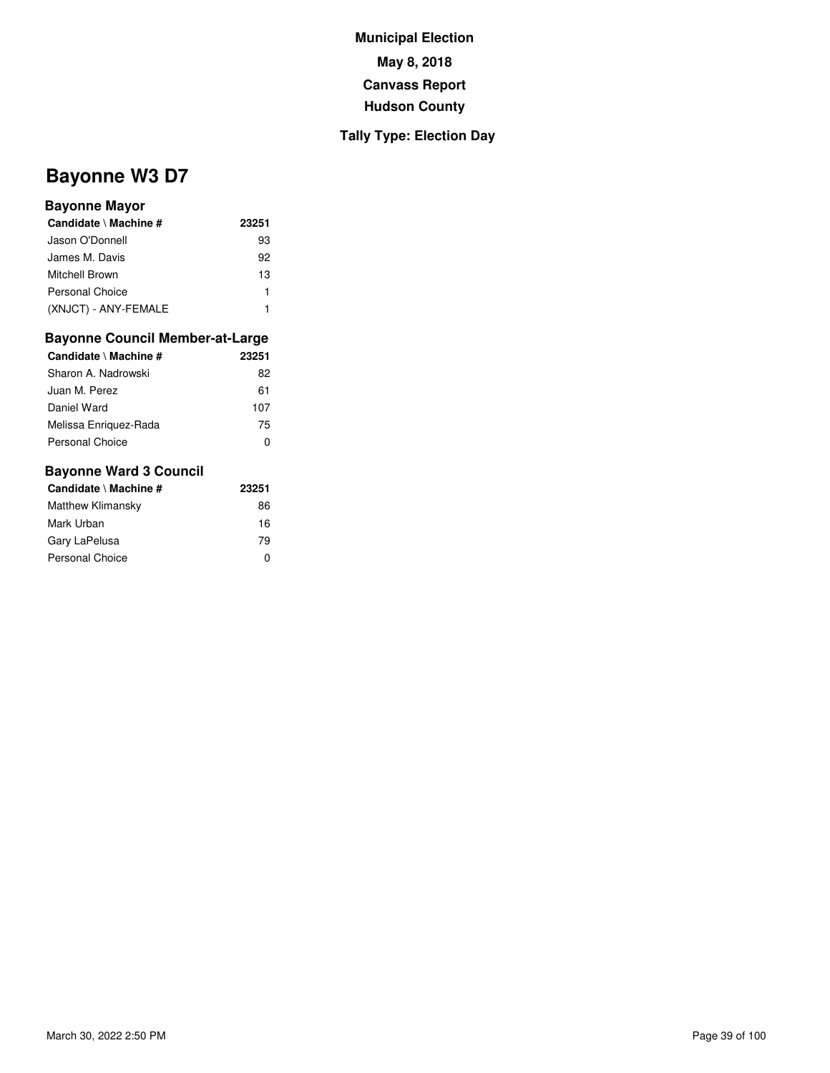### **Tally Type: Election Day**

# **Bayonne W3 D7**

### **Bayonne Mayor**

| Candidate \ Machine # | 23251 |
|-----------------------|-------|
| Jason O'Donnell       | 93    |
| James M. Davis        | 92    |
| Mitchell Brown        | 13    |
| Personal Choice       |       |
| (XNJCT) - ANY-FEMALE  |       |

#### **Bayonne Council Member-at-Large**

| Candidate \ Machine # | 23251 |
|-----------------------|-------|
| Sharon A. Nadrowski   | 82    |
| Juan M. Perez         | 61    |
| Daniel Ward           | 107   |
| Melissa Enriguez-Rada | 75    |
| Personal Choice       | 0     |

| Candidate \ Machine #  | 23251 |
|------------------------|-------|
| Matthew Klimansky      | 86    |
| Mark Urban             | 16    |
| Gary LaPelusa          | 79    |
| <b>Personal Choice</b> | ŋ     |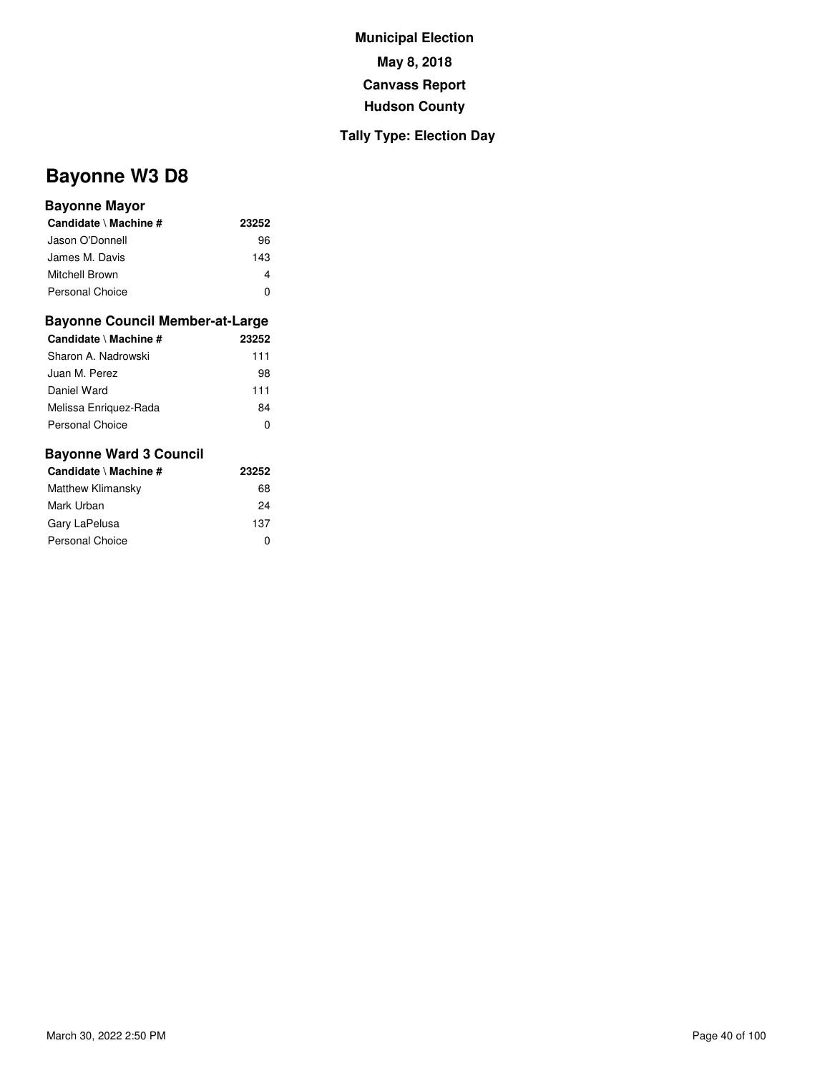### **Tally Type: Election Day**

# **Bayonne W3 D8**

#### **Bayonne Mayor**

| Candidate \ Machine #  | 23252 |
|------------------------|-------|
| Jason O'Donnell        | 96    |
| James M. Davis         | 143   |
| Mitchell Brown         |       |
| <b>Personal Choice</b> |       |

#### **Bayonne Council Member-at-Large**

| Candidate \ Machine # | 23252 |
|-----------------------|-------|
| Sharon A. Nadrowski   | 111   |
| Juan M. Perez         | 98    |
| Daniel Ward           | 111   |
| Melissa Enriguez-Rada | 84    |
| Personal Choice       | O     |

| Candidate \ Machine #  | 23252 |
|------------------------|-------|
| Matthew Klimansky      | 68    |
| Mark Urban             | 24    |
| Gary LaPelusa          | 137   |
| <b>Personal Choice</b> | 0     |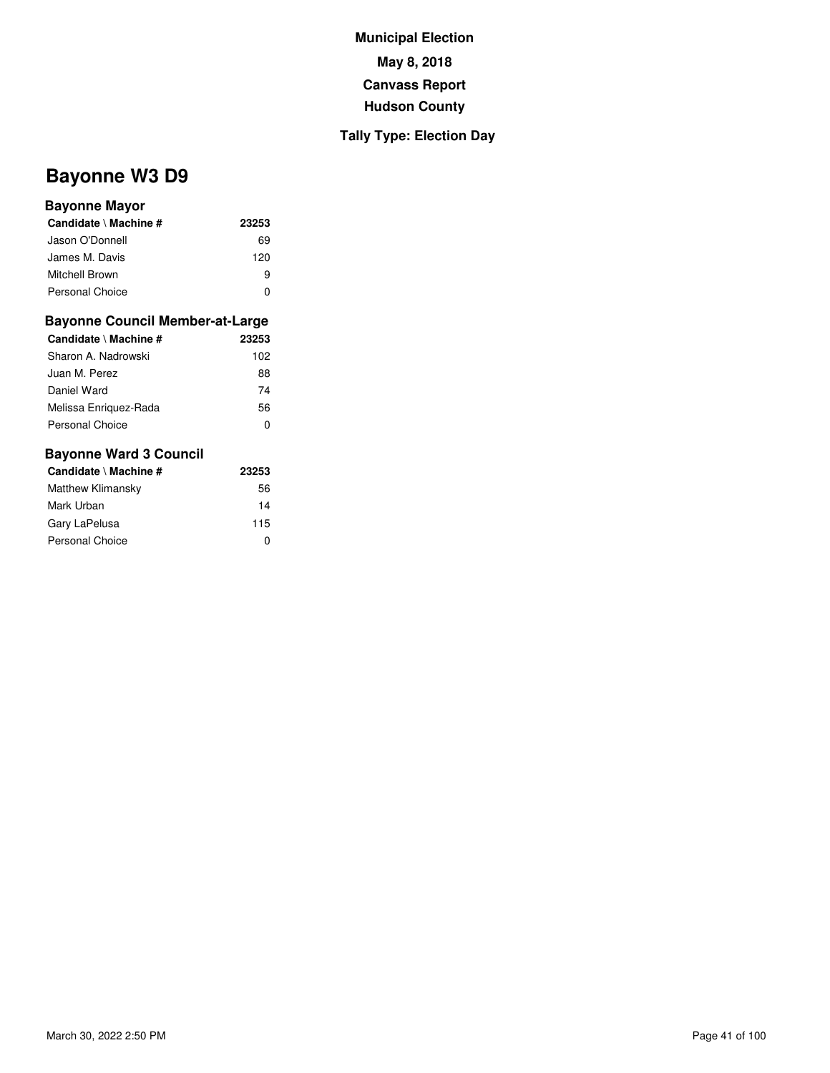### **Tally Type: Election Day**

# **Bayonne W3 D9**

### **Bayonne Mayor**

| Candidate \ Machine #  | 23253 |
|------------------------|-------|
| Jason O'Donnell        | 69    |
| James M. Davis         | 120   |
| Mitchell Brown         | я     |
| <b>Personal Choice</b> |       |

#### **Bayonne Council Member-at-Large**

| Candidate \ Machine # | 23253 |
|-----------------------|-------|
| Sharon A. Nadrowski   | 102   |
| Juan M. Perez         | 88    |
| Daniel Ward           | 74    |
| Melissa Enriguez-Rada | 56    |
| Personal Choice       | O     |

| Candidate \ Machine #  | 23253 |
|------------------------|-------|
| Matthew Klimansky      | 56    |
| Mark Urban             | 14    |
| Gary LaPelusa          | 115   |
| <b>Personal Choice</b> | 0     |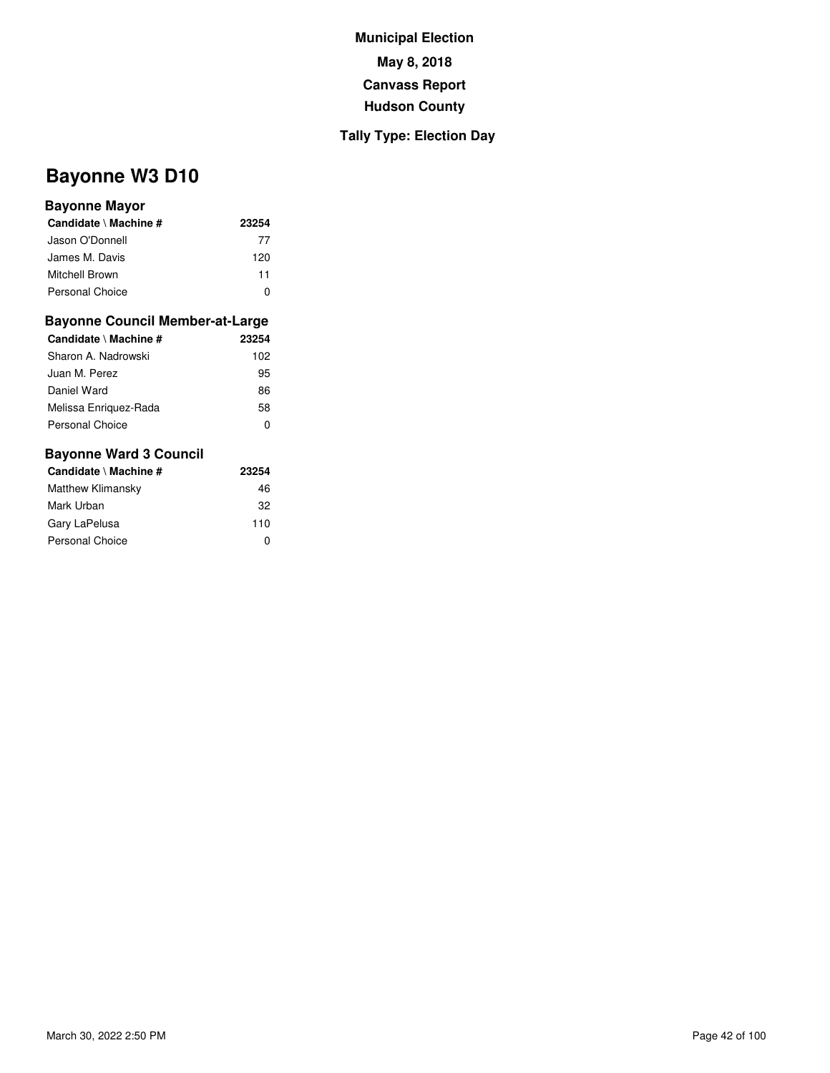### **Tally Type: Election Day**

# **Bayonne W3 D10**

### **Bayonne Mayor**

| Candidate \ Machine #  | 23254 |
|------------------------|-------|
| Jason O'Donnell        | 77    |
| James M. Davis         | 120   |
| Mitchell Brown         | 11    |
| <b>Personal Choice</b> |       |

#### **Bayonne Council Member-at-Large**

| Candidate \ Machine # | 23254 |
|-----------------------|-------|
| Sharon A. Nadrowski   | 102   |
| Juan M. Perez         | 95    |
| Daniel Ward           | 86    |
| Melissa Enriguez-Rada | 58    |
| Personal Choice       | O     |

| Candidate \ Machine #  | 23254 |
|------------------------|-------|
| Matthew Klimansky      | 46    |
| Mark Urban             | 32    |
| Gary LaPelusa          | 110   |
| <b>Personal Choice</b> | 0     |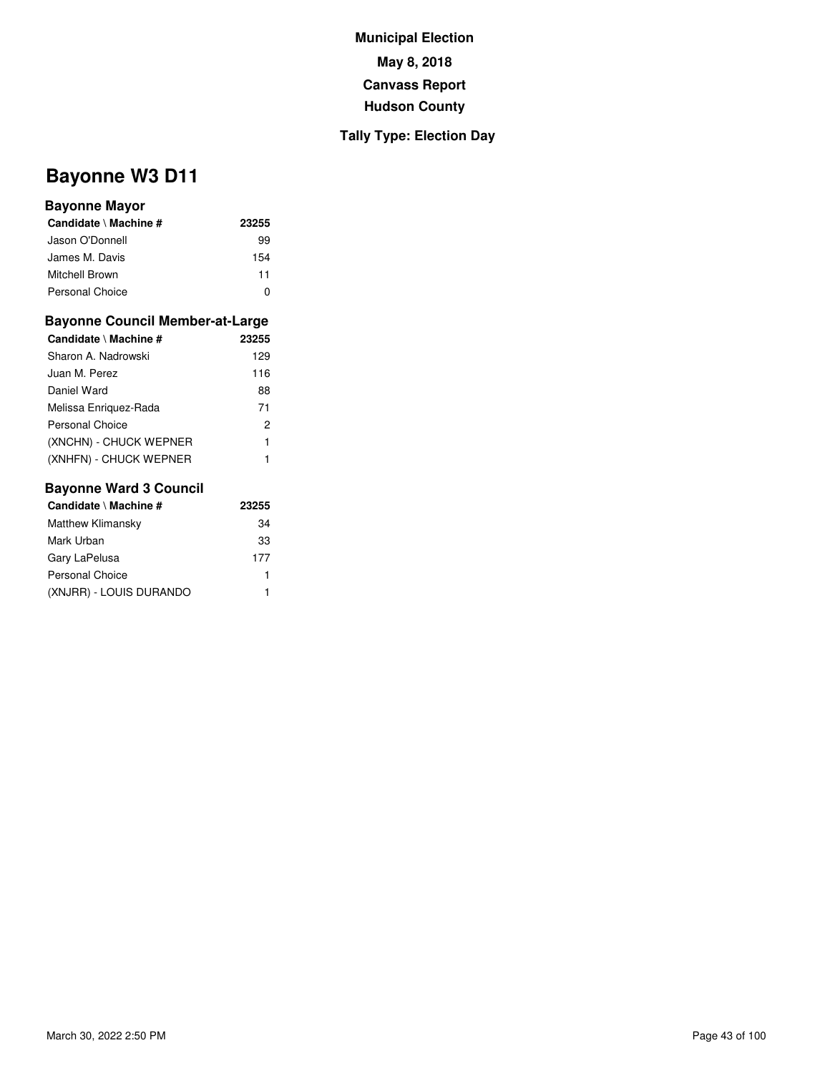### **Tally Type: Election Day**

# **Bayonne W3 D11**

### **Bayonne Mayor**

| Candidate \ Machine #  | 23255 |
|------------------------|-------|
| Jason O'Donnell        | 99    |
| James M. Davis         | 154   |
| Mitchell Brown         | 11    |
| <b>Personal Choice</b> |       |

#### **Bayonne Council Member-at-Large**

| Candidate \ Machine #  | 23255 |
|------------------------|-------|
| Sharon A. Nadrowski    | 129   |
| Juan M. Perez          | 116   |
| Daniel Ward            | 88    |
| Melissa Enriguez-Rada  | 71    |
| Personal Choice        | 2     |
| (XNCHN) - CHUCK WEPNER | 1     |
| (XNHFN) - CHUCK WEPNER |       |

| Candidate \ Machine #    | 23255 |
|--------------------------|-------|
| <b>Matthew Klimansky</b> | 34    |
| Mark Urban               | 33    |
| Gary LaPelusa            | 177   |
| Personal Choice          | 1     |
| (XNJRR) - LOUIS DURANDO  |       |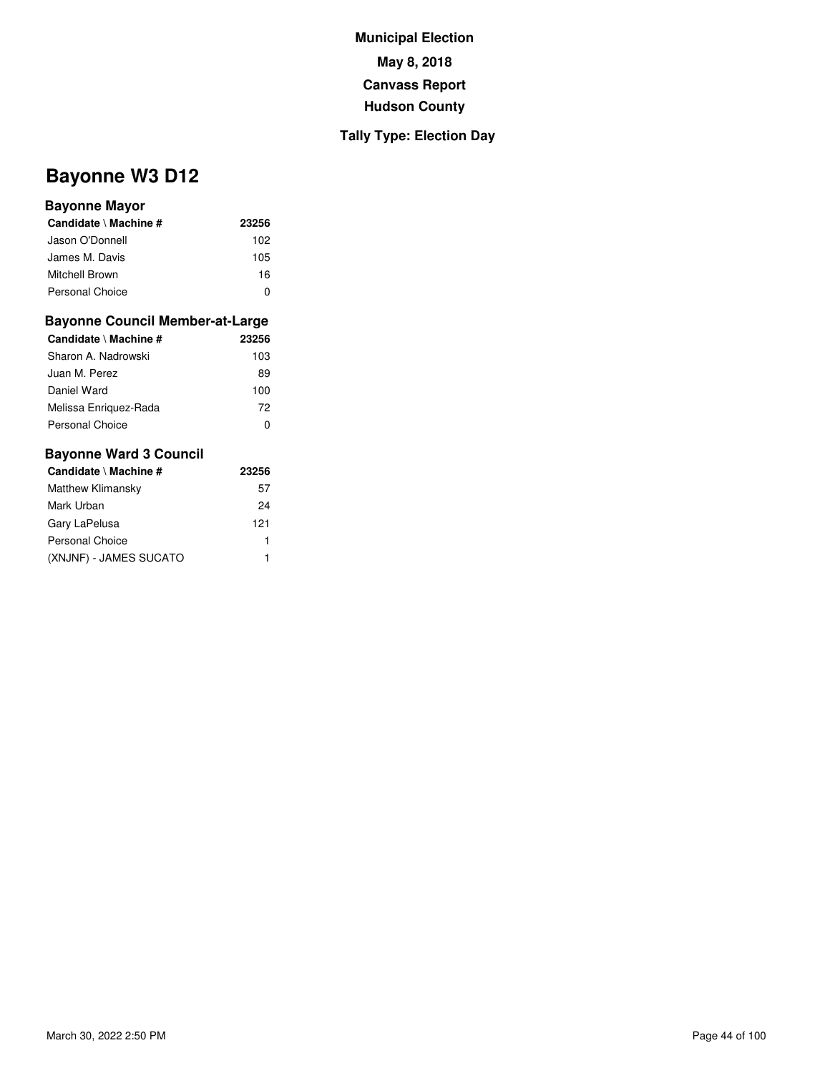### **Tally Type: Election Day**

# **Bayonne W3 D12**

#### **Bayonne Mayor**

| Candidate \ Machine #  | 23256 |
|------------------------|-------|
| Jason O'Donnell        | 102   |
| James M. Davis         | 105   |
| Mitchell Brown         | 16    |
| <b>Personal Choice</b> | O     |

#### **Bayonne Council Member-at-Large**

| Candidate \ Machine #  | 23256 |
|------------------------|-------|
| Sharon A. Nadrowski    | 103   |
| Juan M. Perez          | 89    |
| Daniel Ward            | 100   |
| Melissa Enriguez-Rada  | 72    |
| <b>Personal Choice</b> | o     |

| Candidate \ Machine #  | 23256 |
|------------------------|-------|
| Matthew Klimansky      | 57    |
| Mark Urban             | 24    |
| Gary LaPelusa          | 121   |
| Personal Choice        | 1     |
| (XNJNF) - JAMES SUCATO | 1     |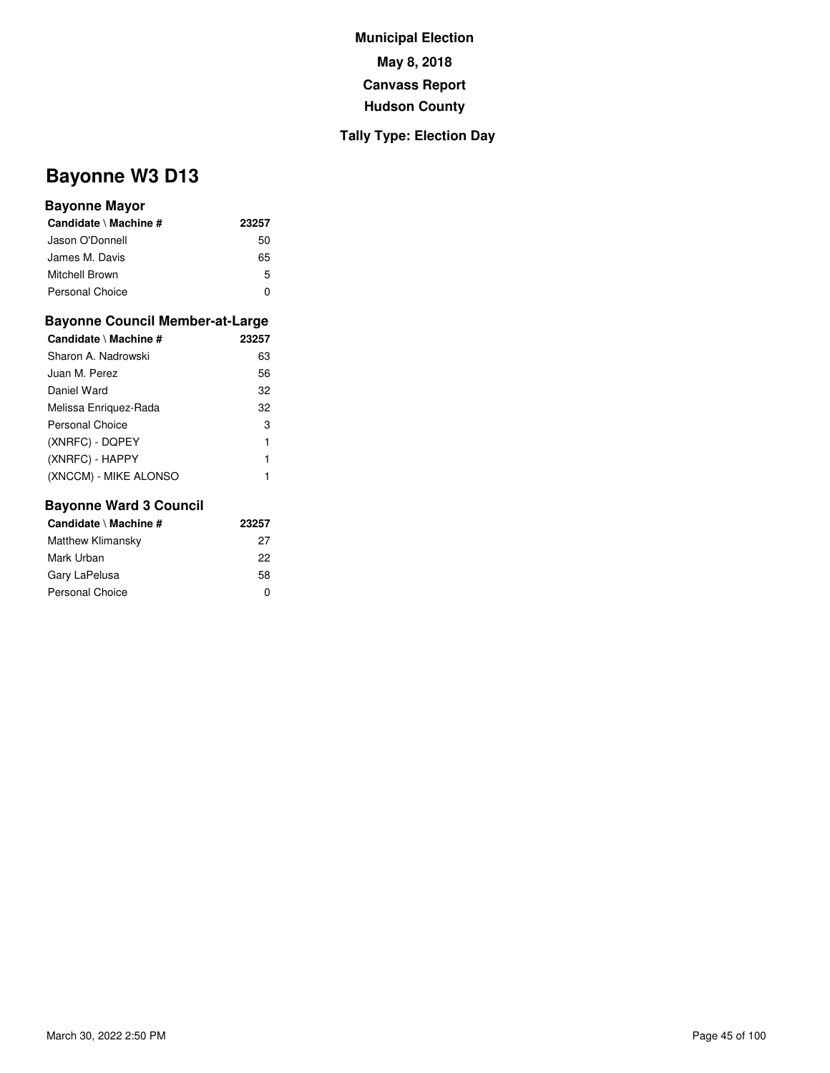### **Tally Type: Election Day**

# **Bayonne W3 D13**

### **Bayonne Mayor**

| Candidate \ Machine # | 23257 |
|-----------------------|-------|
| Jason O'Donnell       | 50    |
| James M. Davis        | 65    |
| Mitchell Brown        | 5     |
| Personal Choice       | n     |

#### **Bayonne Council Member-at-Large**

| Candidate \ Machine # | 23257 |
|-----------------------|-------|
| Sharon A. Nadrowski   | 63    |
| Juan M. Perez         | 56    |
| Daniel Ward           | 32    |
| Melissa Enriquez-Rada | 32    |
| Personal Choice       | 3     |
| (XNRFC) - DQPEY       | 1     |
| (XNRFC) - HAPPY       | 1     |
| (XNCCM) - MIKE ALONSO |       |

| Candidate \ Machine #  | 23257 |
|------------------------|-------|
| Matthew Klimansky      | 27    |
| Mark Urban             | 22    |
| Gary LaPelusa          | 58    |
| <b>Personal Choice</b> | ŋ     |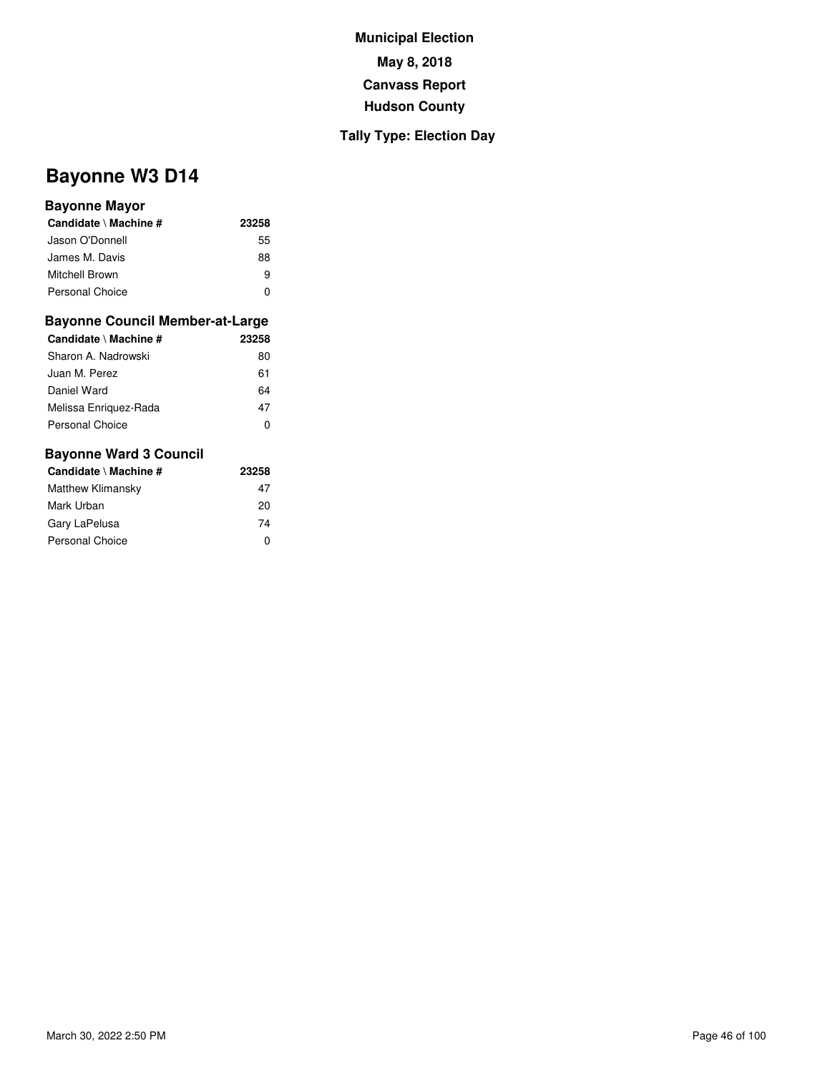### **Tally Type: Election Day**

# **Bayonne W3 D14**

#### **Bayonne Mayor**

| Candidate \ Machine # | 23258 |
|-----------------------|-------|
| Jason O'Donnell       | 55    |
| James M. Davis        | 88    |
| Mitchell Brown        | я     |
| Personal Choice       | O     |

#### **Bayonne Council Member-at-Large**

| Candidate \ Machine # | 23258 |
|-----------------------|-------|
| Sharon A. Nadrowski   | 80    |
| Juan M. Perez         | 61    |
| Daniel Ward           | 64    |
| Melissa Enriguez-Rada | 47    |
| Personal Choice       | O     |

| Candidate \ Machine # | 23258 |  |
|-----------------------|-------|--|
| Matthew Klimansky     | 47    |  |
| Mark Urban            | 20    |  |
| Gary LaPelusa         | 74    |  |
| Personal Choice       | O     |  |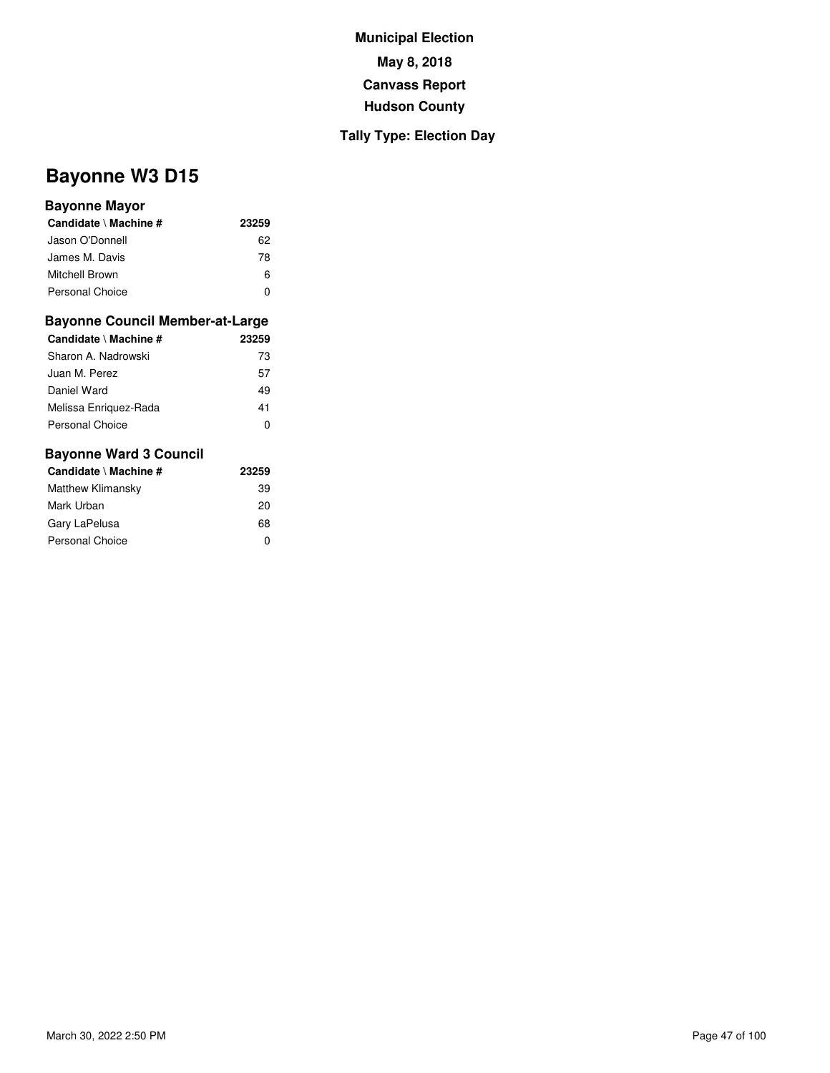### **Tally Type: Election Day**

# **Bayonne W3 D15**

### **Bayonne Mayor**

| Candidate \ Machine #  | 23259 |
|------------------------|-------|
| Jason O'Donnell        | 62    |
| James M. Davis         | 78    |
| Mitchell Brown         | 6     |
| <b>Personal Choice</b> | n     |

### **Bayonne Council Member-at-Large**

| Candidate \ Machine # | 23259 |
|-----------------------|-------|
| Sharon A. Nadrowski   | 73    |
| Juan M. Perez         | 57    |
| Daniel Ward           | 49    |
| Melissa Enriguez-Rada | 41    |
| Personal Choice       | 0     |

| Candidate \ Machine # | 23259 |
|-----------------------|-------|
| Matthew Klimansky     | 39    |
| Mark Urban            | 20    |
| Gary LaPelusa         | 68    |
| Personal Choice       | o     |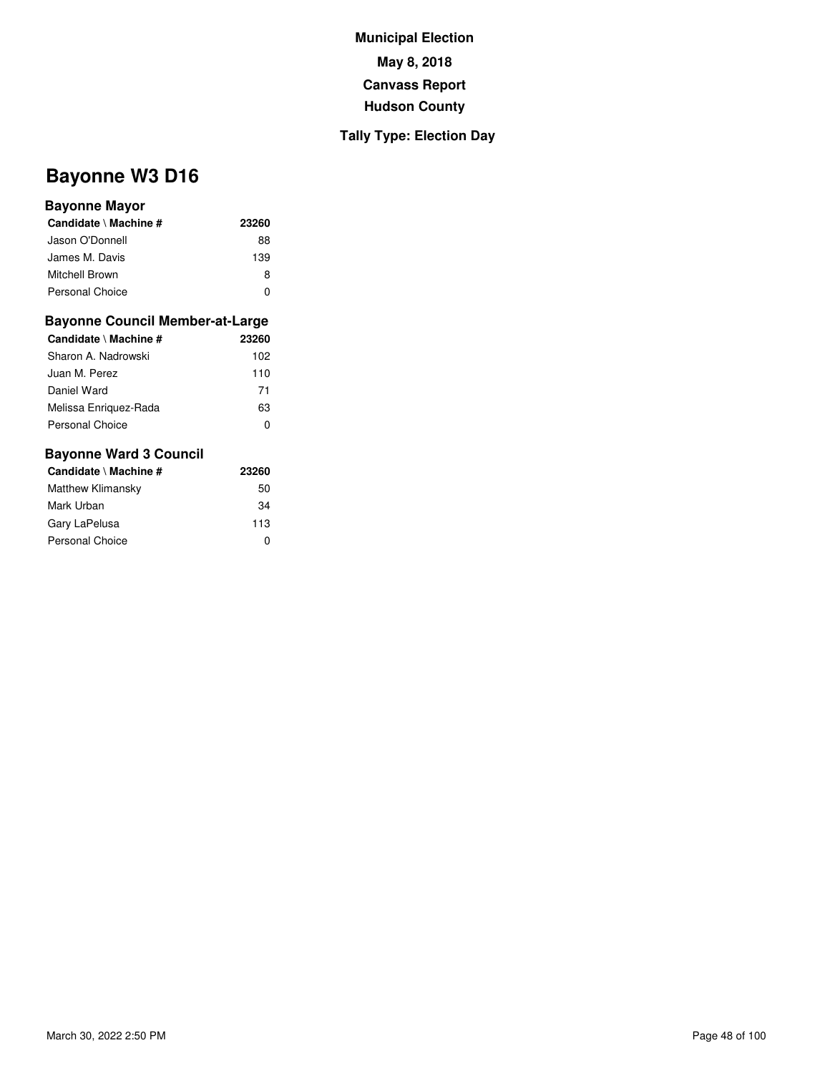### **Tally Type: Election Day**

# **Bayonne W3 D16**

### **Bayonne Mayor**

| Candidate \ Machine #  | 23260 |
|------------------------|-------|
| Jason O'Donnell        | 88    |
| James M. Davis         | 139   |
| Mitchell Brown         | 8     |
| <b>Personal Choice</b> | O     |

#### **Bayonne Council Member-at-Large**

| Candidate \ Machine # | 23260 |
|-----------------------|-------|
| Sharon A. Nadrowski   | 102   |
| Juan M. Perez         | 110   |
| Daniel Ward           | 71    |
| Melissa Enriguez-Rada | 63    |
| Personal Choice       | 0     |

| Candidate \ Machine #  | 23260 |
|------------------------|-------|
| Matthew Klimansky      | 50    |
| Mark Urban             | 34    |
| Gary LaPelusa          | 113   |
| <b>Personal Choice</b> | 0     |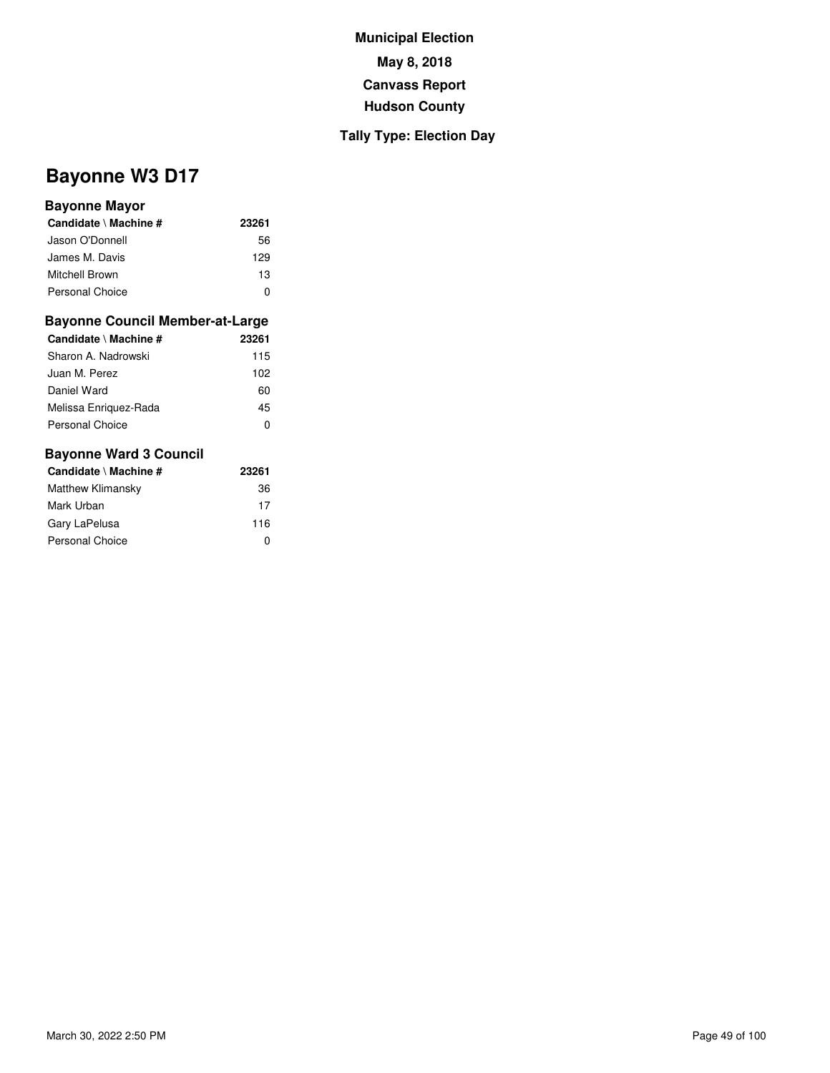### **Tally Type: Election Day**

# **Bayonne W3 D17**

#### **Bayonne Mayor**

| Candidate \ Machine #  | 23261 |
|------------------------|-------|
| Jason O'Donnell        | 56    |
| James M. Davis         | 129   |
| Mitchell Brown         | 13    |
| <b>Personal Choice</b> |       |

#### **Bayonne Council Member-at-Large**

| Candidate \ Machine #  | 23261 |
|------------------------|-------|
| Sharon A. Nadrowski    | 115   |
| Juan M. Perez          | 102   |
| Daniel Ward            | 60    |
| Melissa Enriguez-Rada  | 45    |
| <b>Personal Choice</b> | 0     |

| Candidate \ Machine #  | 23261 |
|------------------------|-------|
| Matthew Klimansky      | 36    |
| Mark Urban             | 17    |
| Gary LaPelusa          | 116   |
| <b>Personal Choice</b> | 0     |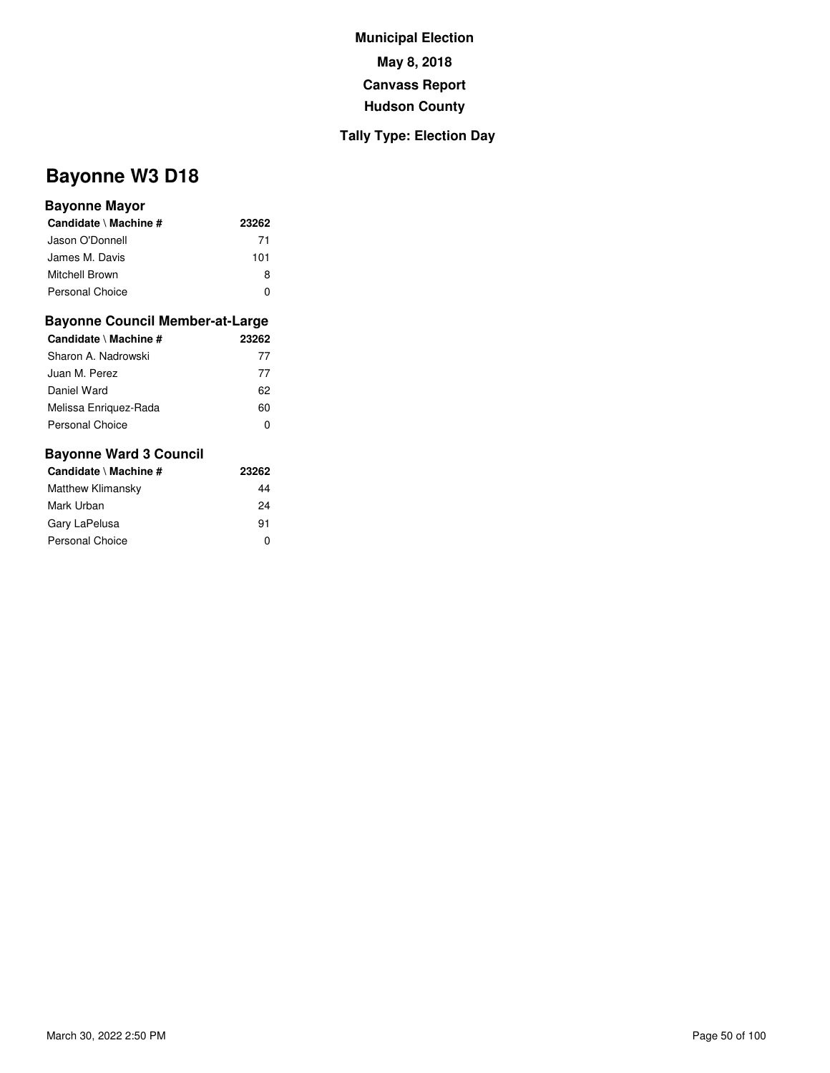### **Tally Type: Election Day**

# **Bayonne W3 D18**

#### **Bayonne Mayor**

| Candidate \ Machine # | 23262 |
|-----------------------|-------|
| Jason O'Donnell       | 71    |
| James M. Davis        | 101   |
| <b>Mitchell Brown</b> | 8     |
| Personal Choice       |       |

#### **Bayonne Council Member-at-Large**

| Candidate \ Machine #  | 23262 |
|------------------------|-------|
| Sharon A. Nadrowski    | 77    |
| Juan M. Perez          | 77    |
| Daniel Ward            | 62    |
| Melissa Enriguez-Rada  | 60    |
| <b>Personal Choice</b> | 0     |

| Candidate \ Machine # | 23262 |
|-----------------------|-------|
| Matthew Klimansky     | 44    |
| Mark Urban            | 24    |
| Gary LaPelusa         | 91    |
| Personal Choice       | O     |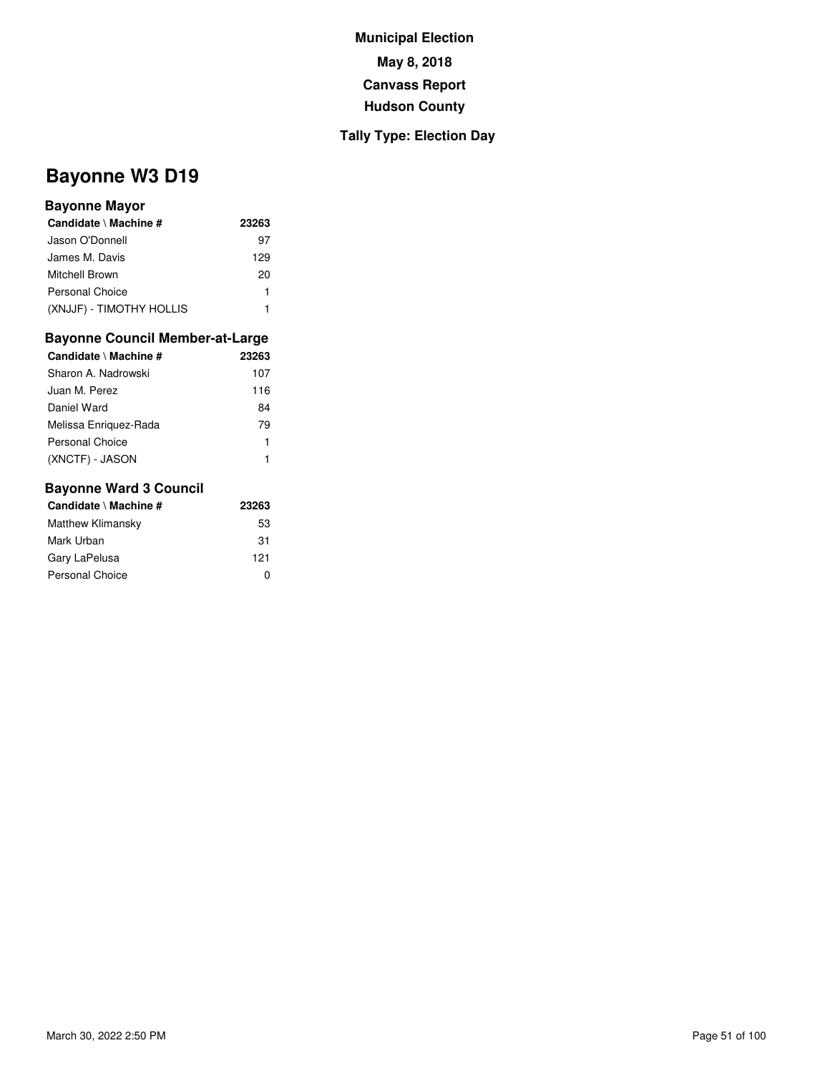### **Tally Type: Election Day**

# **Bayonne W3 D19**

#### **Bayonne Mayor**

| Candidate \ Machine #    | 23263 |
|--------------------------|-------|
| Jason O'Donnell          | 97    |
| James M. Davis           | 129   |
| Mitchell Brown           | 20    |
| Personal Choice          | 1     |
| (XNJJF) - TIMOTHY HOLLIS |       |

## **Bayonne Council Member-at-Large**

| Candidate \ Machine # | 23263 |
|-----------------------|-------|
| Sharon A. Nadrowski   | 107   |
| Juan M. Perez         | 116   |
| Daniel Ward           | 84    |
| Melissa Enriguez-Rada | 79    |
| Personal Choice       | 1     |
| (XNCTF) - JASON       |       |

| Candidate \ Machine # | 23263 |
|-----------------------|-------|
| Matthew Klimansky     | 53    |
| Mark Urban            | 31    |
| Gary LaPelusa         | 121   |
| Personal Choice       | ŋ     |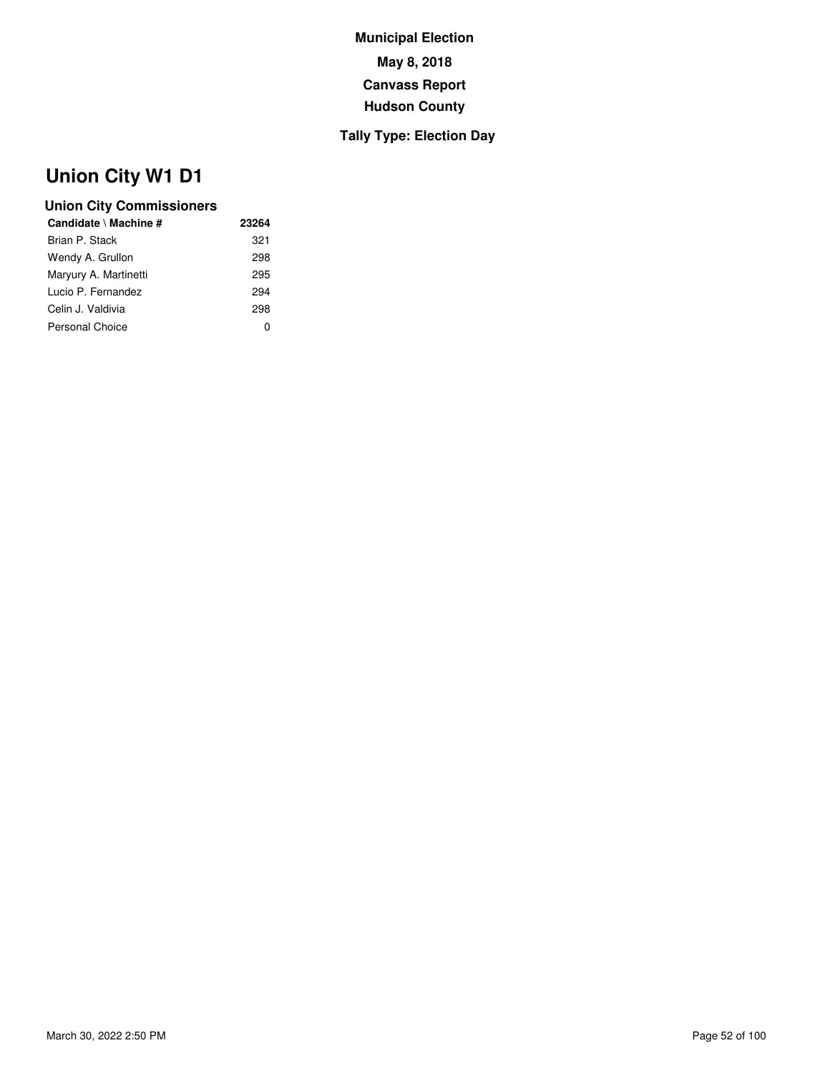## **Tally Type: Election Day**

# **Union City W1 D1**

| 23264        |
|--------------|
| 321          |
| 298          |
| 295          |
| 294          |
| 298          |
| $\mathbf{0}$ |
|              |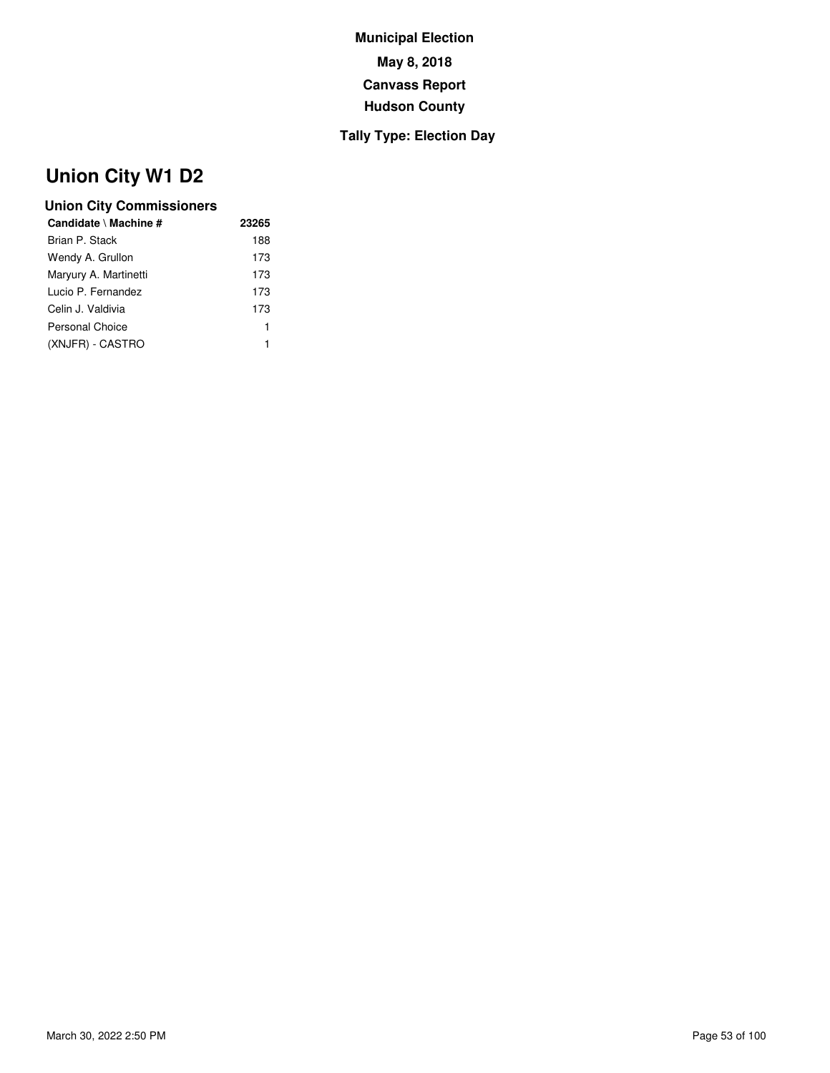## **Tally Type: Election Day**

# **Union City W1 D2**

| Candidate \ Machine # | 23265 |
|-----------------------|-------|
| Brian P. Stack        | 188   |
| Wendy A. Grullon      | 173   |
| Maryury A. Martinetti | 173   |
| Lucio P. Fernandez    | 173   |
| Celin J. Valdivia     | 173   |
| Personal Choice       | 1     |
| (XNJFR) - CASTRO      |       |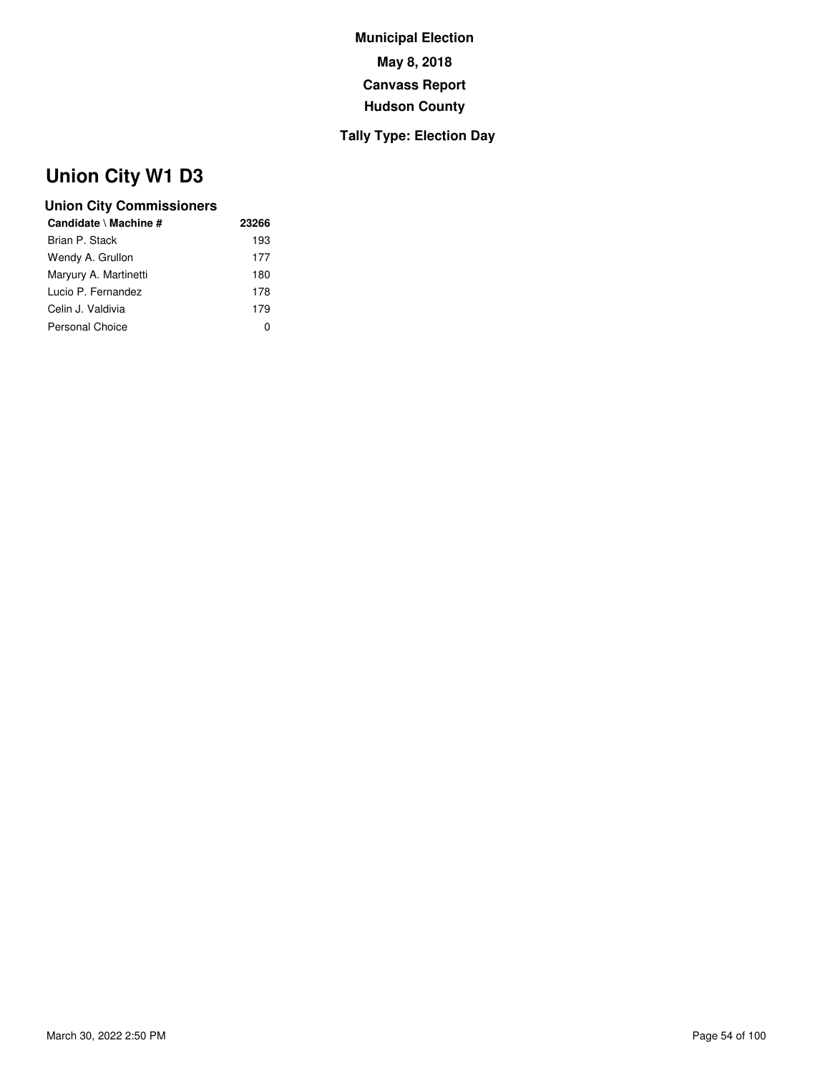## **Tally Type: Election Day**

# **Union City W1 D3**

| 23266        |
|--------------|
| 193          |
| 177          |
| 180          |
| 178          |
| 179          |
| $\mathbf{0}$ |
|              |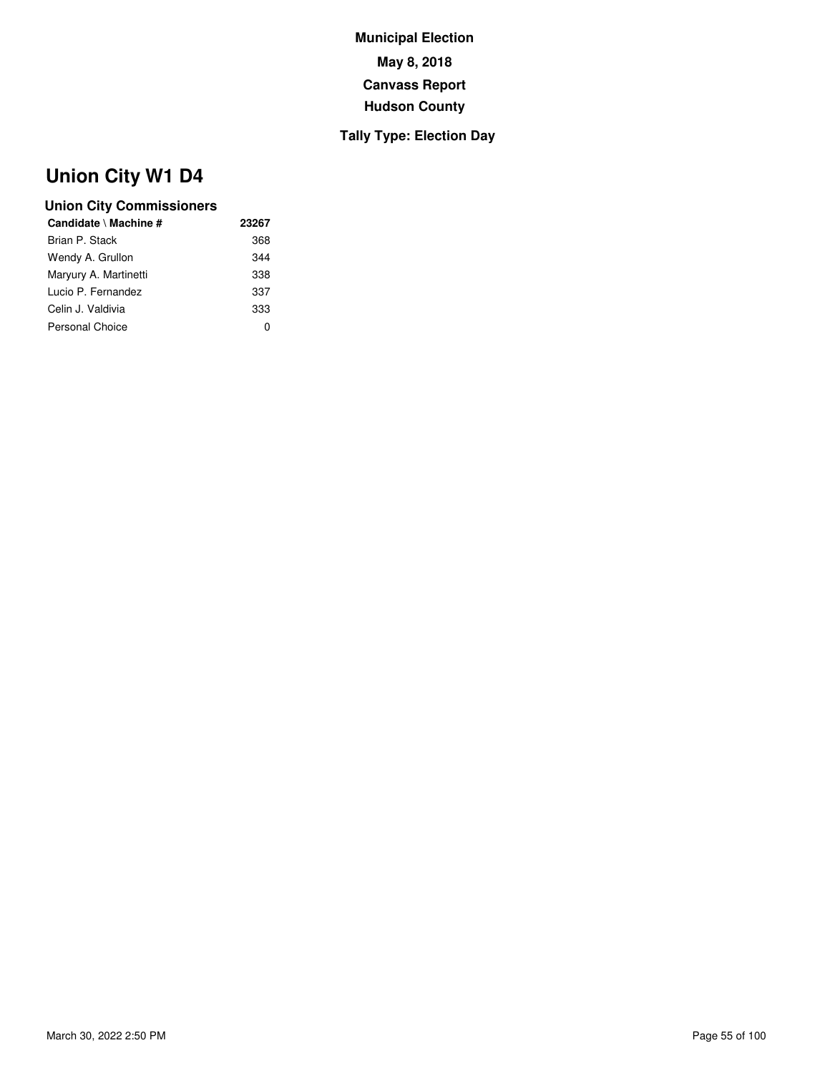## **Tally Type: Election Day**

# **Union City W1 D4**

| Candidate \ Machine # | 23267 |
|-----------------------|-------|
| Brian P. Stack        | 368   |
| Wendy A. Grullon      | 344   |
| Maryury A. Martinetti | 338   |
| Lucio P. Fernandez    | 337   |
| Celin J. Valdivia     | 333   |
| Personal Choice       | O     |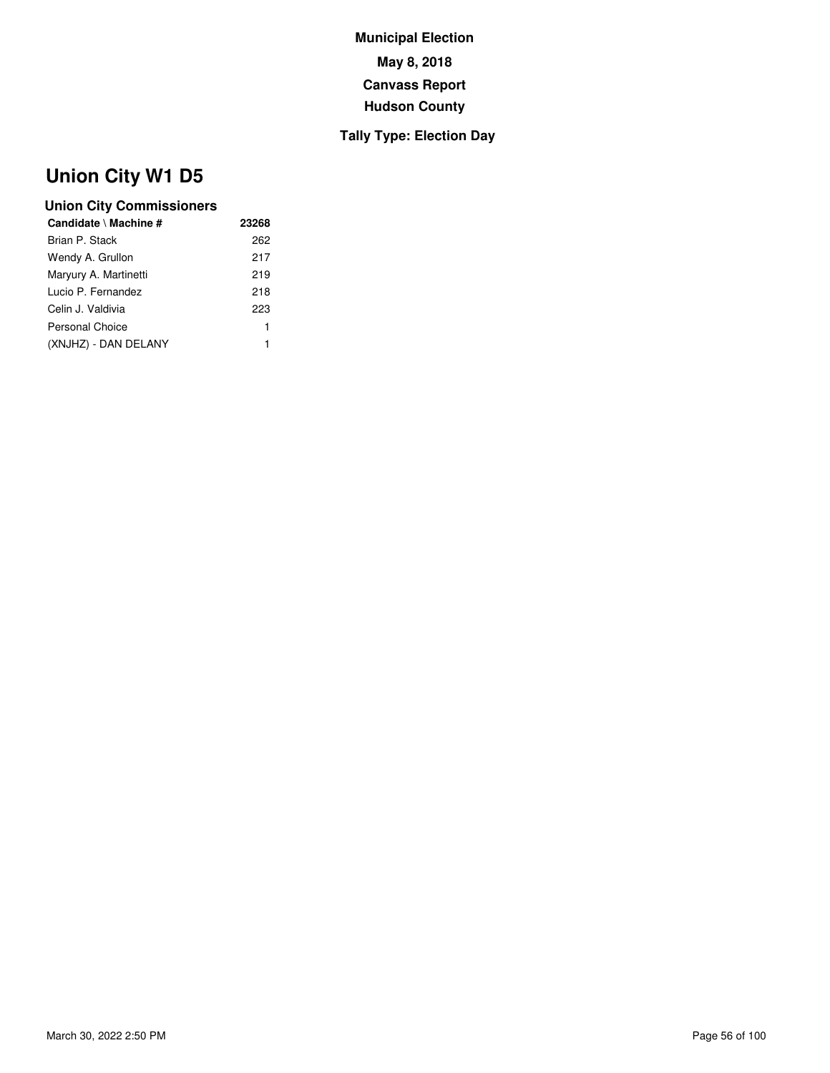## **Tally Type: Election Day**

# **Union City W1 D5**

| Candidate \ Machine # | 23268 |
|-----------------------|-------|
| Brian P. Stack        | 262   |
| Wendy A. Grullon      | 217   |
| Maryury A. Martinetti | 219   |
| Lucio P. Fernandez    | 218   |
| Celin J. Valdivia     | 223   |
| Personal Choice       | 1     |
| (XNJHZ) - DAN DELANY  | 1     |
|                       |       |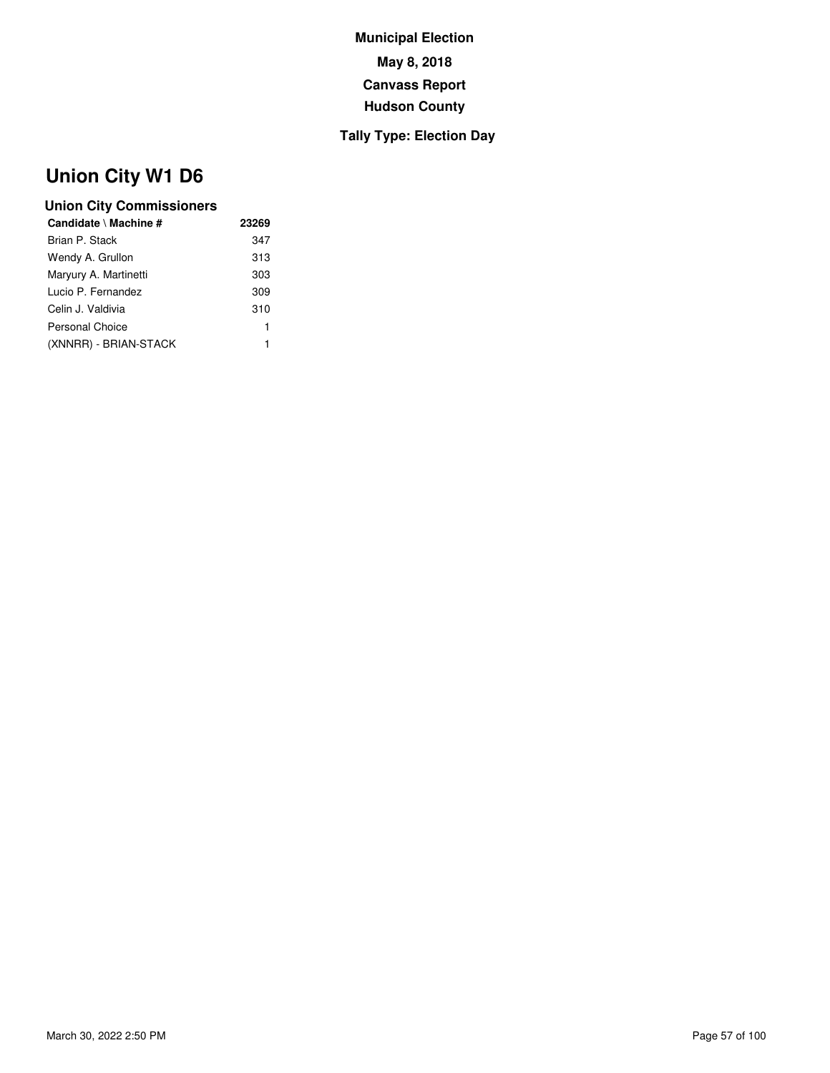## **Tally Type: Election Day**

# **Union City W1 D6**

| Candidate \ Machine # | 23269 |
|-----------------------|-------|
| Brian P. Stack        | 347   |
| Wendy A. Grullon      | 313   |
| Maryury A. Martinetti | 303   |
| Lucio P. Fernandez    | 309   |
| Celin J. Valdivia     | 310   |
| Personal Choice       | 1     |
| (XNNRR) - BRIAN-STACK | 1     |
|                       |       |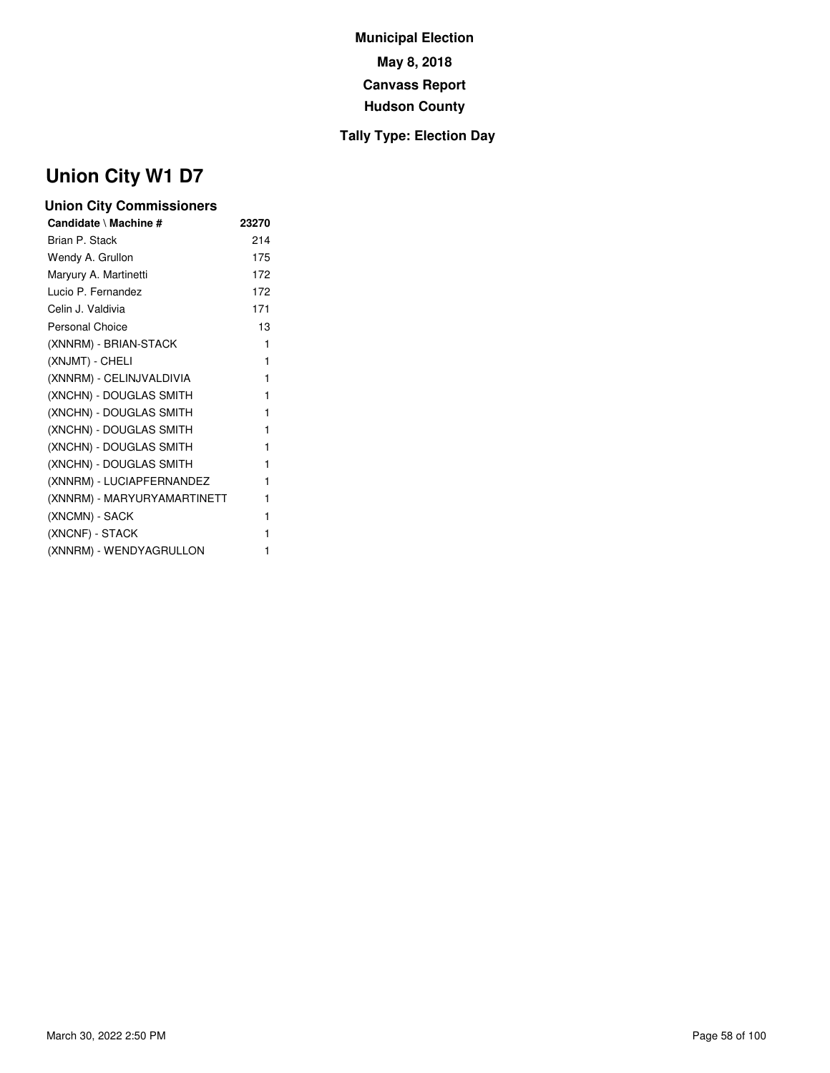## **Tally Type: Election Day**

# **Union City W1 D7**

| <b>Union City Commissioners</b> |       |  |
|---------------------------------|-------|--|
| Candidate \ Machine #           | 23270 |  |
| Brian P. Stack                  | 214   |  |
| Wendy A. Grullon                | 175   |  |
| Maryury A. Martinetti           | 172   |  |
| Lucio P. Fernandez              | 172   |  |
| Celin J. Valdivia               | 171   |  |
| Personal Choice                 | 13    |  |
| (XNNRM) - BRIAN-STACK           | 1     |  |
| (XNJMT) - CHELI                 | 1     |  |
| (XNNRM) - CELINJVALDIVIA        | 1     |  |
| (XNCHN) - DOUGLAS SMITH         | 1     |  |
| (XNCHN) - DOUGLAS SMITH         | 1     |  |
| (XNCHN) - DOUGLAS SMITH         | 1     |  |
| (XNCHN) - DOUGLAS SMITH         | 1     |  |
| (XNCHN) - DOUGLAS SMITH         | 1     |  |
| (XNNRM) - LUCIAPFERNANDEZ       | 1     |  |
| (XNNRM) - MARYURYAMARTINETT     | 1     |  |
| (XNCMN) - SACK                  | 1     |  |
| (XNCNF) - STACK                 | 1     |  |
| (XNNRM) - WENDYAGRULLON         | 1     |  |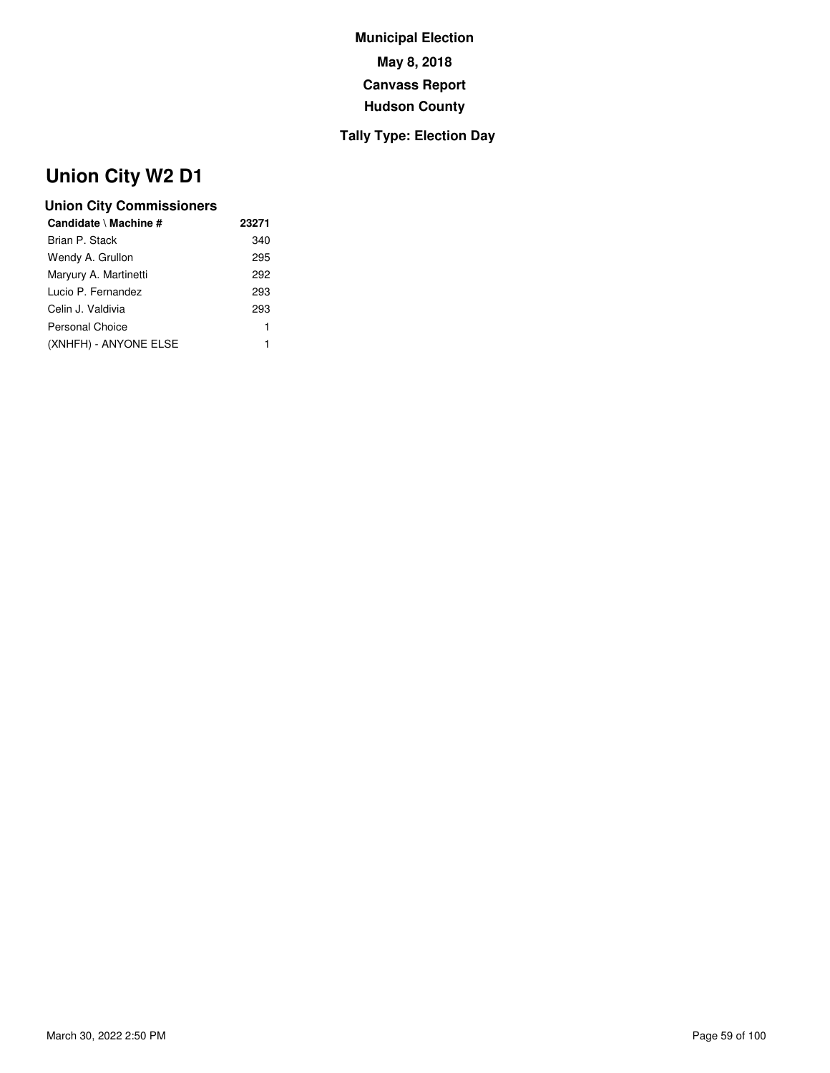## **Tally Type: Election Day**

# **Union City W2 D1**

| Candidate \ Machine # | 23271 |
|-----------------------|-------|
| Brian P. Stack        | 340   |
| Wendy A. Grullon      | 295   |
| Maryury A. Martinetti | 292   |
| Lucio P. Fernandez    | 293   |
| Celin J. Valdivia     | 293   |
| Personal Choice       | 1     |
| (XNHFH) - ANYONE ELSE | 1     |
|                       |       |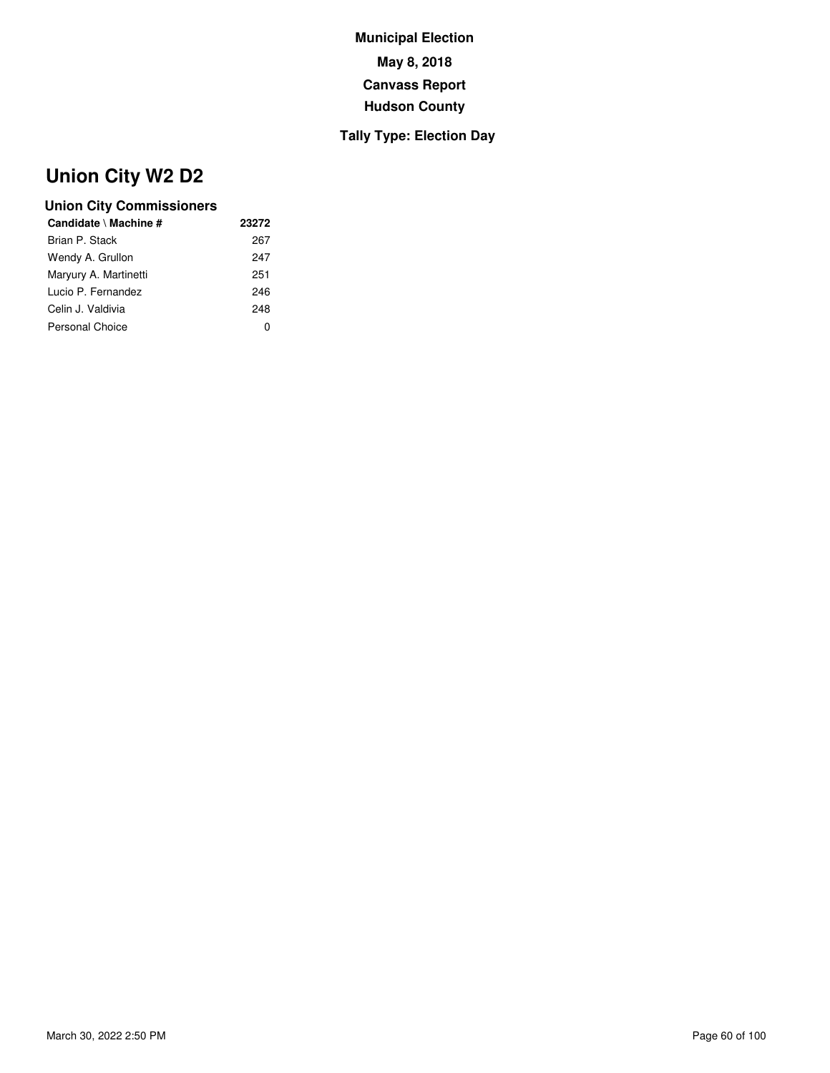## **Tally Type: Election Day**

# **Union City W2 D2**

| Candidate \ Machine # | 23272        |
|-----------------------|--------------|
| Brian P. Stack        | 267          |
| Wendy A. Grullon      | 247          |
| Maryury A. Martinetti | 251          |
| Lucio P. Fernandez    | 246          |
| Celin J. Valdivia     | 248          |
| Personal Choice       | $\mathbf{0}$ |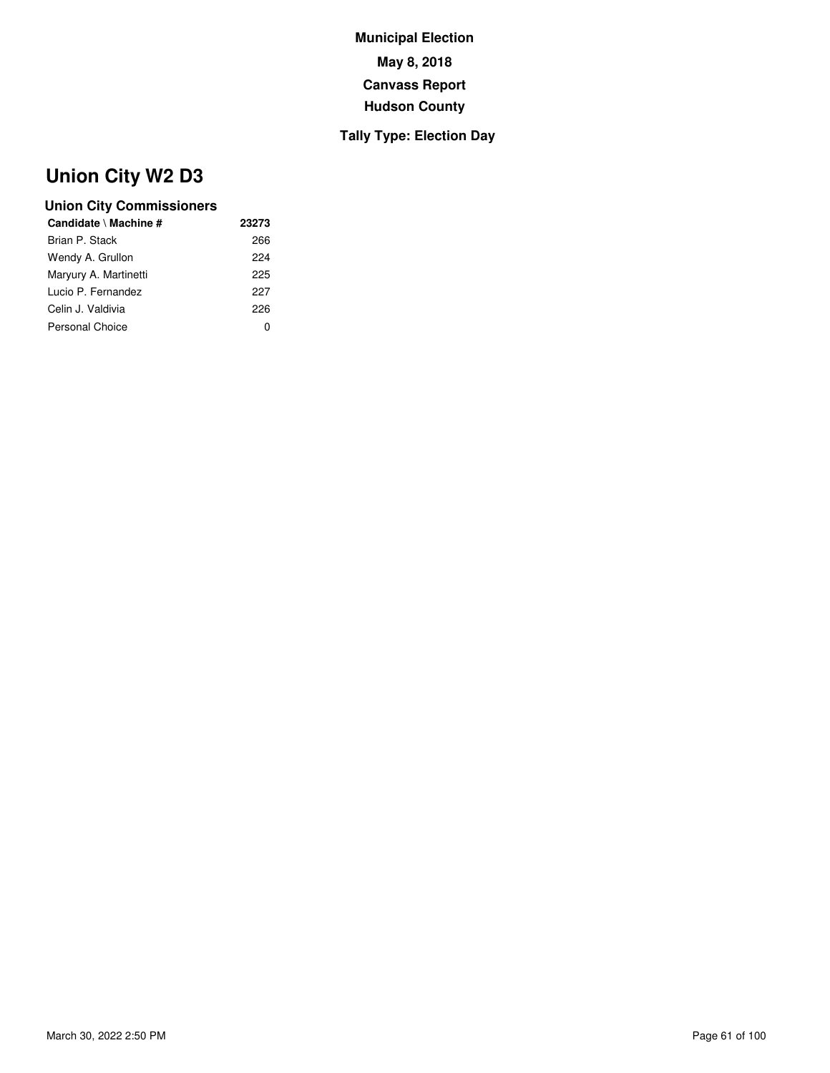## **Tally Type: Election Day**

# **Union City W2 D3**

| 23273 |
|-------|
| 266   |
| 224   |
| 225   |
| 227   |
| 226   |
| O     |
|       |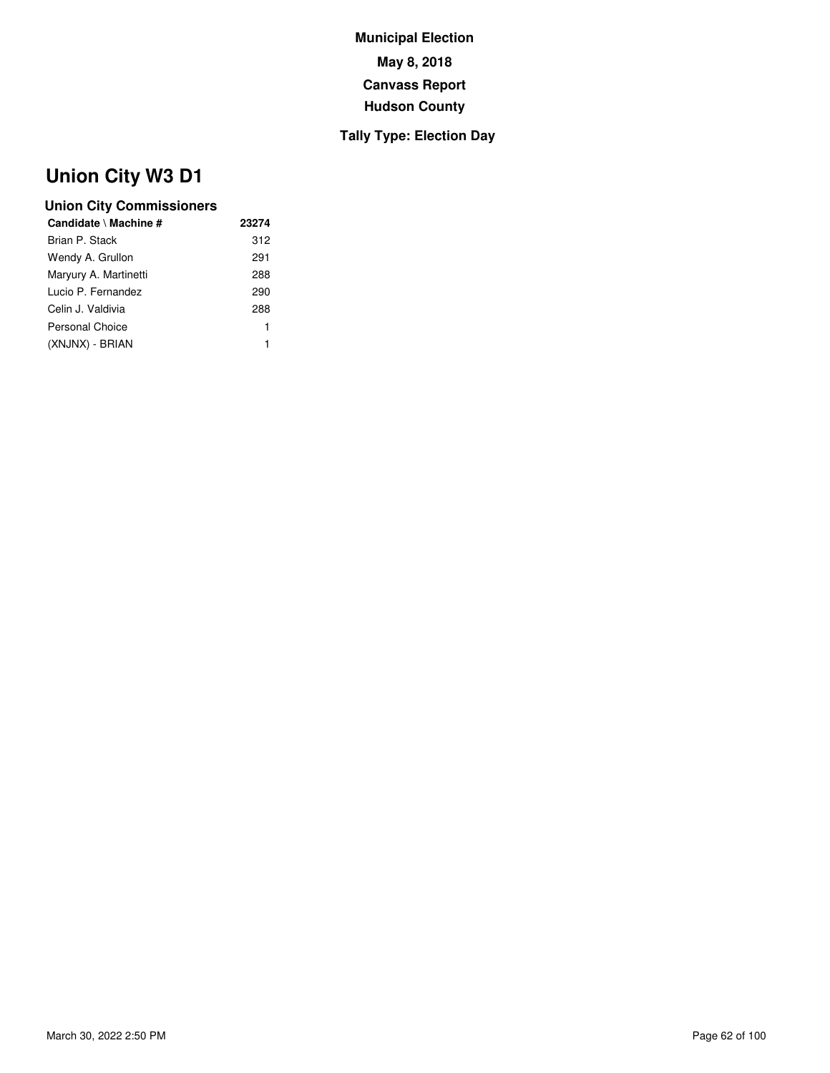## **Tally Type: Election Day**

# **Union City W3 D1**

| Candidate \ Machine # | 23274 |
|-----------------------|-------|
| Brian P. Stack        | 312   |
| Wendy A. Grullon      | 291   |
| Maryury A. Martinetti | 288   |
| Lucio P. Fernandez    | 290   |
| Celin J. Valdivia     | 288   |
| Personal Choice       | 1     |
| (XNJNX) - BRIAN       | 1     |
|                       |       |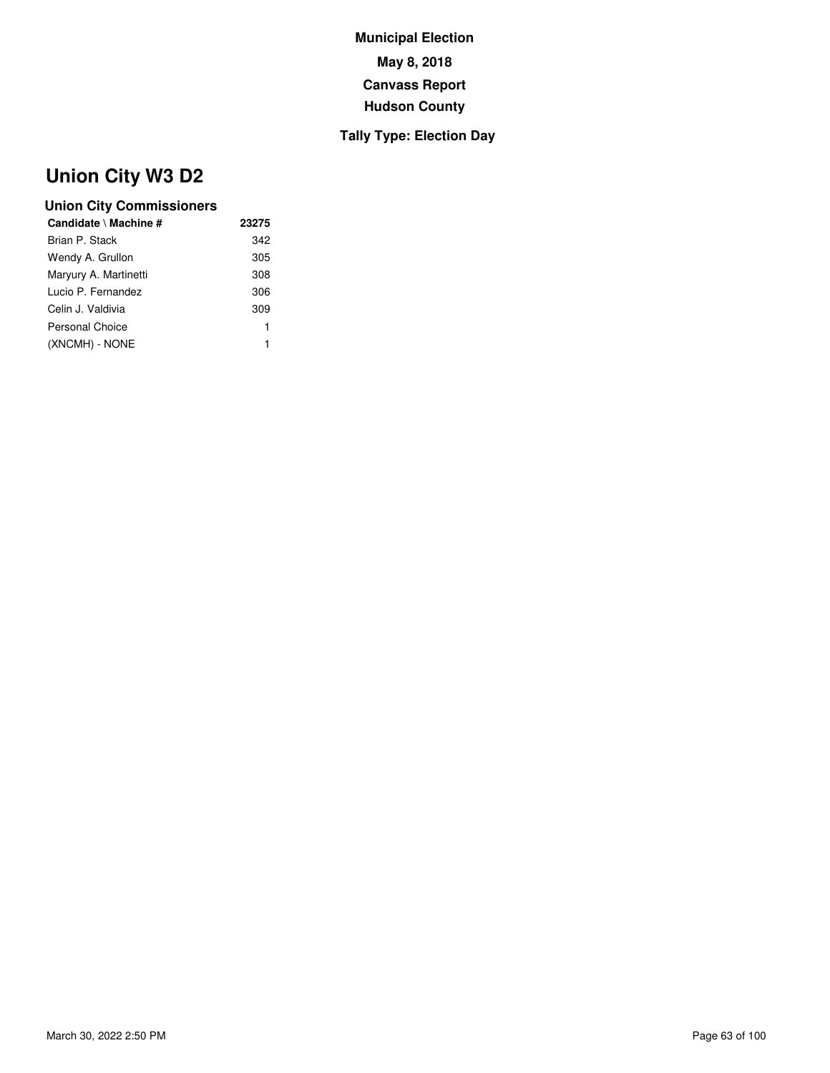## **Tally Type: Election Day**

# **Union City W3 D2**

| Candidate \ Machine # | 23275 |
|-----------------------|-------|
| Brian P. Stack        | 342   |
| Wendy A. Grullon      | 305   |
| Maryury A. Martinetti | 308   |
| Lucio P. Fernandez    | 306   |
| Celin J. Valdivia     | 309   |
| Personal Choice       | 1     |
| (XNCMH) - NONE        | 1     |
|                       |       |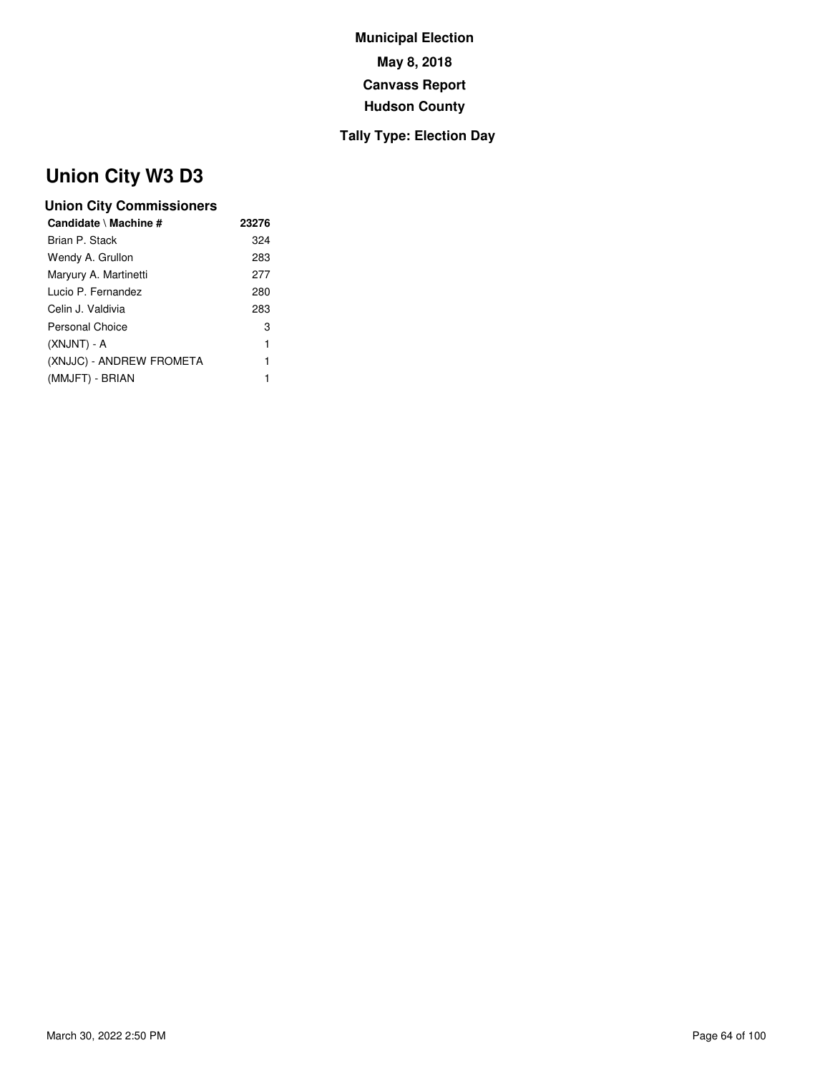## **Tally Type: Election Day**

# **Union City W3 D3**

| Candidate \ Machine #    | 23276 |
|--------------------------|-------|
| Brian P. Stack           | 324   |
| Wendy A. Grullon         | 283   |
| Maryury A. Martinetti    | 277   |
| Lucio P. Fernandez       | 280   |
| Celin J. Valdivia        | 283   |
| Personal Choice          | 3     |
| (XNJNT) - A              | 1     |
| (XNJJC) - ANDREW FROMETA | 1     |
| (MMJFT) - BRIAN          | 1     |
|                          |       |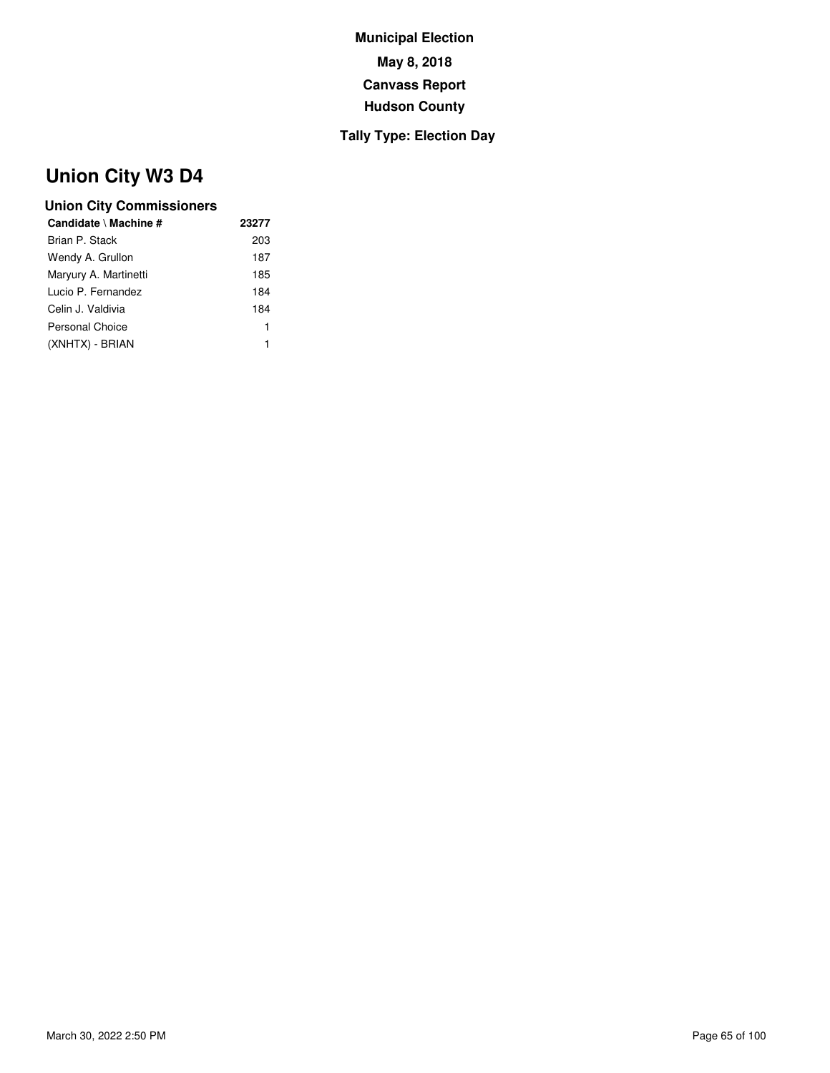## **Tally Type: Election Day**

# **Union City W3 D4**

| 23277 |
|-------|
| 203   |
| 187   |
| 185   |
| 184   |
| 184   |
| 1     |
| 1     |
|       |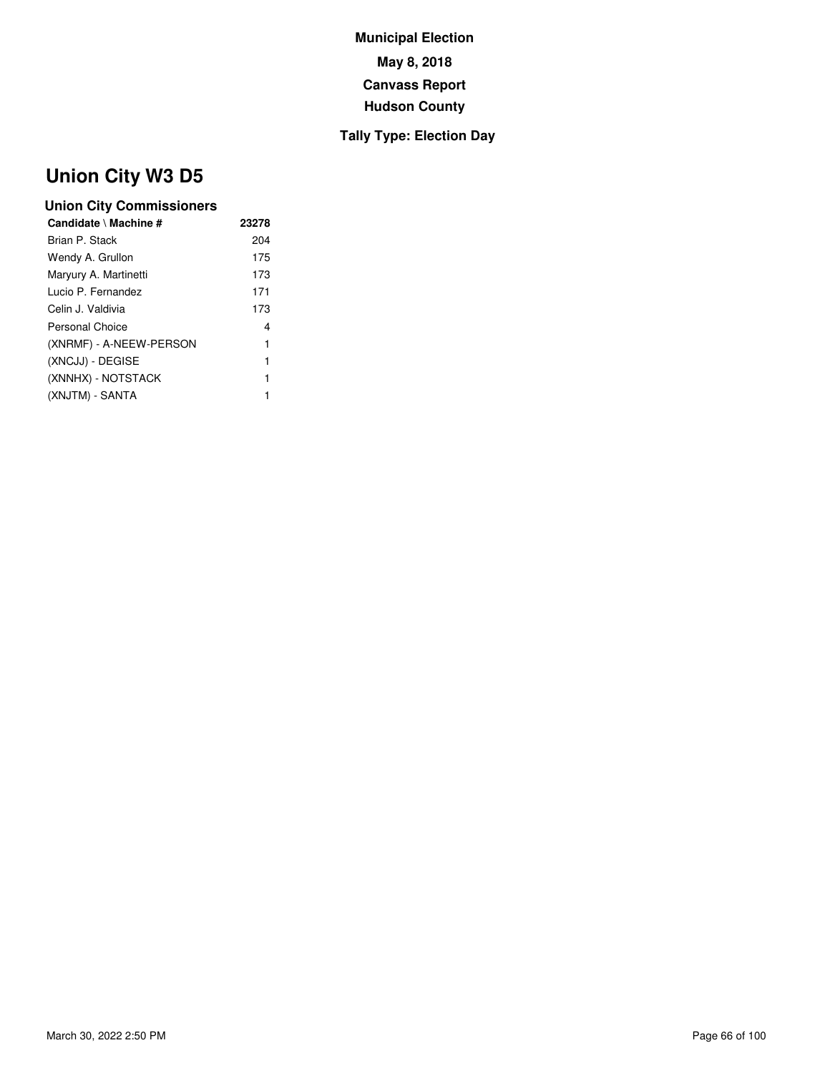## **Tally Type: Election Day**

# **Union City W3 D5**

| Candidate \ Machine #   | 23278 |
|-------------------------|-------|
| Brian P. Stack          | 204   |
| Wendy A. Grullon        | 175   |
| Maryury A. Martinetti   | 173   |
| Lucio P. Fernandez      | 171   |
| Celin J. Valdivia       | 173   |
| Personal Choice         | 4     |
| (XNRMF) - A-NEEW-PERSON | 1     |
| (XNCJJ) - DEGISE        | 1     |
| (XNNHX) - NOTSTACK      | 1     |
| (XNJTM) - SANTA         | 1     |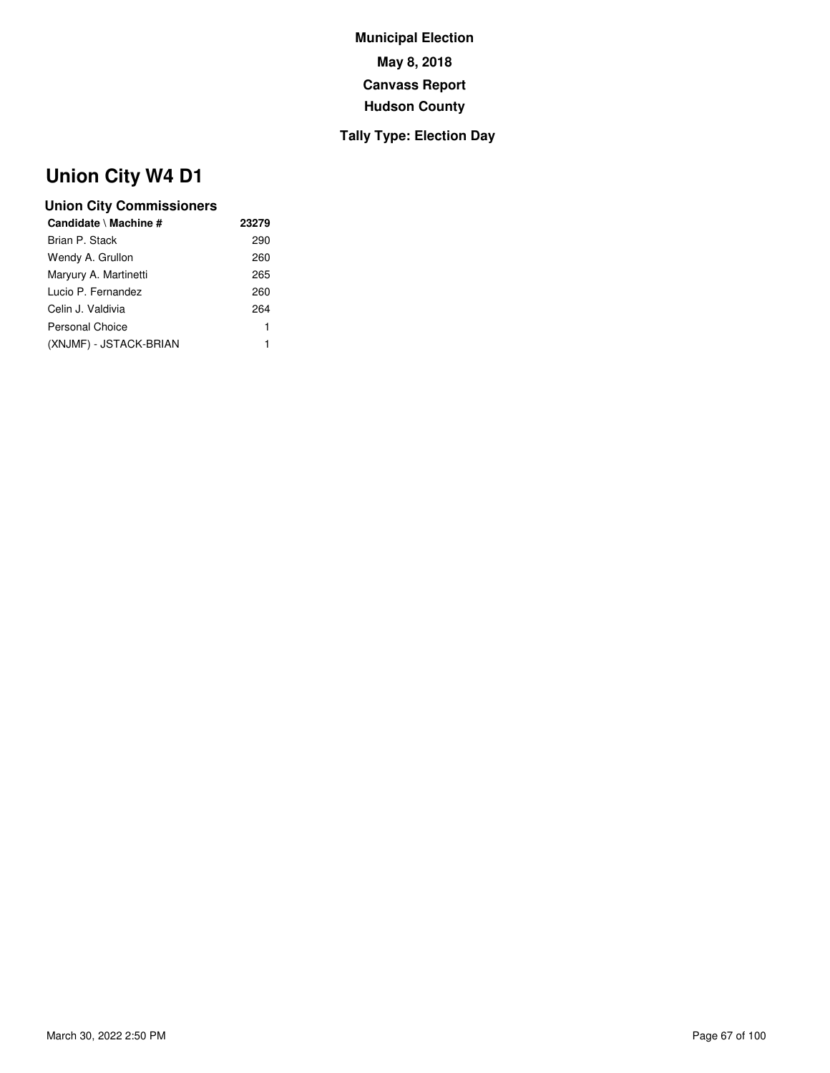## **Tally Type: Election Day**

# **Union City W4 D1**

| Candidate \ Machine #  | 23279 |
|------------------------|-------|
| Brian P. Stack         | 290   |
| Wendy A. Grullon       | 260   |
| Maryury A. Martinetti  | 265   |
| Lucio P. Fernandez     | 260   |
| Celin J. Valdivia      | 264   |
| Personal Choice        | 1     |
| (XNJMF) - JSTACK-BRIAN | 1     |
|                        |       |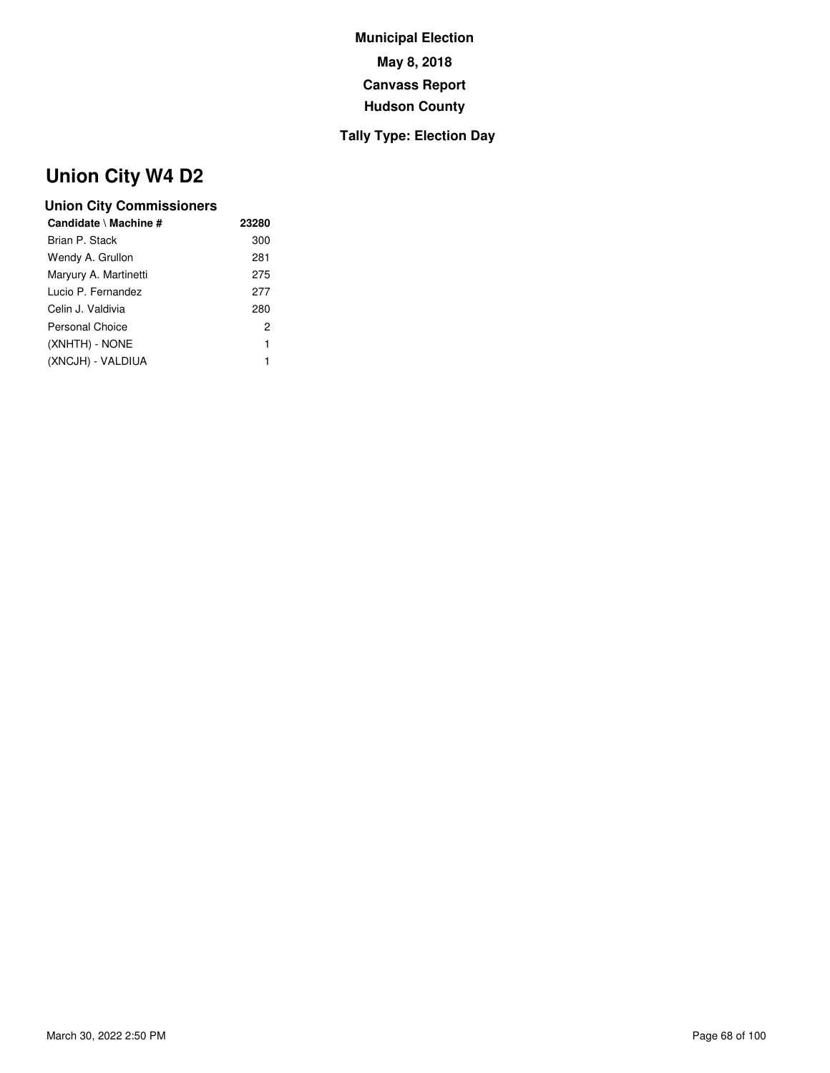## **Tally Type: Election Day**

# **Union City W4 D2**

| Candidate \ Machine # | 23280 |
|-----------------------|-------|
| Brian P. Stack        | 300   |
| Wendy A. Grullon      | 281   |
| Maryury A. Martinetti | 275   |
| Lucio P. Fernandez    | 277   |
| Celin J. Valdivia     | 280   |
| Personal Choice       | 2     |
| (XNHTH) - NONE        | 1     |
| (XNCJH) - VALDIUA     | 1     |
|                       |       |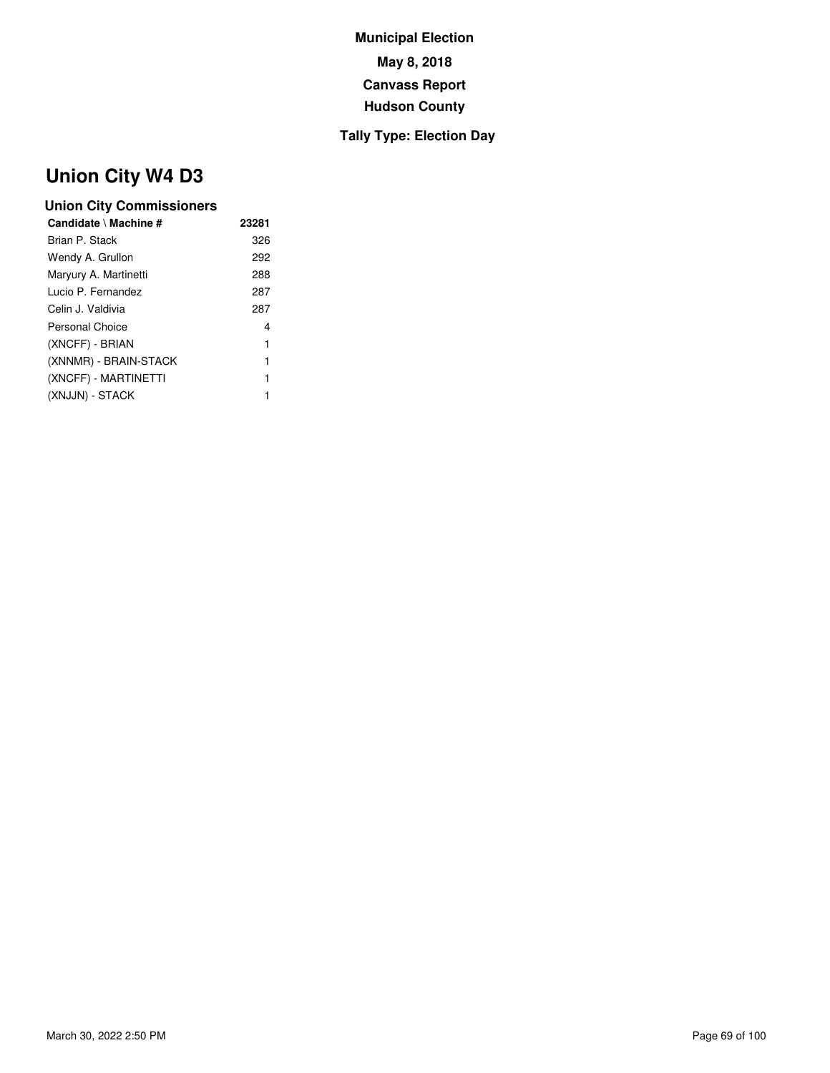## **Tally Type: Election Day**

# **Union City W4 D3**

| 23281 |
|-------|
| 326   |
| 292   |
| 288   |
| 287   |
| 287   |
| 4     |
| 1     |
| 1     |
| 1     |
| 1     |
|       |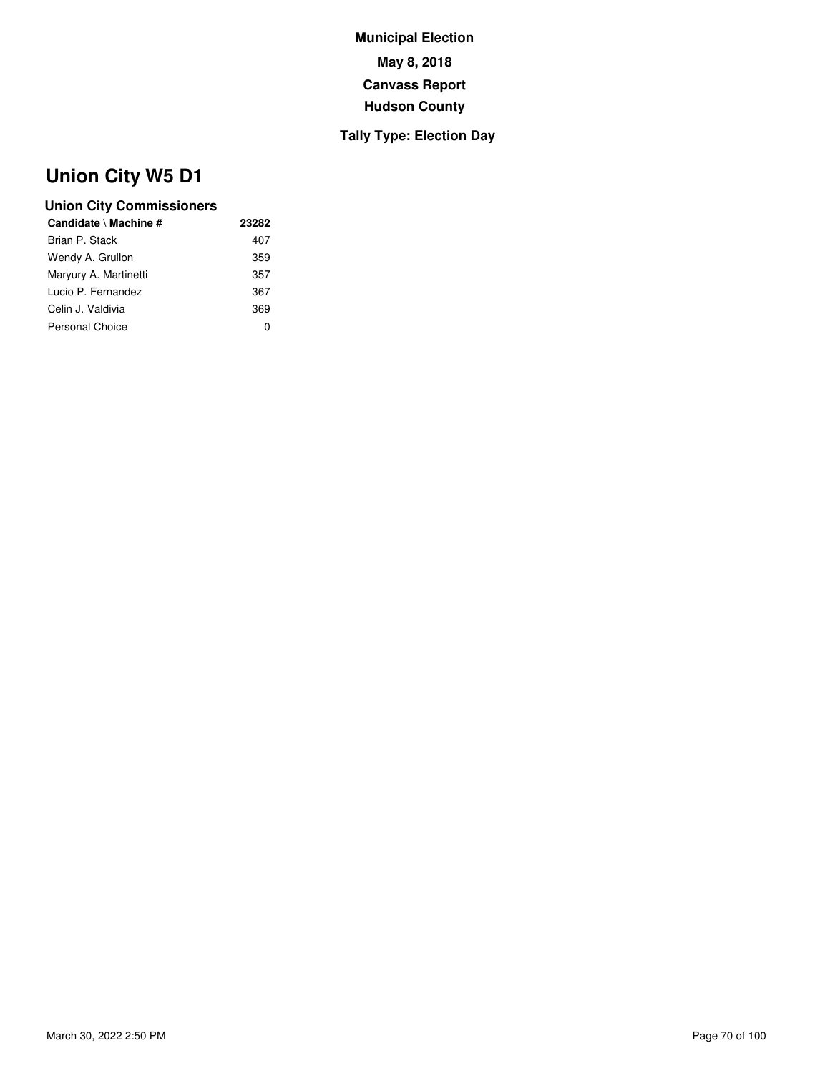## **Tally Type: Election Day**

# **Union City W5 D1**

| Candidate \ Machine # | 23282 |
|-----------------------|-------|
| Brian P. Stack        | 407   |
| Wendy A. Grullon      | 359   |
| Maryury A. Martinetti | 357   |
| Lucio P. Fernandez    | 367   |
| Celin J. Valdivia     | 369   |
| Personal Choice       | 0     |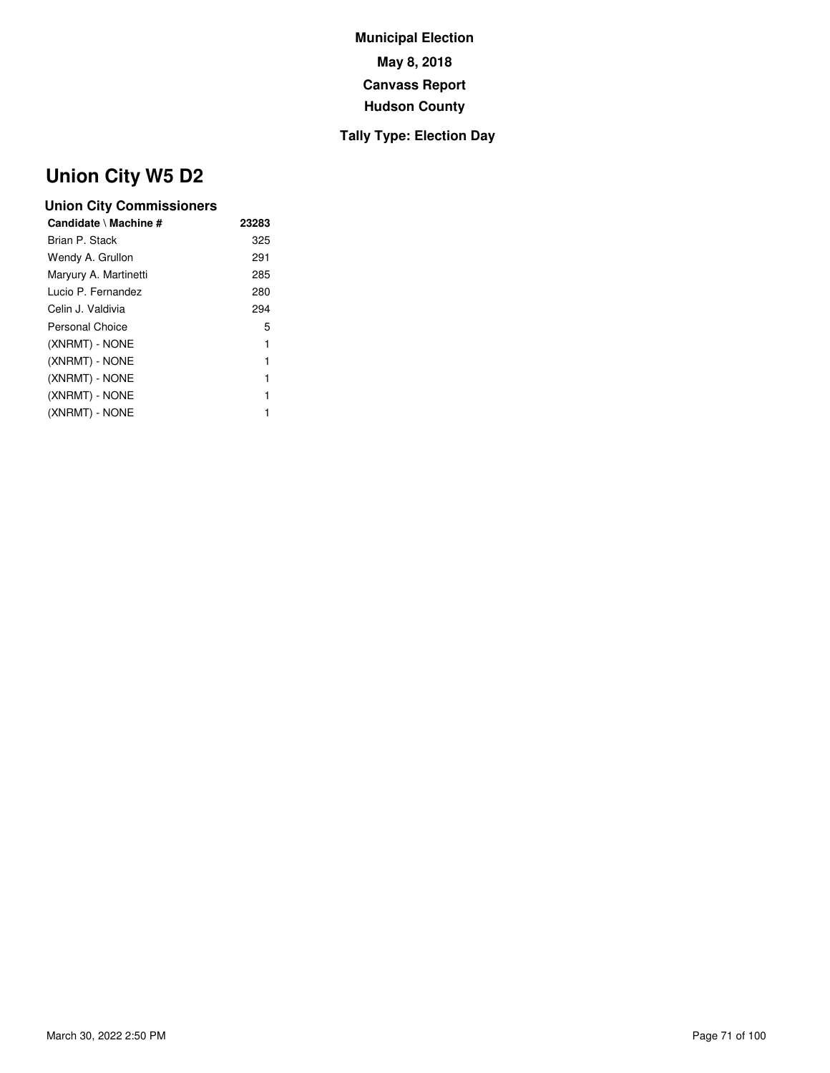## **Tally Type: Election Day**

# **Union City W5 D2**

| 23283 |
|-------|
| 325   |
| 291   |
| 285   |
| 280   |
| 294   |
| 5     |
| 1     |
| 1     |
| 1     |
| 1     |
| 1     |
|       |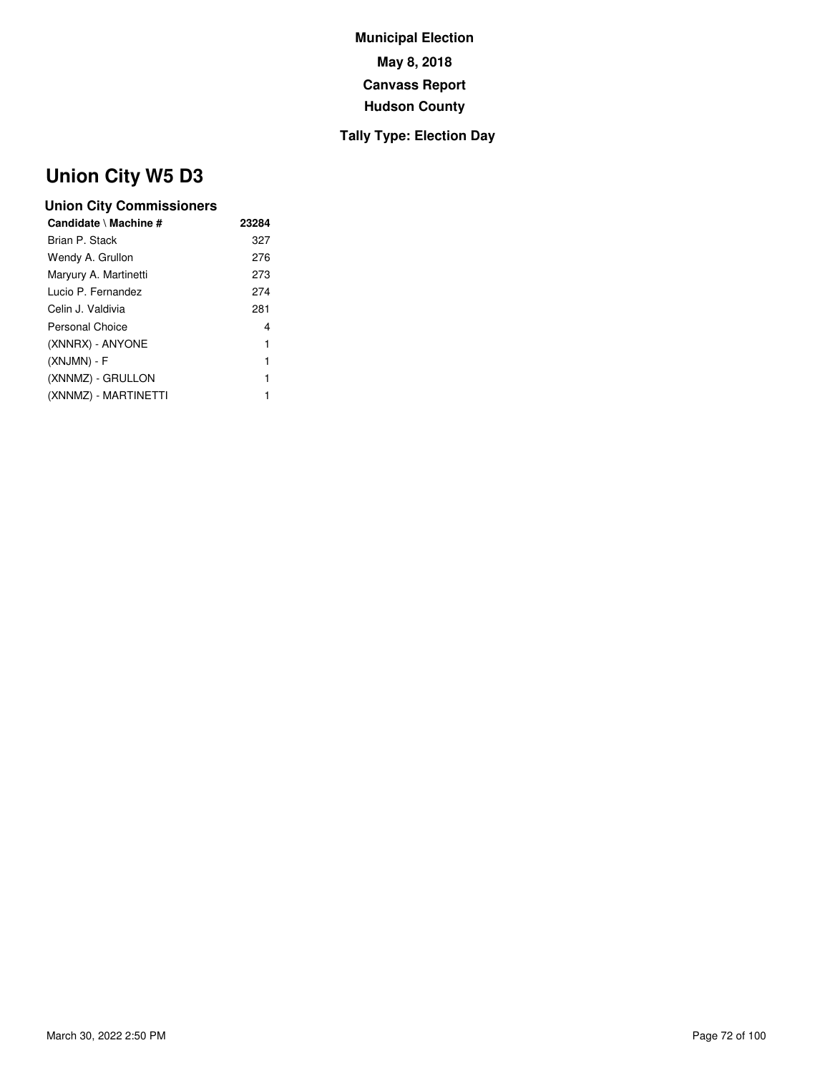## **Tally Type: Election Day**

# **Union City W5 D3**

| 23284 |
|-------|
| 327   |
| 276   |
| 273   |
| 274   |
| 281   |
| 4     |
| 1     |
| 1     |
| 1     |
| 1     |
|       |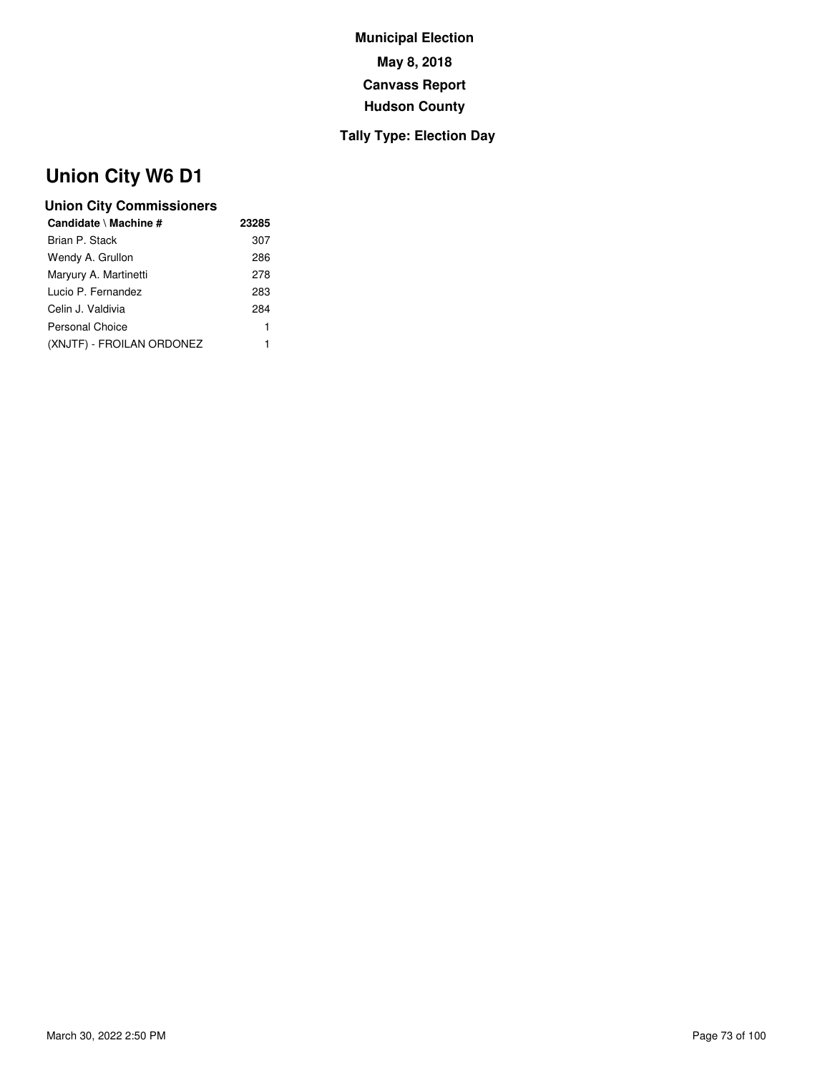### **Tally Type: Election Day**

# **Union City W6 D1**

| Candidate \ Machine #     | 23285 |
|---------------------------|-------|
| Brian P. Stack            | 307   |
| Wendy A. Grullon          | 286   |
| Maryury A. Martinetti     | 278   |
| Lucio P. Fernandez        | 283   |
| Celin J. Valdivia         | 284   |
| Personal Choice           | 1     |
| (XNJTF) - FROILAN ORDONEZ | 1     |
|                           |       |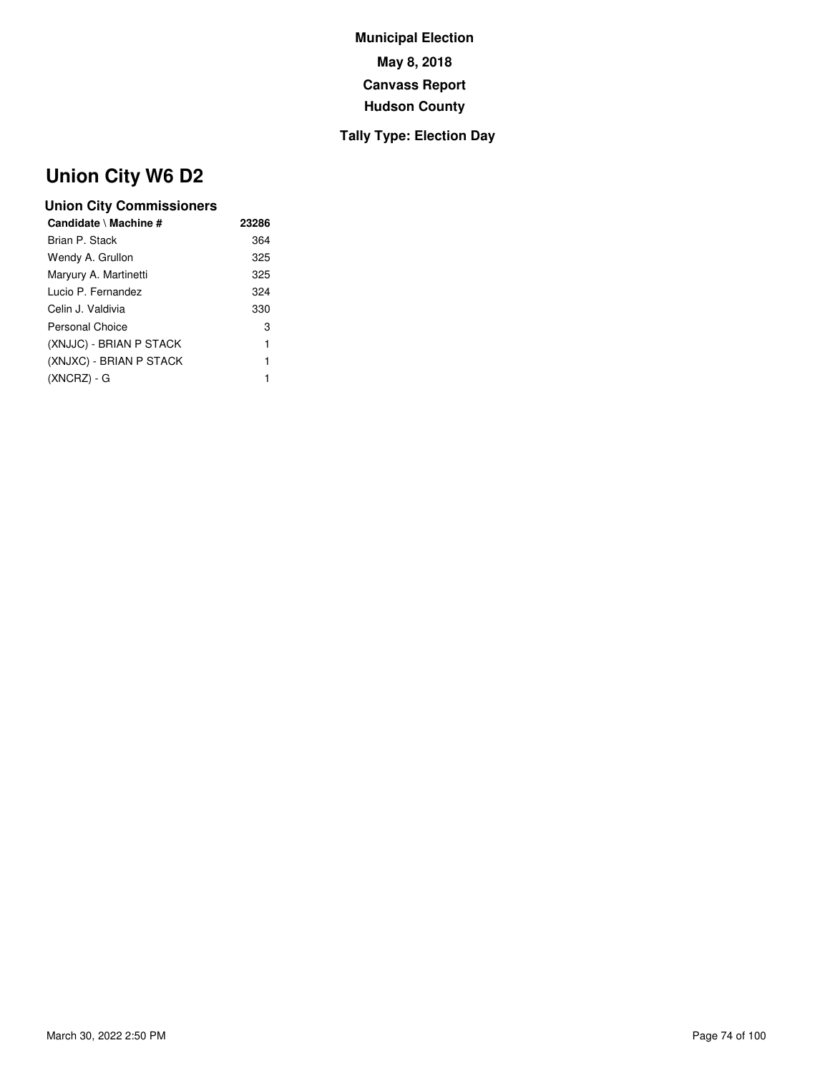### **Tally Type: Election Day**

# **Union City W6 D2**

| Candidate \ Machine #   | 23286 |
|-------------------------|-------|
| Brian P. Stack          | 364   |
| Wendy A. Grullon        | 325   |
| Maryury A. Martinetti   | 325   |
| Lucio P. Fernandez      | 324   |
| Celin J. Valdivia       | 330   |
| Personal Choice         | 3     |
| (XNJJC) - BRIAN P STACK | 1     |
| (XNJXC) - BRIAN P STACK | 1     |
| $(XNCRZ) - G$           | 1     |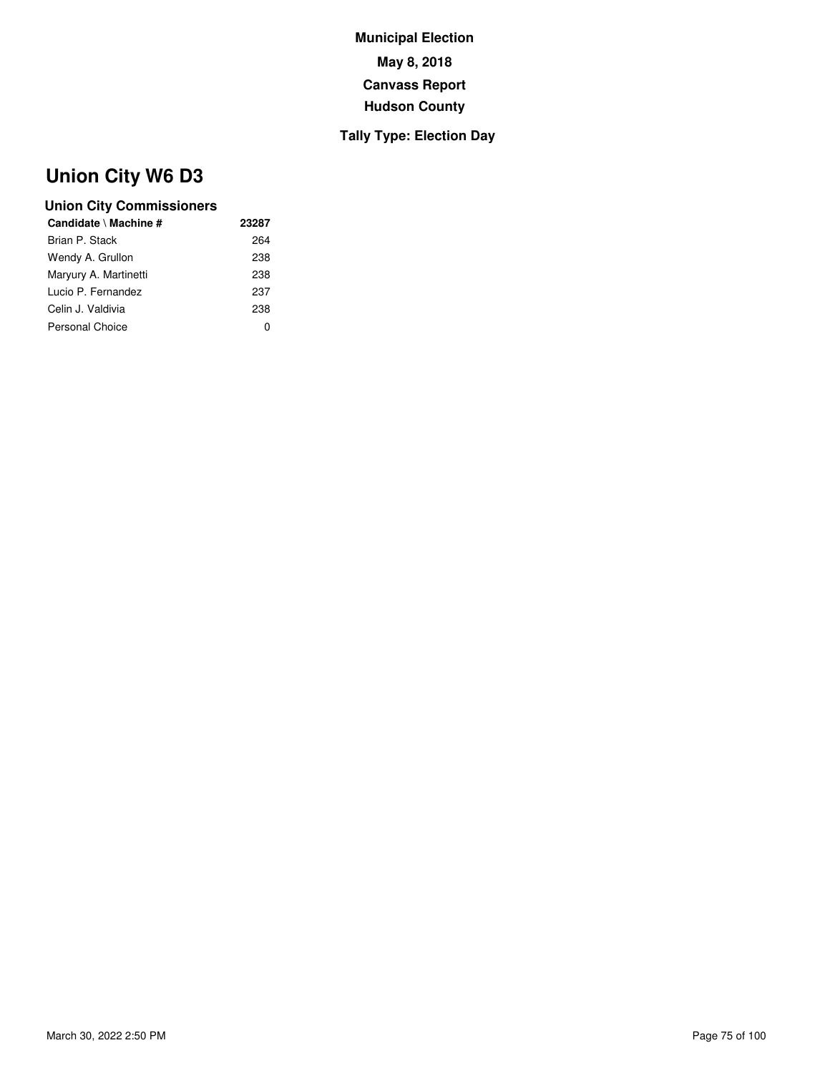### **Tally Type: Election Day**

# **Union City W6 D3**

| 23287 |
|-------|
| 264   |
| 238   |
| 238   |
| 237   |
| 238   |
|       |
|       |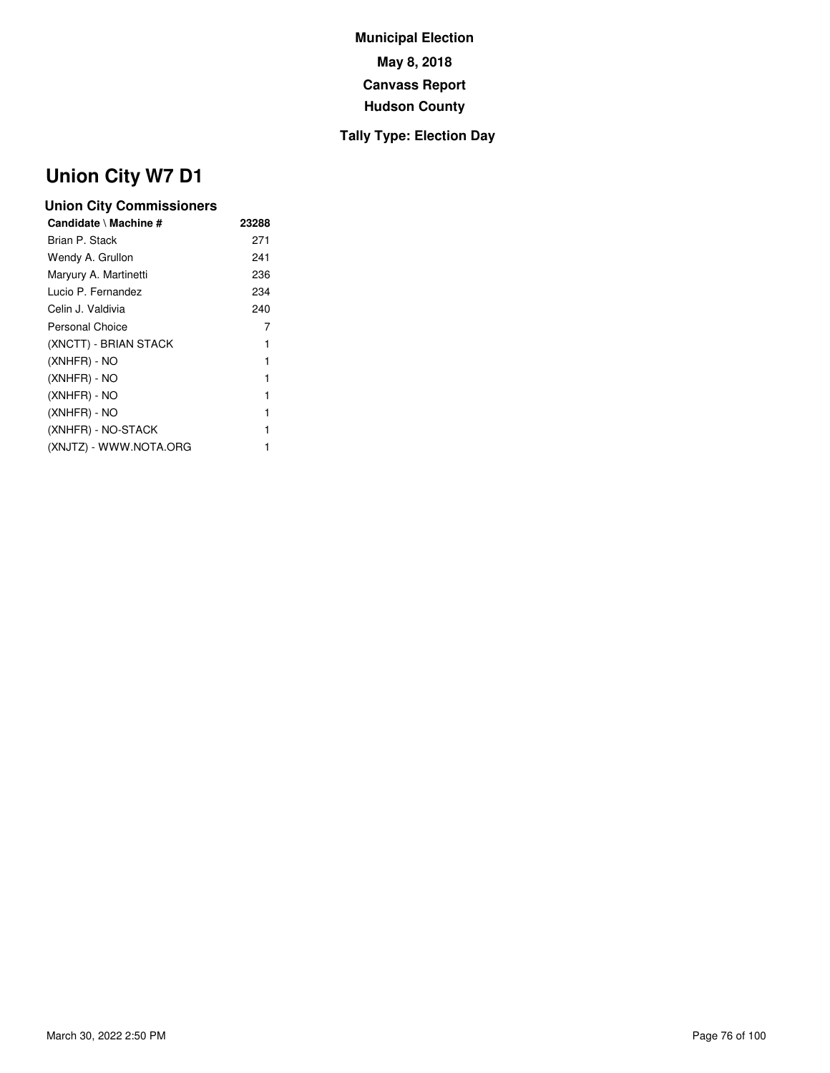### **Tally Type: Election Day**

# **Union City W7 D1**

| Candidate \ Machine #  | 23288 |
|------------------------|-------|
| Brian P. Stack         | 271   |
| Wendy A. Grullon       | 241   |
| Maryury A. Martinetti  | 236   |
| Lucio P. Fernandez     | 234   |
| Celin J. Valdivia      | 240   |
| Personal Choice        | 7     |
| (XNCTT) - BRIAN STACK  | 1     |
| (XNHFR) - NO           | 1     |
| (XNHFR) - NO           | 1     |
| (XNHFR) - NO           |       |
| (XNHFR) - NO           | 1     |
| (XNHFR) - NO-STACK     | 1     |
| (XNJTZ) - WWW.NOTA.ORG |       |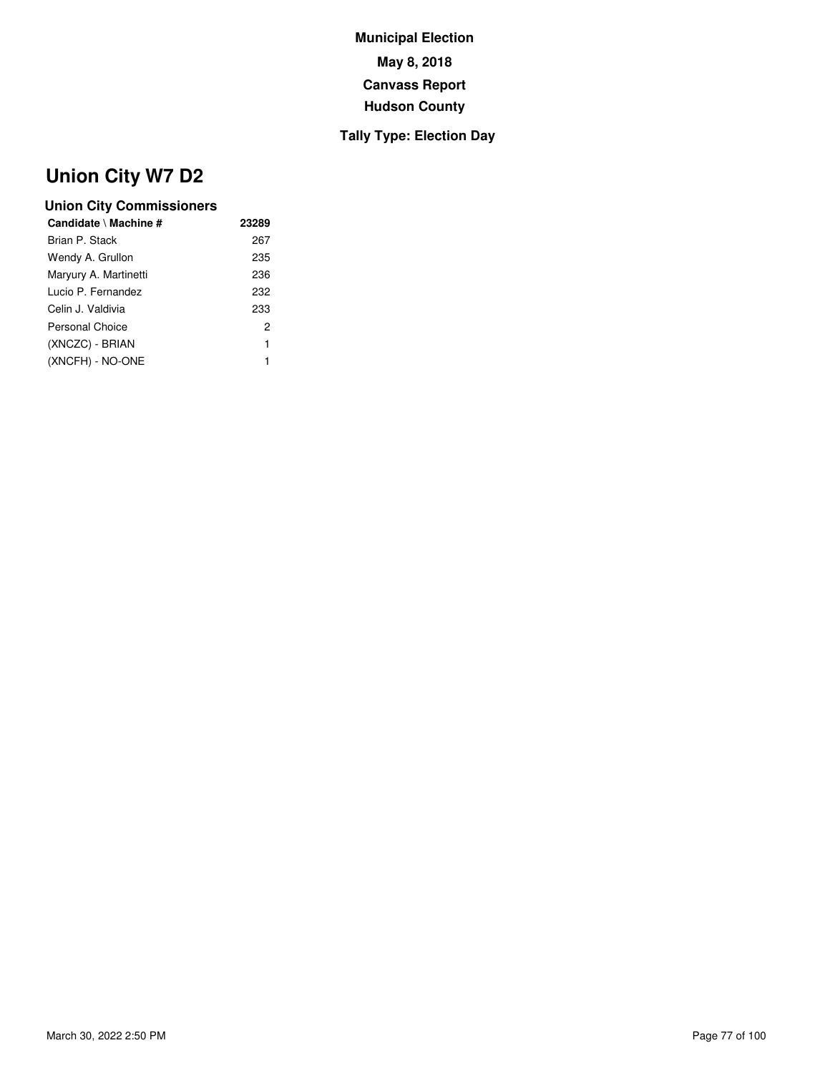### **Tally Type: Election Day**

# **Union City W7 D2**

| Candidate \ Machine # | 23289 |  |
|-----------------------|-------|--|
| Brian P. Stack        | 267   |  |
| Wendy A. Grullon      | 235   |  |
| Maryury A. Martinetti | 236   |  |
| Lucio P. Fernandez    | 232   |  |
| Celin J. Valdivia     | 233   |  |
| Personal Choice       | 2     |  |
| (XNCZC) - BRIAN       | 1     |  |
| (XNCFH) - NO-ONE      | 1     |  |
|                       |       |  |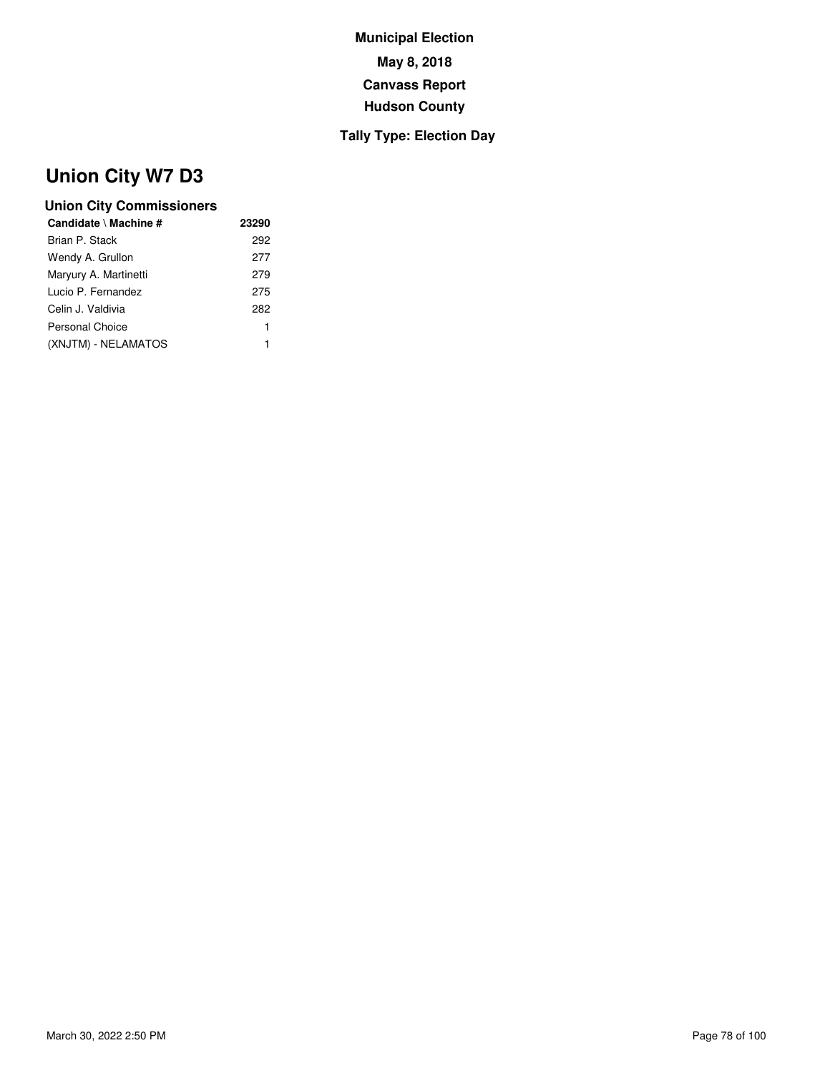### **Tally Type: Election Day**

# **Union City W7 D3**

| Candidate \ Machine # | 23290 |
|-----------------------|-------|
| Brian P. Stack        | 292   |
| Wendy A. Grullon      | 277   |
| Maryury A. Martinetti | 279   |
| Lucio P. Fernandez    | 275   |
| Celin J. Valdivia     | 282   |
| Personal Choice       | 1     |
| (XNJTM) - NELAMATOS   | 1     |
|                       |       |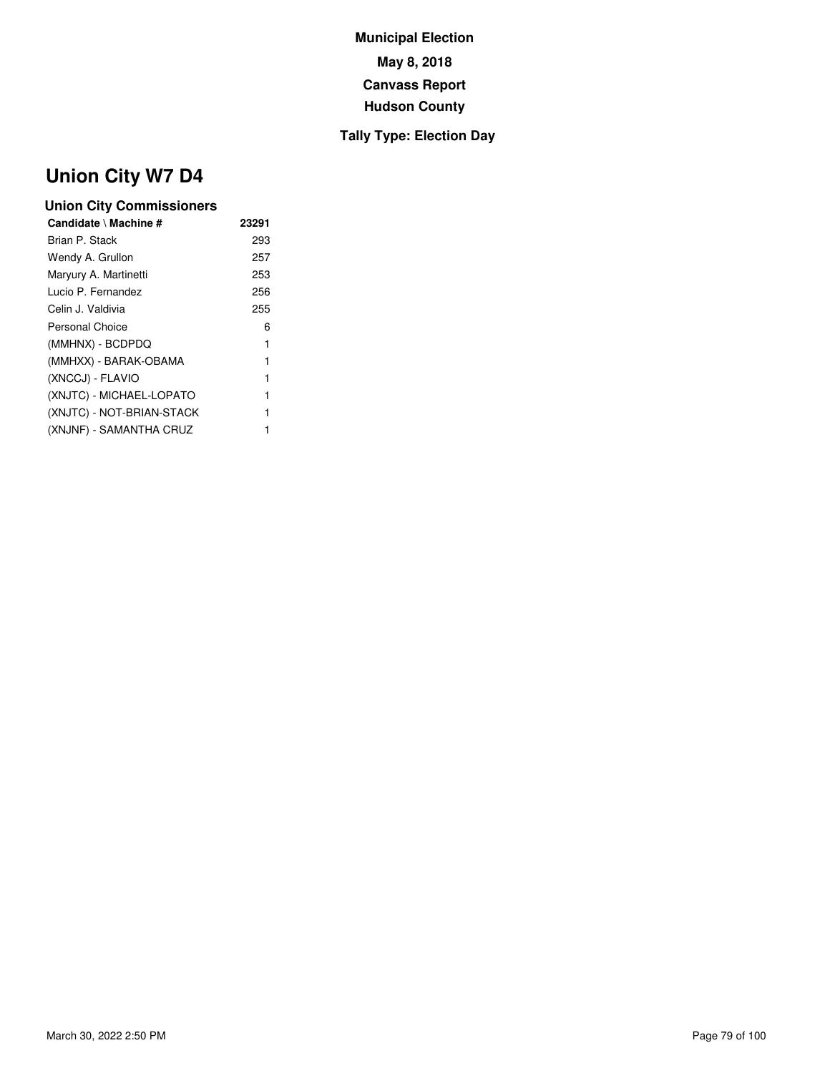### **Tally Type: Election Day**

# **Union City W7 D4**

| Candidate \ Machine #     | 23291 |
|---------------------------|-------|
| Brian P. Stack            | 293   |
| Wendy A. Grullon          | 257   |
| Maryury A. Martinetti     | 253   |
| Lucio P. Fernandez        | 256   |
| Celin J. Valdivia         | 255   |
| Personal Choice           | 6     |
| (MMHNX) - BCDPDQ          | 1     |
| (MMHXX) - BARAK-OBAMA     | 1     |
| (XNCCJ) - FLAVIO          | 1     |
| (XNJTC) - MICHAEL-LOPATO  | 1     |
| (XNJTC) - NOT-BRIAN-STACK | 1     |
| (XNJNF) - SAMANTHA CRUZ   |       |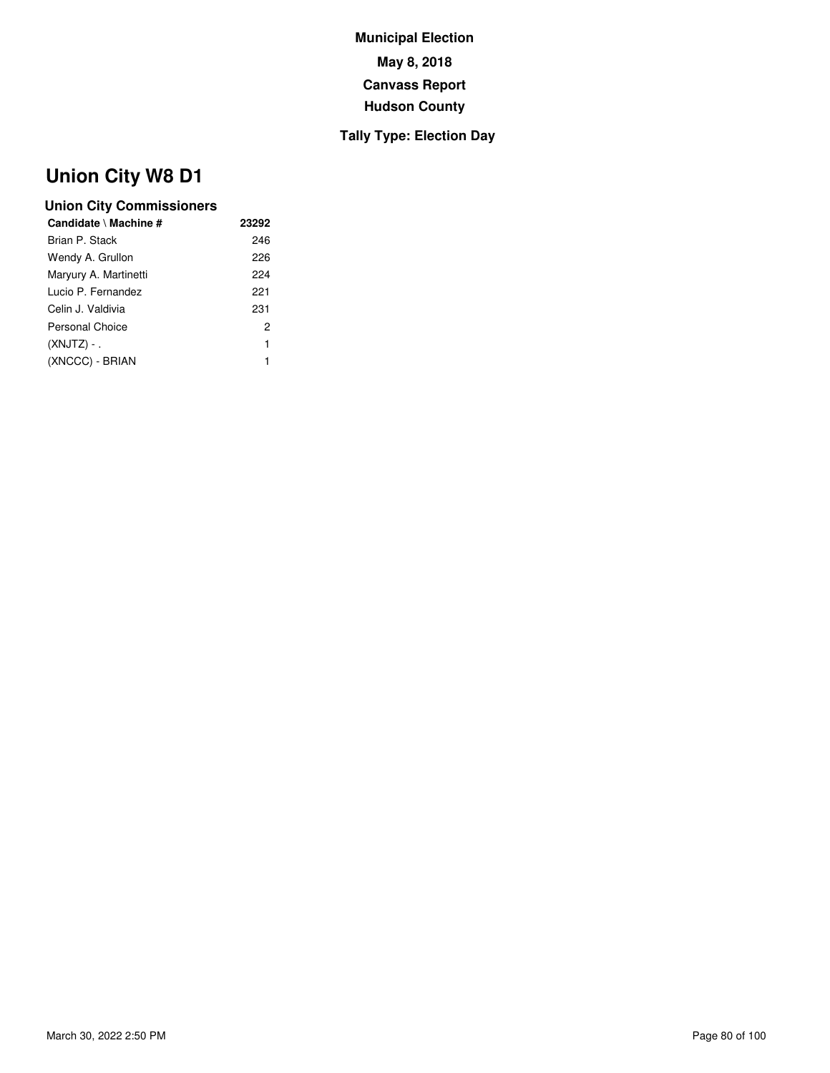### **Tally Type: Election Day**

# **Union City W8 D1**

| Candidate \ Machine # | 23292 |
|-----------------------|-------|
| Brian P. Stack        | 246   |
| Wendy A. Grullon      | 226   |
| Maryury A. Martinetti | 224   |
| Lucio P. Fernandez    | 221   |
| Celin J. Valdivia     | 231   |
| Personal Choice       | 2     |
| $(XNJTZ) -$           | 1     |
| (XNCCC) - BRIAN       | 1     |
|                       |       |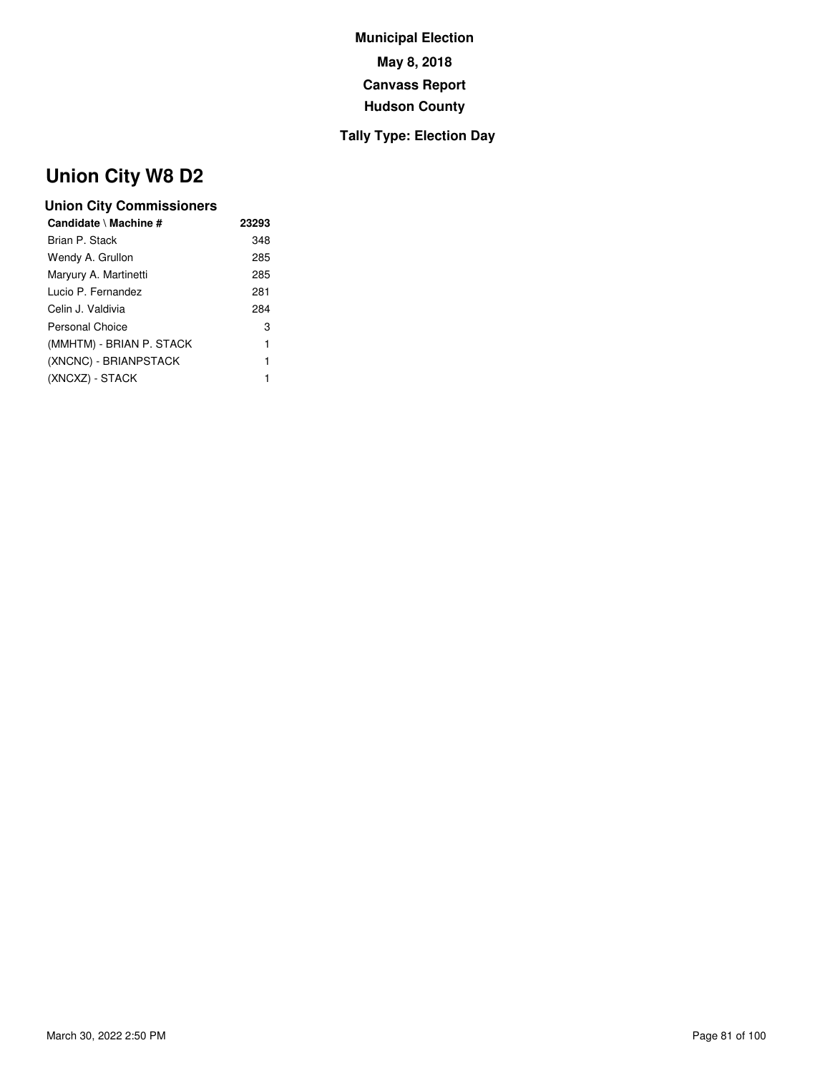### **Tally Type: Election Day**

# **Union City W8 D2**

| Candidate \ Machine #    | 23293 |
|--------------------------|-------|
| Brian P. Stack           | 348   |
| Wendy A. Grullon         | 285   |
| Maryury A. Martinetti    | 285   |
| Lucio P. Fernandez       | 281   |
| Celin J. Valdivia        | 284   |
| Personal Choice          | 3     |
| (MMHTM) - BRIAN P. STACK | 1     |
| (XNCNC) - BRIANPSTACK    | 1     |
| (XNCXZ) - STACK          | 1     |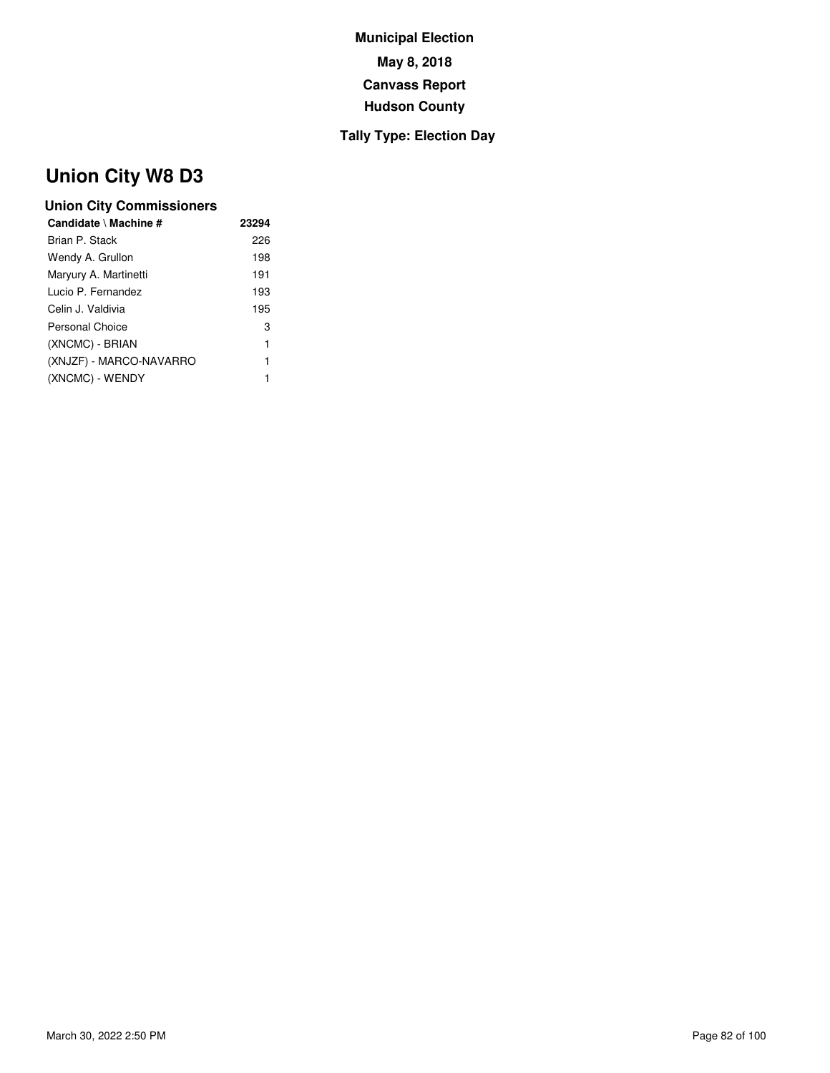### **Tally Type: Election Day**

# **Union City W8 D3**

| Brian P. Stack<br>226<br>Wendy A. Grullon<br>198<br>Maryury A. Martinetti<br>191<br>193<br>Lucio P. Fernandez<br>Celin J. Valdivia<br>195<br>Personal Choice<br>3<br>(XNCMC) - BRIAN<br>1<br>(XNJZF) - MARCO-NAVARRO<br>1<br>(XNCMC) - WENDY<br>1 | Candidate \ Machine # | 23294 |
|---------------------------------------------------------------------------------------------------------------------------------------------------------------------------------------------------------------------------------------------------|-----------------------|-------|
|                                                                                                                                                                                                                                                   |                       |       |
|                                                                                                                                                                                                                                                   |                       |       |
|                                                                                                                                                                                                                                                   |                       |       |
|                                                                                                                                                                                                                                                   |                       |       |
|                                                                                                                                                                                                                                                   |                       |       |
|                                                                                                                                                                                                                                                   |                       |       |
|                                                                                                                                                                                                                                                   |                       |       |
|                                                                                                                                                                                                                                                   |                       |       |
|                                                                                                                                                                                                                                                   |                       |       |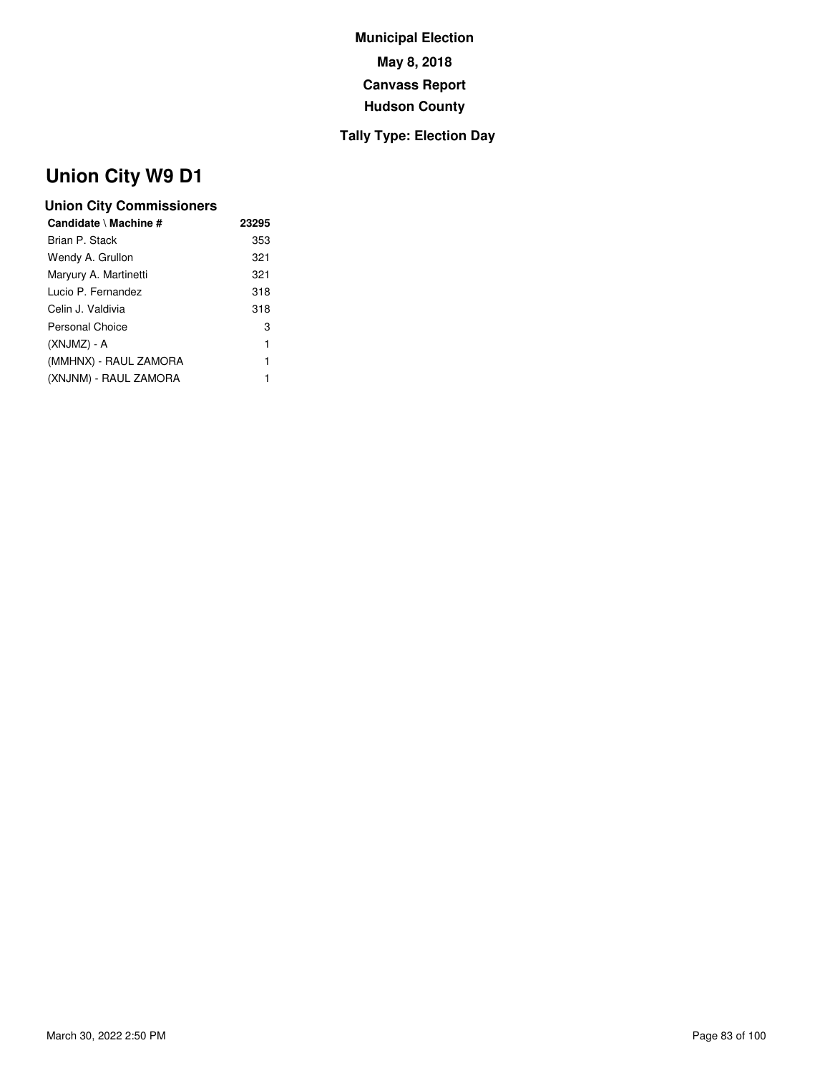### **Tally Type: Election Day**

# **Union City W9 D1**

| Candidate \ Machine # | 23295 |
|-----------------------|-------|
| Brian P. Stack        | 353   |
| Wendy A. Grullon      | 321   |
| Maryury A. Martinetti | 321   |
| Lucio P. Fernandez    | 318   |
| Celin J. Valdivia     | 318   |
| Personal Choice       | 3     |
| (XNJMZ) - A           | 1     |
| (MMHNX) - RAUL ZAMORA | 1     |
| (XNJNM) - RAUL ZAMORA | 1     |
|                       |       |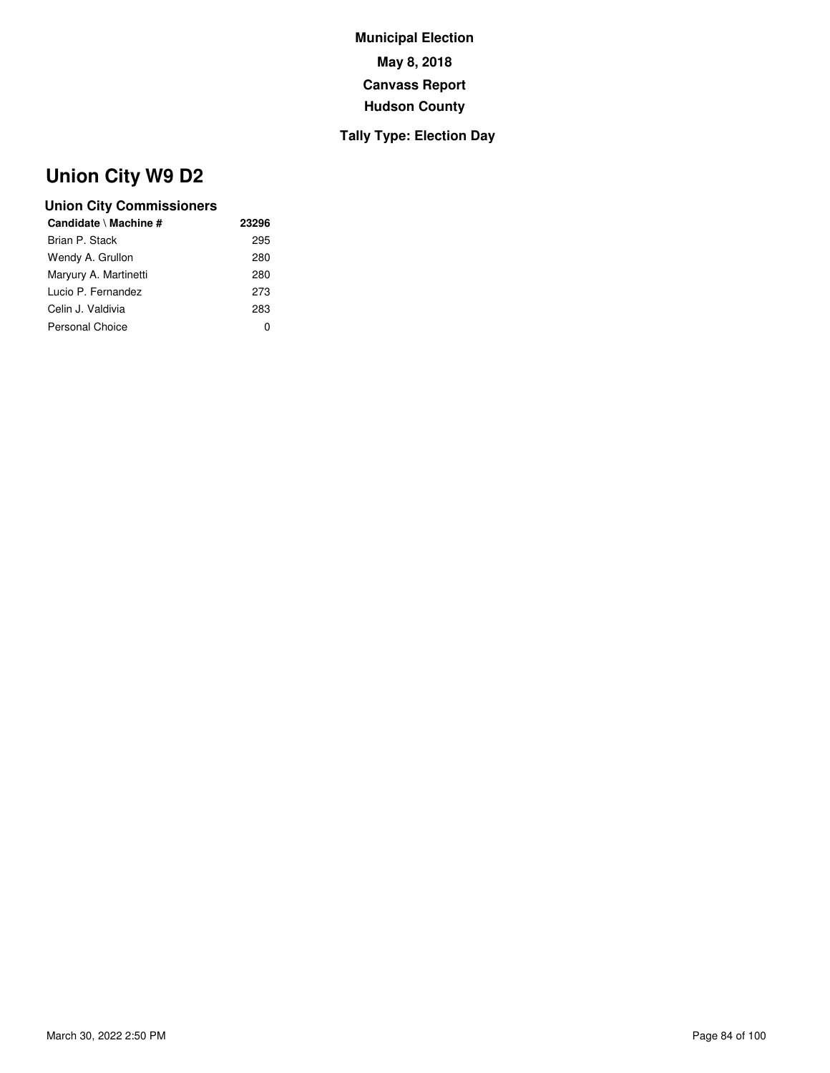### **Tally Type: Election Day**

# **Union City W9 D2**

| 23296 |
|-------|
| 295   |
| 280   |
| 280   |
| 273   |
| 283   |
| O     |
|       |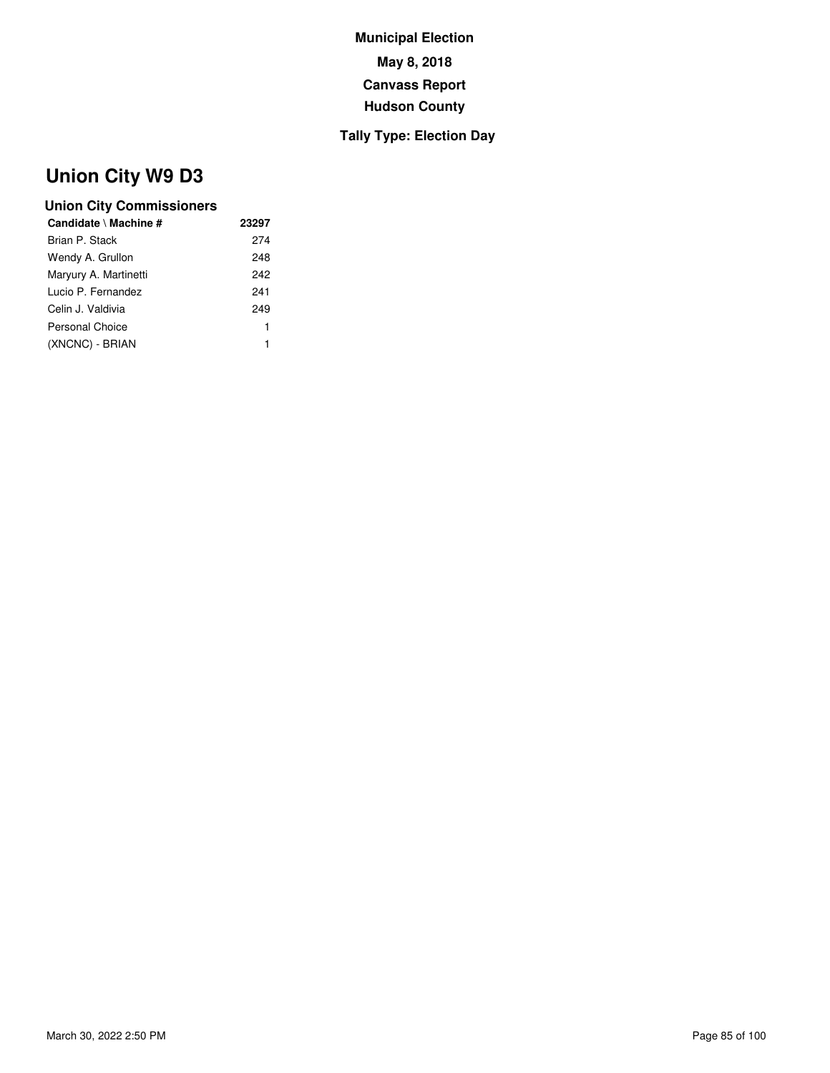### **Tally Type: Election Day**

# **Union City W9 D3**

| Candidate \ Machine # | 23297 |
|-----------------------|-------|
| Brian P. Stack        | 274   |
| Wendy A. Grullon      | 248   |
| Maryury A. Martinetti | 242   |
| Lucio P. Fernandez    | 241   |
| Celin J. Valdivia     | 249   |
| Personal Choice       | 1     |
| (XNCNC) - BRIAN       |       |
|                       |       |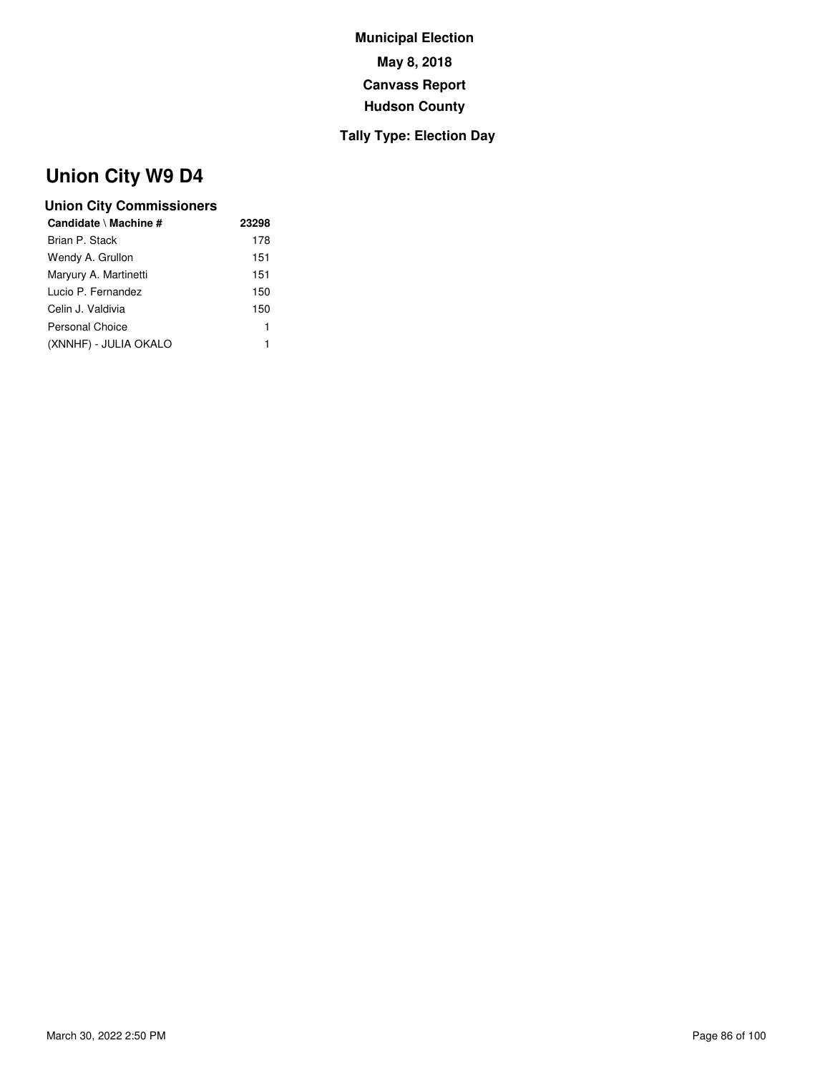### **Tally Type: Election Day**

# **Union City W9 D4**

| Candidate \ Machine # | 23298 |
|-----------------------|-------|
| Brian P. Stack        | 178   |
| Wendy A. Grullon      | 151   |
| Maryury A. Martinetti | 151   |
| Lucio P. Fernandez    | 150   |
| Celin J. Valdivia     | 150   |
| Personal Choice       | 1     |
| (XNNHF) - JULIA OKALO | 1     |
|                       |       |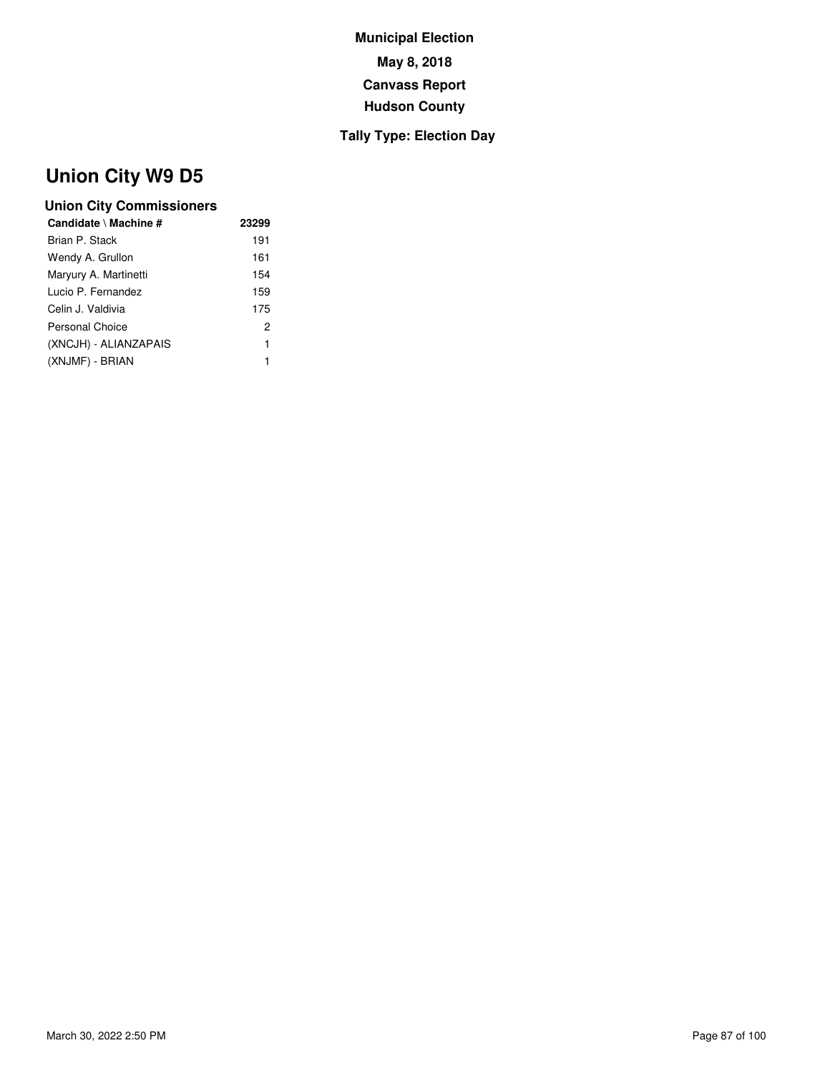### **Tally Type: Election Day**

# **Union City W9 D5**

| Candidate \ Machine # | 23299 |
|-----------------------|-------|
| Brian P. Stack        | 191   |
| Wendy A. Grullon      | 161   |
| Maryury A. Martinetti | 154   |
| Lucio P. Fernandez    | 159   |
| Celin J. Valdivia     | 175   |
| Personal Choice       | 2     |
| (XNCJH) - ALIANZAPAIS | 1     |
| (XNJMF) - BRIAN       | 1     |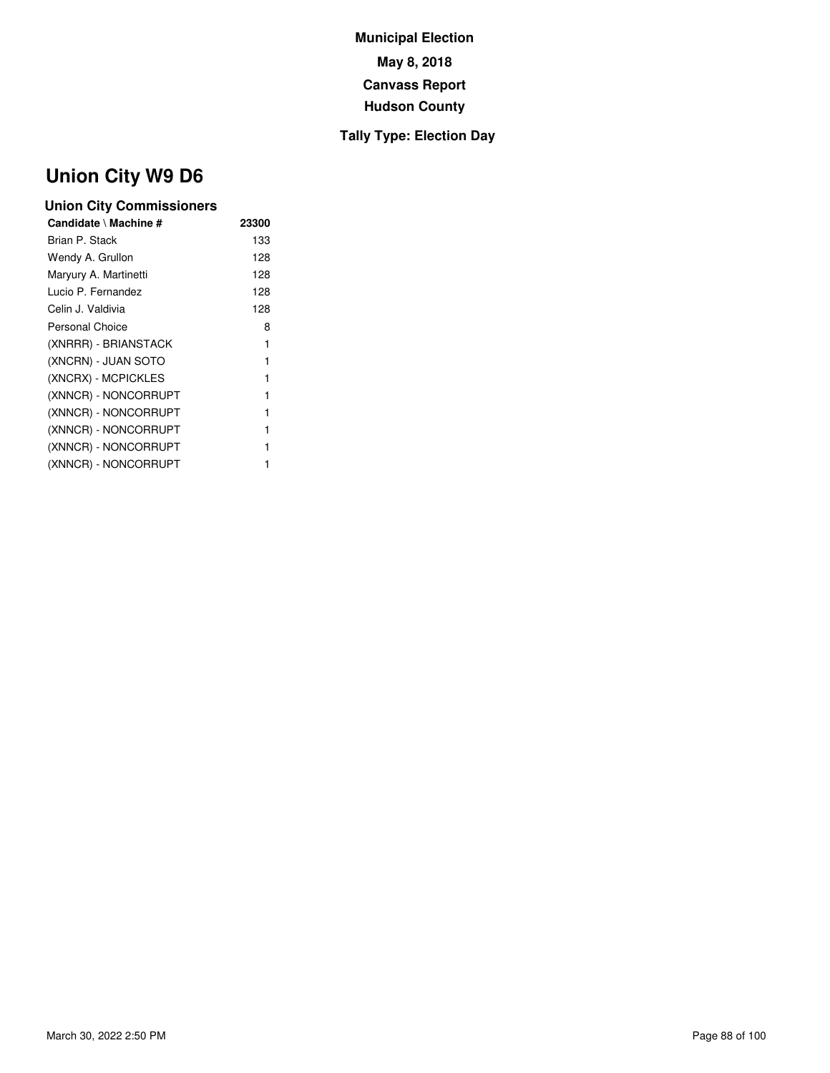### **Tally Type: Election Day**

# **Union City W9 D6**

| Candidate \ Machine # | 23300 |
|-----------------------|-------|
| Brian P. Stack        | 133   |
| Wendy A. Grullon      | 128   |
| Maryury A. Martinetti | 128   |
| Lucio P. Fernandez    | 128   |
| Celin J. Valdivia     | 128   |
| Personal Choice       | 8     |
| (XNRRR) - BRIANSTACK  | 1     |
| (XNCRN) - JUAN SOTO   | 1     |
| (XNCRX) - MCPICKLES   | 1     |
| (XNNCR) - NONCORRUPT  | 1     |
| (XNNCR) - NONCORRUPT  | 1     |
| (XNNCR) - NONCORRUPT  | 1     |
| (XNNCR) - NONCORRUPT  | 1     |
| (XNNCR) - NONCORRUPT  |       |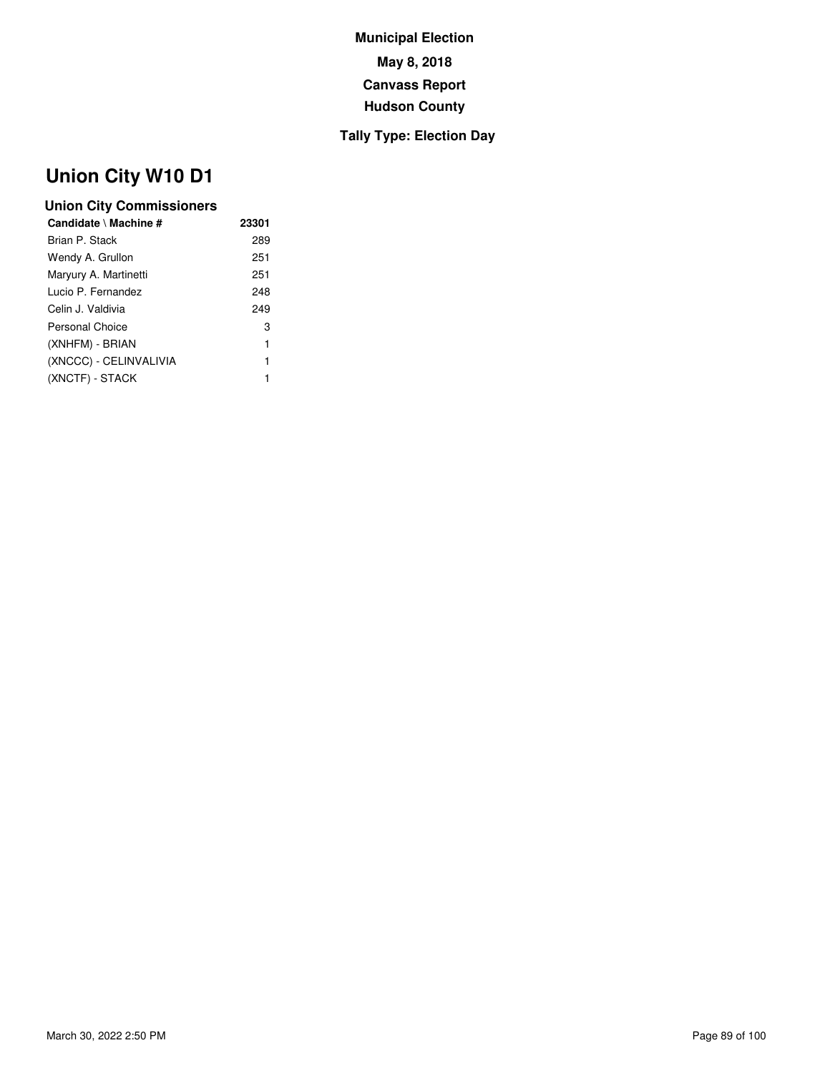### **Tally Type: Election Day**

# **Union City W10 D1**

| 23301 |
|-------|
| 289   |
| 251   |
| 251   |
| 248   |
| 249   |
| 3     |
| 1     |
| 1     |
| 1     |
|       |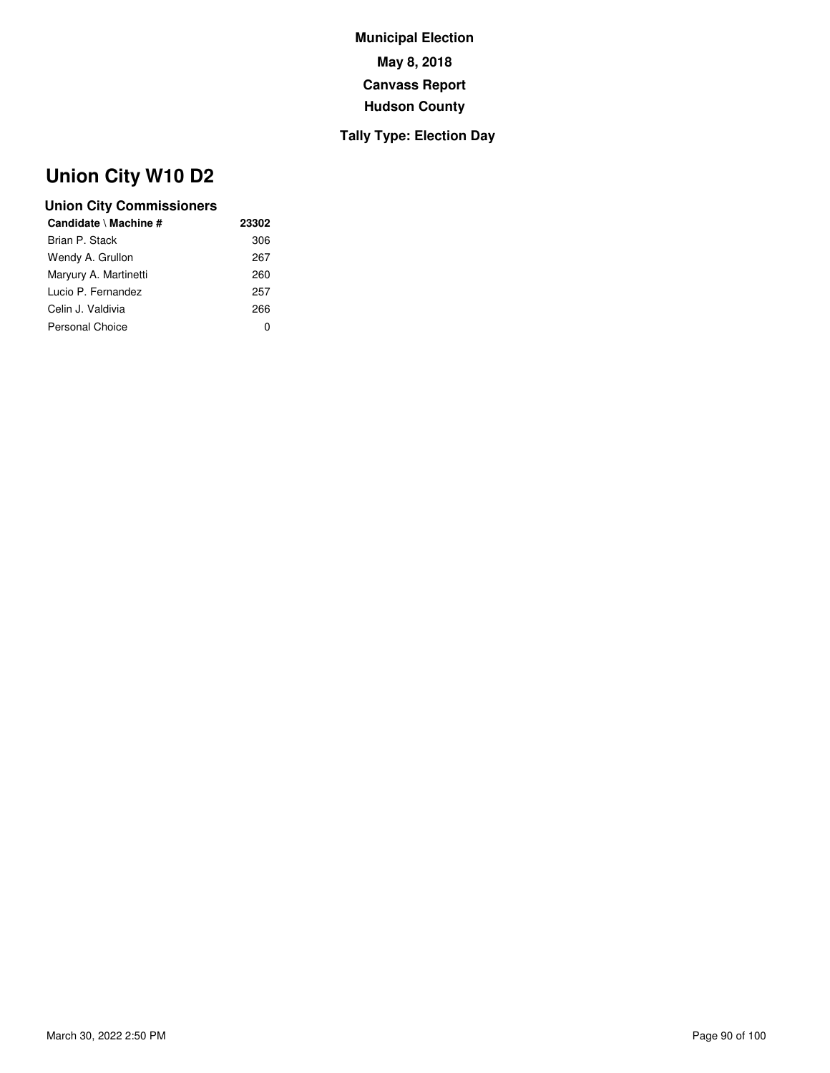### **Tally Type: Election Day**

# **Union City W10 D2**

| Candidate \ Machine # | 23302        |
|-----------------------|--------------|
| Brian P. Stack        | 306          |
| Wendy A. Grullon      | 267          |
| Maryury A. Martinetti | 260          |
| Lucio P. Fernandez    | 257          |
| Celin J. Valdivia     | 266          |
| Personal Choice       | $\mathbf{0}$ |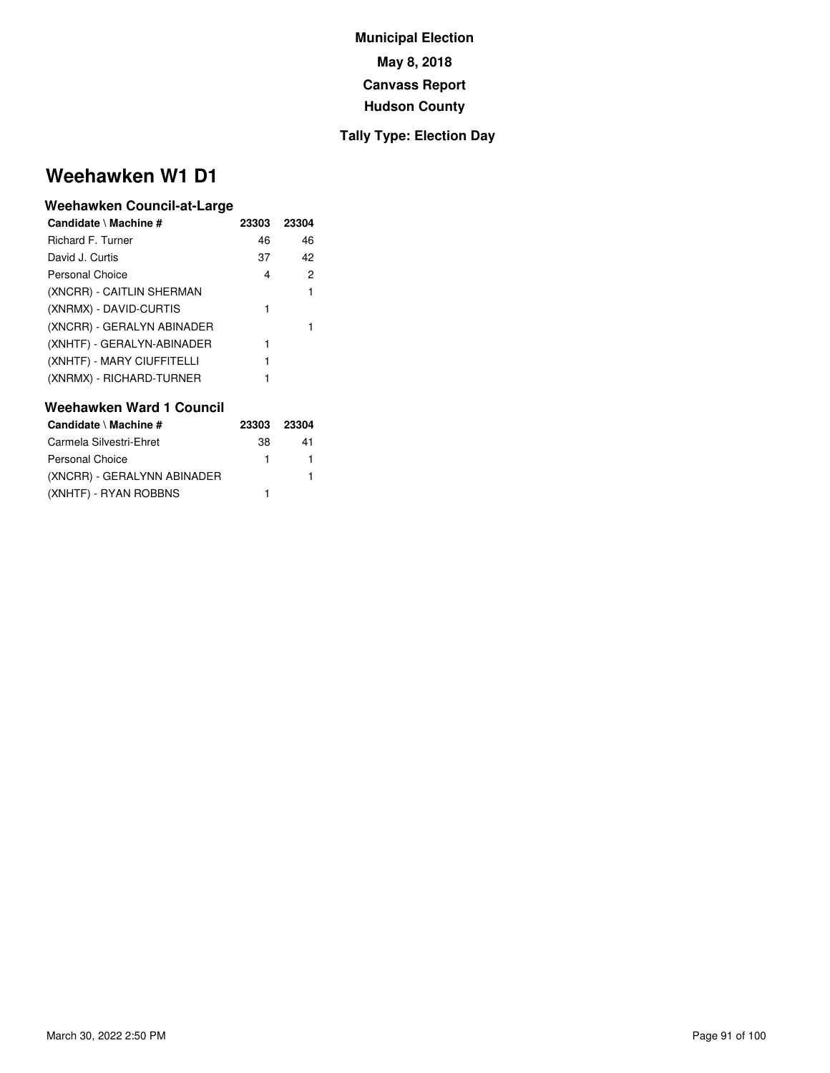#### **Tally Type: Election Day**

## **Weehawken W1 D1**

#### **Weehawken Council-at-Large**

| Candidate \ Machine #      | 23303 | 23304 |
|----------------------------|-------|-------|
| Richard F. Turner          | 46    | 46    |
| David J. Curtis            | 37    | 42    |
| <b>Personal Choice</b>     | 4     | 2     |
| (XNCRR) - CAITLIN SHERMAN  |       | 1     |
| (XNRMX) - DAVID-CURTIS     | 1     |       |
| (XNCRR) - GERALYN ABINADER |       |       |
| (XNHTF) - GERALYN-ABINADER | 1     |       |
| (XNHTF) - MARY CIUFFITELLI | 1     |       |
| (XNRMX) - RICHARD-TURNER   |       |       |

| Candidate \ Machine #       | 23303 | 23304 |
|-----------------------------|-------|-------|
| Carmela Silvestri-Ehret     | 38    | 41    |
| <b>Personal Choice</b>      | 1.    | 1.    |
| (XNCRR) - GERALYNN ABINADER |       | 1     |
| (XNHTF) - RYAN ROBBNS       |       |       |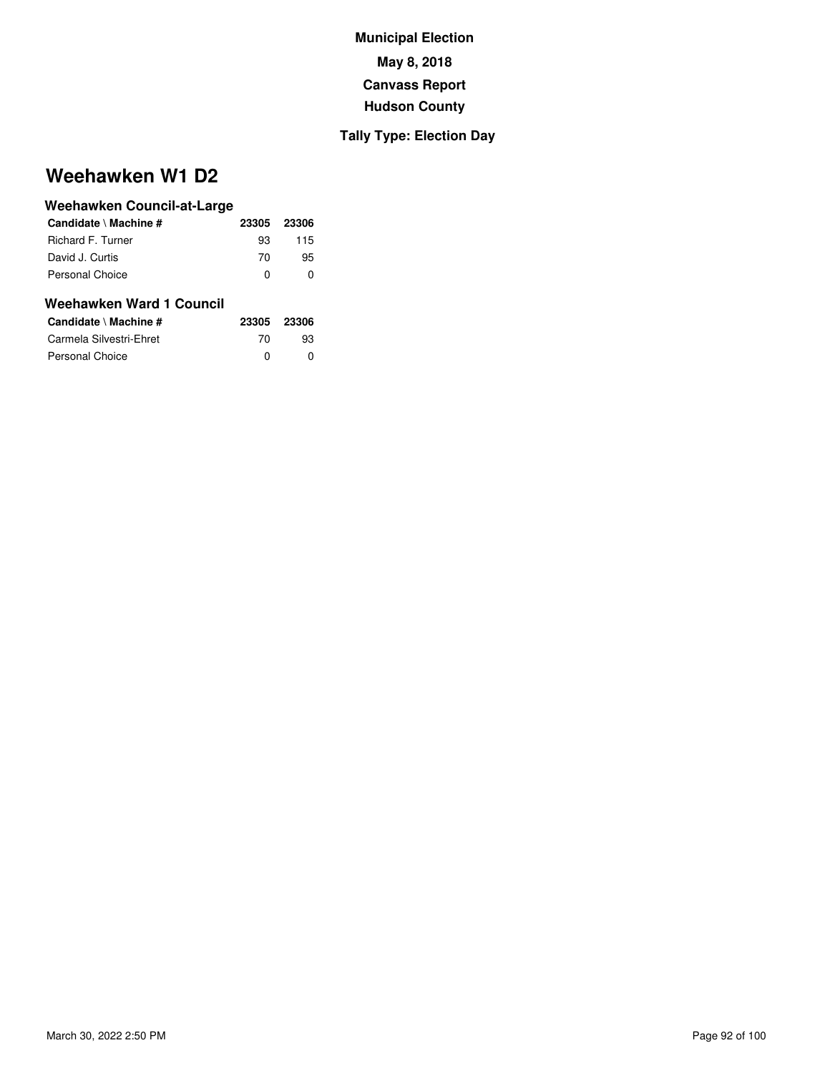### **Tally Type: Election Day**

## **Weehawken W1 D2**

| Weehawken Council-at-Large |       |       |
|----------------------------|-------|-------|
| Candidate \ Machine #      | 23305 | 23306 |
| <b>Richard F. Turner</b>   | 93    | 115   |
| David J. Curtis            | 70    | 95    |
| Personal Choice            | 0     | 0     |
| Weehawken Ward 1 Council   |       |       |
| Candidate \ Machine #      | 23305 | 23306 |
| Carmela Silvestri-Ehret    | 70    | 93    |
| Personal Choice            | 0     |       |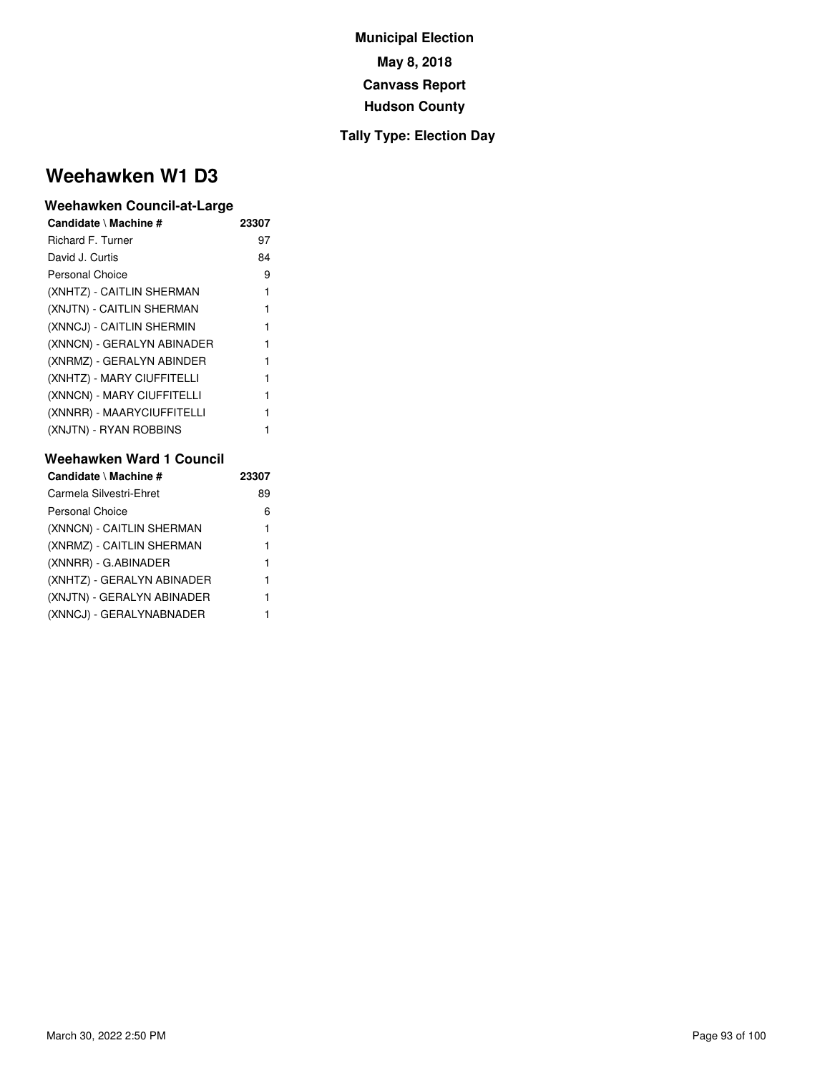#### **Tally Type: Election Day**

## **Weehawken W1 D3**

#### **Weehawken Council-at-Large**

| Candidate \ Machine #      | 23307 |
|----------------------------|-------|
| <b>Richard F. Turner</b>   | 97    |
| David J. Curtis            | 84    |
| <b>Personal Choice</b>     | 9     |
| (XNHTZ) - CAITLIN SHERMAN  | 1     |
| (XNJTN) - CAITLIN SHERMAN  | 1     |
| (XNNCJ) - CAITLIN SHERMIN  |       |
| (XNNCN) - GERALYN ABINADER | 1     |
| (XNRMZ) - GERALYN ABINDER  | 1     |
| (XNHTZ) - MARY CIUFFITELLI | 1     |
| (XNNCN) - MARY CIUFFITELLI | 1     |
| (XNNRR) - MAARYCIUFFITELLI |       |
| (XNJTN) - RYAN ROBBINS     |       |

| Candidate \ Machine #      | 23307 |
|----------------------------|-------|
| Carmela Silvestri-Ehret    | 89    |
| <b>Personal Choice</b>     | 6     |
| (XNNCN) - CAITLIN SHERMAN  | 1     |
| (XNRMZ) - CAITLIN SHERMAN  | 1     |
| (XNNRR) - G.ABINADER       | 1     |
| (XNHTZ) - GERALYN ABINADER | 1     |
| (XNJTN) - GERALYN ABINADER | 1     |
| (XNNCJ) - GERALYNABNADER   | 1     |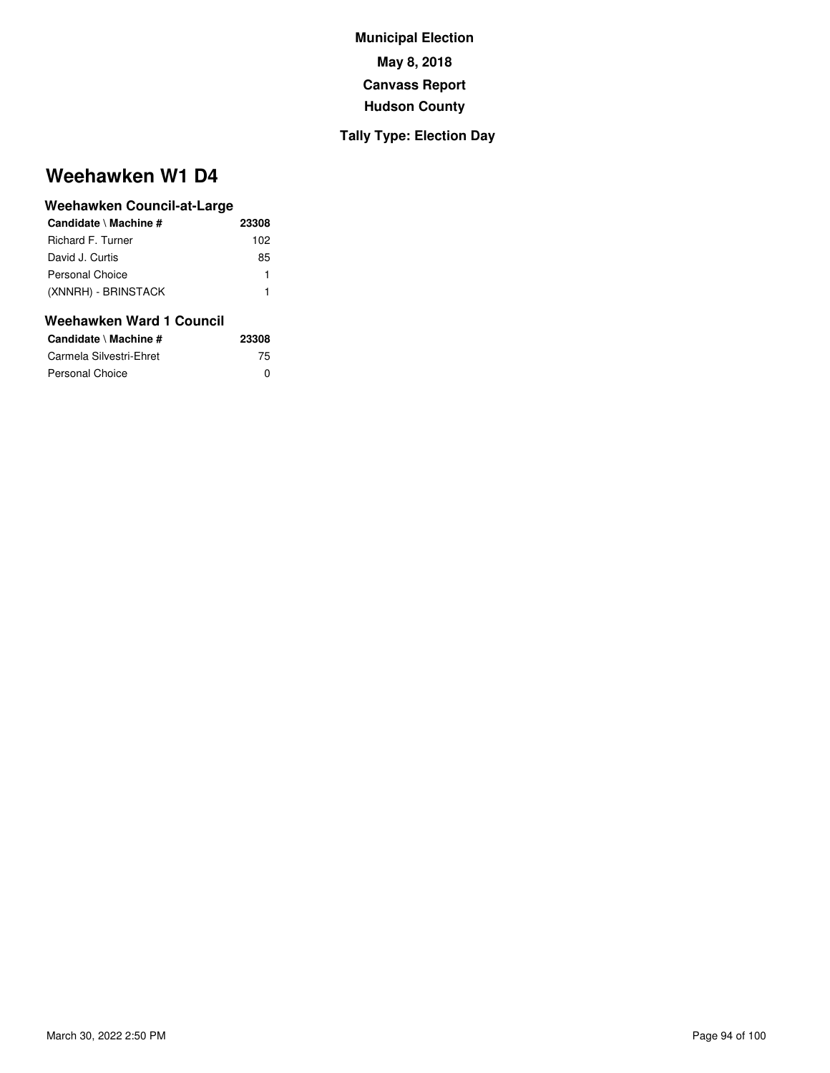### **Tally Type: Election Day**

## **Weehawken W1 D4**

#### **Weehawken Council-at-Large**

| Candidate \ Machine # | 23308 |
|-----------------------|-------|
| Richard F. Turner     | 102   |
| David J. Curtis       | 85    |
| Personal Choice       | 1     |
| (XNNRH) - BRINSTACK   | 1     |
|                       |       |

| Candidate \ Machine #   | 23308 |
|-------------------------|-------|
| Carmela Silvestri-Ehret | 75    |
| <b>Personal Choice</b>  | n     |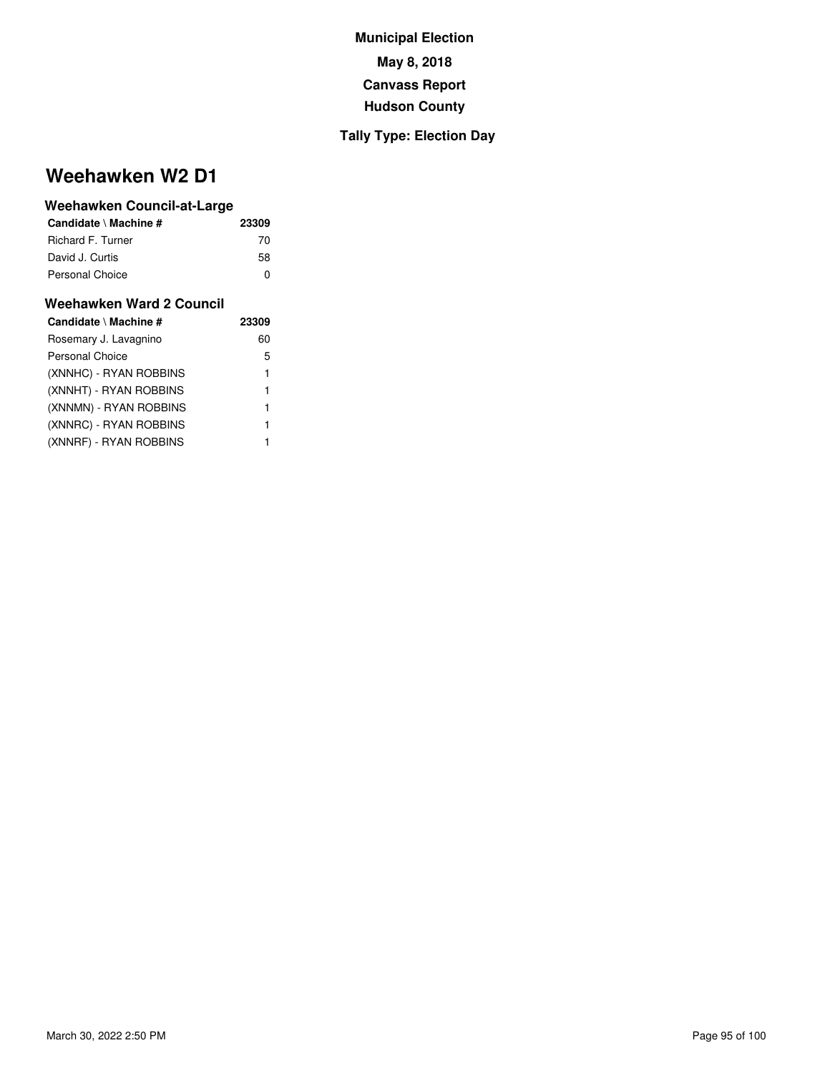#### **Tally Type: Election Day**

## **Weehawken W2 D1**

#### **Weehawken Council-at-Large**

| Candidate \ Machine # | 23309 |
|-----------------------|-------|
| Richard F. Turner     | 70    |
| David J. Curtis       | 58    |
| Personal Choice       | ŋ     |

| Candidate \ Machine #  | 23309 |
|------------------------|-------|
| Rosemary J. Lavagnino  | 60    |
| Personal Choice        | 5     |
| (XNNHC) - RYAN ROBBINS | 1     |
| (XNNHT) - RYAN ROBBINS | 1     |
| (XNNMN) - RYAN ROBBINS | 1     |
| (XNNRC) - RYAN ROBBINS | 1     |
| (XNNRF) - RYAN ROBBINS |       |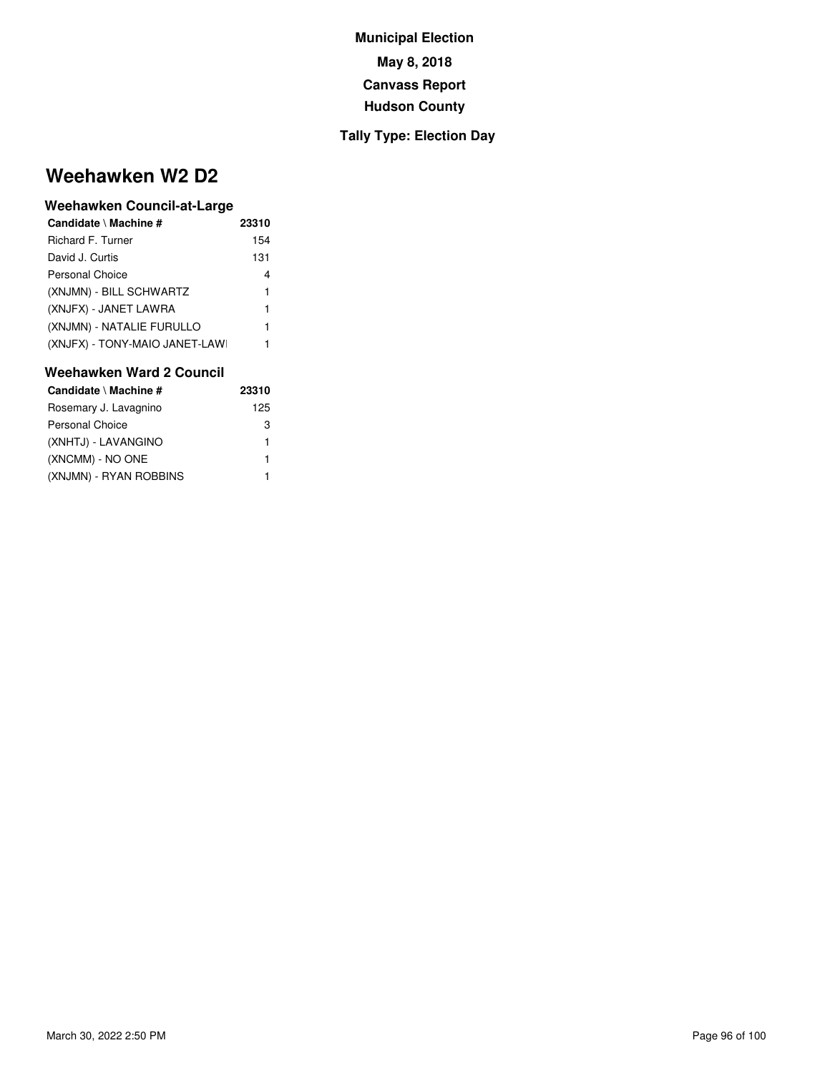#### **Tally Type: Election Day**

## **Weehawken W2 D2**

#### **Weehawken Council-at-Large**

| Candidate \ Machine #         | 23310 |
|-------------------------------|-------|
| Richard F. Turner             | 154   |
| David J. Curtis               | 131   |
| Personal Choice               | 4     |
| (XNJMN) - BILL SCHWARTZ       | 1     |
| (XNJFX) - JANET LAWRA         | 1     |
| (XNJMN) - NATALIE FURULLO     | 1     |
| (XNJFX) - TONY-MAIO JANET-LAW | 1     |

| Candidate \ Machine #  | 23310 |
|------------------------|-------|
| Rosemary J. Lavagnino  | 125   |
| <b>Personal Choice</b> | 3     |
| (XNHTJ) - LAVANGINO    | 1     |
| (XNCMM) - NO ONE       | 1     |
| (XNJMN) - RYAN ROBBINS |       |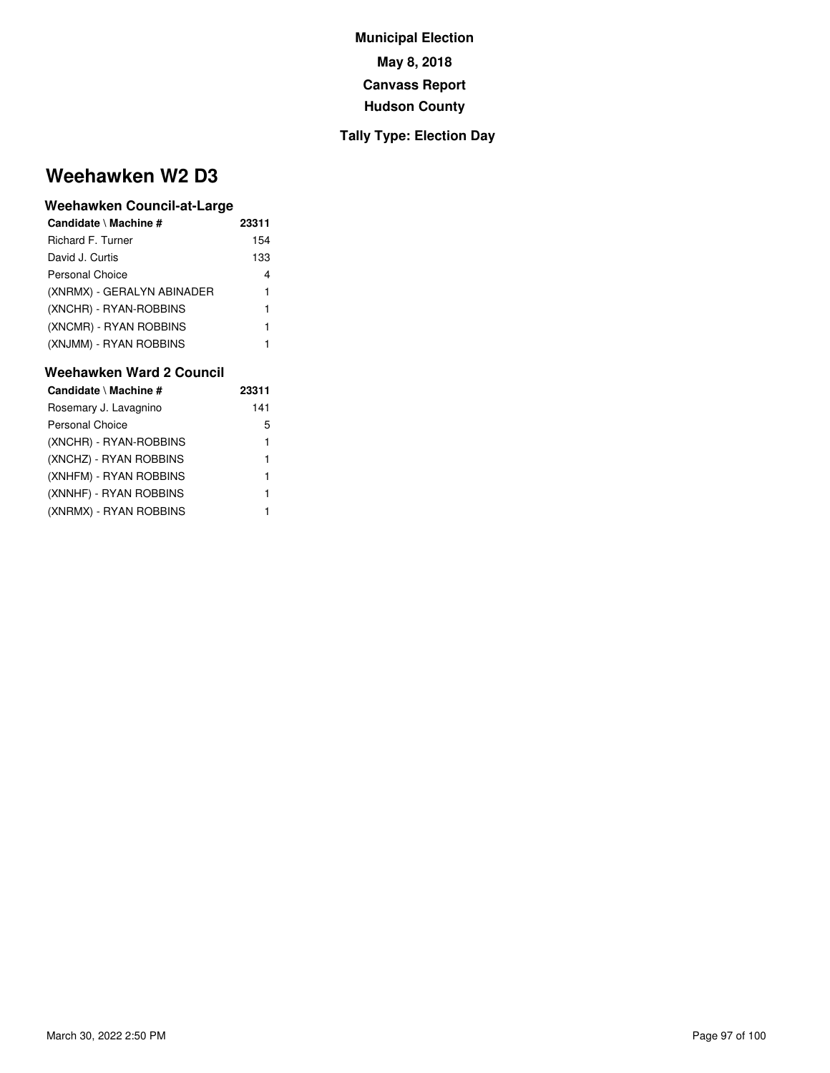#### **Tally Type: Election Day**

## **Weehawken W2 D3**

#### **Weehawken Council-at-Large**

| Candidate \ Machine #      | 23311 |
|----------------------------|-------|
| Richard F. Turner          | 154   |
| David J. Curtis            | 133   |
| Personal Choice            | 4     |
| (XNRMX) - GERALYN ABINADER | 1     |
| (XNCHR) - RYAN-ROBBINS     | 1     |
| (XNCMR) - RYAN ROBBINS     | 1     |
| (XNJMM) - RYAN ROBBINS     | 1     |

| Candidate \ Machine #  | 23311 |
|------------------------|-------|
| Rosemary J. Lavagnino  | 141   |
| <b>Personal Choice</b> | 5     |
| (XNCHR) - RYAN-ROBBINS | 1     |
| (XNCHZ) - RYAN ROBBINS | 1     |
| (XNHFM) - RYAN ROBBINS | 1     |
| (XNNHF) - RYAN ROBBINS | 1     |
| (XNRMX) - RYAN ROBBINS |       |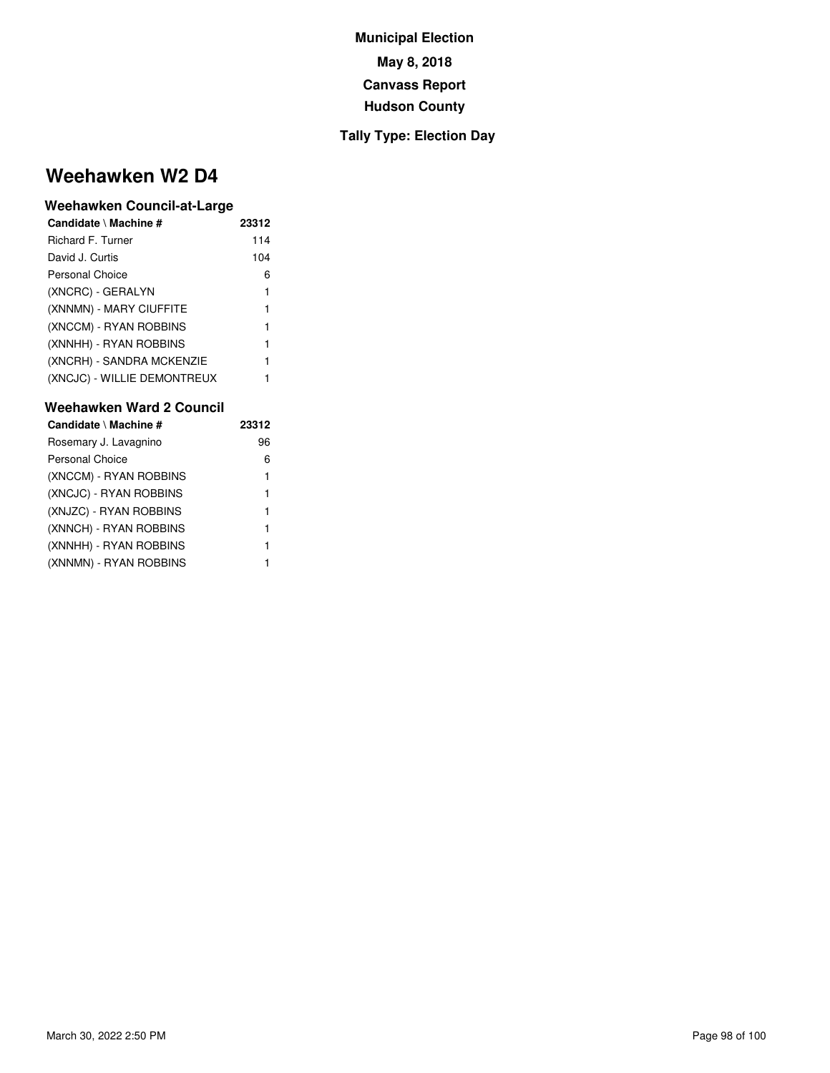#### **Tally Type: Election Day**

## **Weehawken W2 D4**

#### **Weehawken Council-at-Large**

| Candidate \ Machine #       | 23312 |
|-----------------------------|-------|
| Richard F. Turner           | 114   |
| David J. Curtis             | 104   |
| <b>Personal Choice</b>      | 6     |
| (XNCRC) - GERALYN           | 1     |
| (XNNMN) - MARY CIUFFITE     | 1     |
| (XNCCM) - RYAN ROBBINS      | 1     |
| (XNNHH) - RYAN ROBBINS      | 1     |
| (XNCRH) - SANDRA MCKENZIE   | 1     |
| (XNCJC) - WILLIE DEMONTREUX | 1     |

| Candidate \ Machine #  | 23312 |
|------------------------|-------|
| Rosemary J. Lavagnino  | 96    |
| <b>Personal Choice</b> | 6     |
| (XNCCM) - RYAN ROBBINS | 1     |
| (XNCJC) - RYAN ROBBINS | 1     |
| (XNJZC) - RYAN ROBBINS | 1     |
| (XNNCH) - RYAN ROBBINS | 1     |
| (XNNHH) - RYAN ROBBINS | 1     |
| (XNNMN) - RYAN ROBBINS | 1     |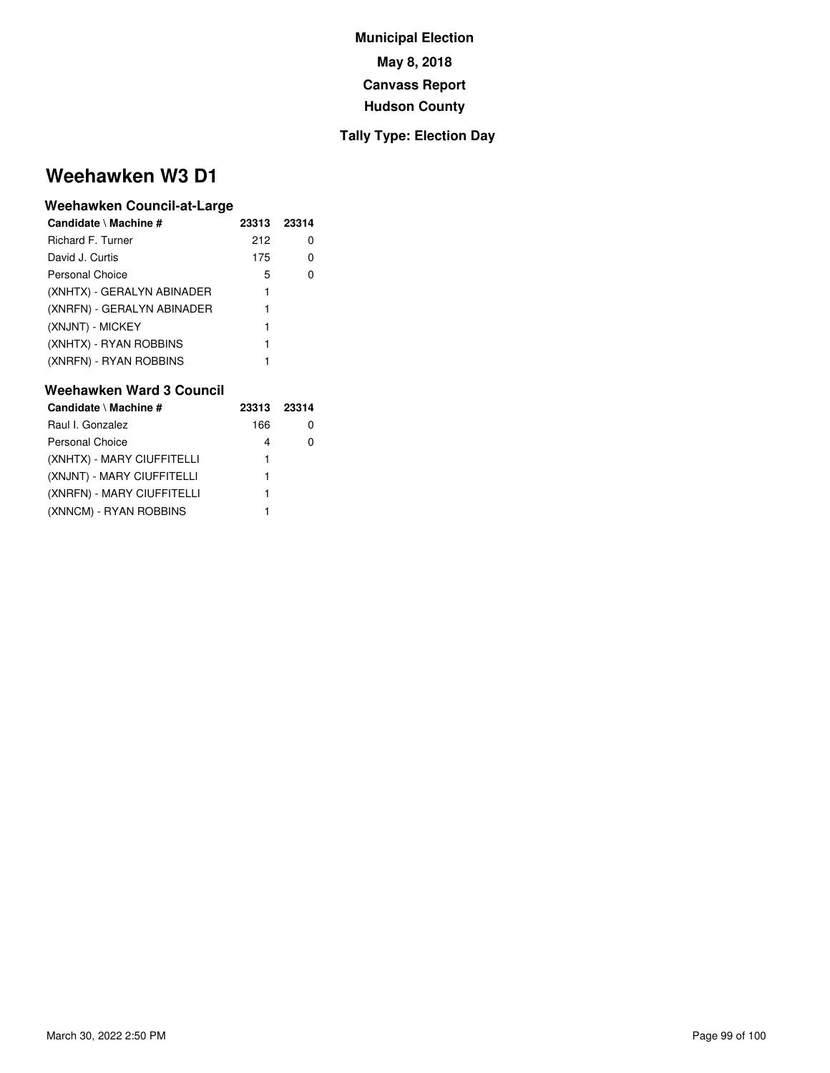#### **Tally Type: Election Day**

## **Weehawken W3 D1**

#### **Weehawken Council-at-Large**

| Candidate \ Machine #      | 23313 | 23314 |  |
|----------------------------|-------|-------|--|
| Richard F. Turner          | 212   | 0     |  |
| David J. Curtis            | 175   |       |  |
| Personal Choice            | 5     |       |  |
| (XNHTX) - GERALYN ABINADER | 1     |       |  |
| (XNRFN) - GERALYN ABINADER | 1     |       |  |
| (XNJNT) - MICKEY           | 1     |       |  |
| (XNHTX) - RYAN ROBBINS     | 1     |       |  |
| (XNRFN) - RYAN ROBBINS     |       |       |  |

| Candidate \ Machine #      | 23313 | 23314 |
|----------------------------|-------|-------|
| Raul I. Gonzalez           | 166   |       |
| <b>Personal Choice</b>     | 4     |       |
| (XNHTX) - MARY CIUFFITELLI | 1     |       |
| (XNJNT) - MARY CIUFFITELLI | 1     |       |
| (XNRFN) - MARY CIUFFITELLI | 1     |       |
| (XNNCM) - RYAN ROBBINS     |       |       |